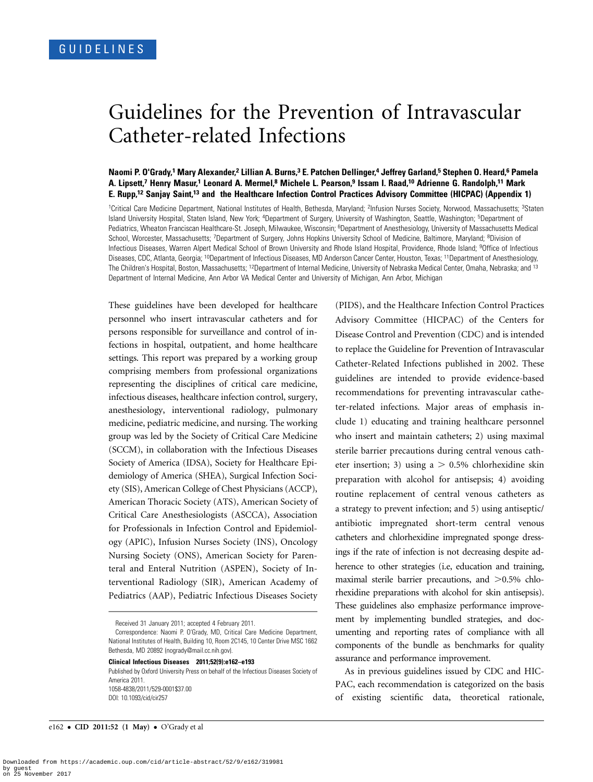# Guidelines for the Prevention of Intravascular Catheter-related Infections

Naomi P. O'Grady,<sup>1</sup> Mary Alexander,<sup>2</sup> Lillian A. Burns,<sup>3</sup> E. Patchen Dellinger,<sup>4</sup> Jeffrey Garland,<sup>5</sup> Stephen O. Heard,<sup>6</sup> Pamela A. Lipsett,<sup>7</sup> Henry Masur,<sup>1</sup> Leonard A. Mermel,<sup>8</sup> Michele L. Pearson,<sup>9</sup> Issam I. Raad,<sup>10</sup> Adrienne G. Randolph,<sup>11</sup> Mark E. Rupp,12 Sanjay Saint,13 and the Healthcare Infection Control Practices Advisory Committee (HICPAC) (Appendix 1)

<sup>1</sup>Critical Care Medicine Department, National Institutes of Health, Bethesda, Maryland; <sup>2</sup>Infusion Nurses Society, Norwood, Massachusetts; <sup>3</sup>Staten Island University Hospital, Staten Island, New York; <sup>4</sup>Department of Surgery, University of Washington, Seattle, Washington; <sup>5</sup>Department of Pediatrics, Wheaton Franciscan Healthcare-St. Joseph, Milwaukee, Wisconsin; <sup>6</sup>Department of Anesthesiology, University of Massachusetts Medical School, Worcester, Massachusetts; <sup>7</sup>Department of Surgery, Johns Hopkins University School of Medicine, Baltimore, Maryland; <sup>8</sup>Division of Infectious Diseases, Warren Alpert Medical School of Brown University and Rhode Island Hospital, Providence, Rhode Island; <sup>9</sup>Office of Infectious Diseases, CDC, Atlanta, Georgia; <sup>10</sup>Department of Infectious Diseases, MD Anderson Cancer Center, Houston, Texas; <sup>11</sup>Department of Anesthesiology, The Children's Hospital, Boston, Massachusetts; <sup>12</sup>Department of Internal Medicine, University of Nebraska Medical Center, Omaha, Nebraska; and <sup>13</sup> Department of Internal Medicine, Ann Arbor VA Medical Center and University of Michigan, Ann Arbor, Michigan

These guidelines have been developed for healthcare personnel who insert intravascular catheters and for persons responsible for surveillance and control of infections in hospital, outpatient, and home healthcare settings. This report was prepared by a working group comprising members from professional organizations representing the disciplines of critical care medicine, infectious diseases, healthcare infection control, surgery, anesthesiology, interventional radiology, pulmonary medicine, pediatric medicine, and nursing. The working group was led by the Society of Critical Care Medicine (SCCM), in collaboration with the Infectious Diseases Society of America (IDSA), Society for Healthcare Epidemiology of America (SHEA), Surgical Infection Society (SIS), American College of Chest Physicians (ACCP), American Thoracic Society (ATS), American Society of Critical Care Anesthesiologists (ASCCA), Association for Professionals in Infection Control and Epidemiology (APIC), Infusion Nurses Society (INS), Oncology Nursing Society (ONS), American Society for Parenteral and Enteral Nutrition (ASPEN), Society of Interventional Radiology (SIR), American Academy of Pediatrics (AAP), Pediatric Infectious Diseases Society

Clinical Infectious Diseases 2011;52(9):e162–e193

Published by Oxford University Press on behalf of the Infectious Diseases Society of America 2011. 1058-4838/2011/529-0001\$37.00 DOI: 10.1093/cid/cir257

Disease Control and Prevention (CDC) and is intended to replace the Guideline for Prevention of Intravascular Catheter-Related Infections published in 2002. These guidelines are intended to provide evidence-based recommendations for preventing intravascular catheter-related infections. Major areas of emphasis include 1) educating and training healthcare personnel who insert and maintain catheters; 2) using maximal sterile barrier precautions during central venous catheter insertion; 3) using  $a > 0.5\%$  chlorhexidine skin preparation with alcohol for antisepsis; 4) avoiding routine replacement of central venous catheters as a strategy to prevent infection; and 5) using antiseptic/ antibiotic impregnated short-term central venous catheters and chlorhexidine impregnated sponge dressings if the rate of infection is not decreasing despite adherence to other strategies (i.e, education and training, maximal sterile barrier precautions, and  $>0.5\%$  chlorhexidine preparations with alcohol for skin antisepsis). These guidelines also emphasize performance improvement by implementing bundled strategies, and documenting and reporting rates of compliance with all components of the bundle as benchmarks for quality assurance and performance improvement.

(PIDS), and the Healthcare Infection Control Practices Advisory Committee (HICPAC) of the Centers for

As in previous guidelines issued by CDC and HIC-PAC, each recommendation is categorized on the basis of existing scientific data, theoretical rationale,

Received 31 January 2011; accepted 4 February 2011.

Correspondence: Naomi P. O'Grady, MD, Critical Care Medicine Department, National Institutes of Health, Building 10, Room 2C145, 10 Center Drive MSC 1662 Bethesda, MD 20892 (nogrady@mail.cc.nih.gov).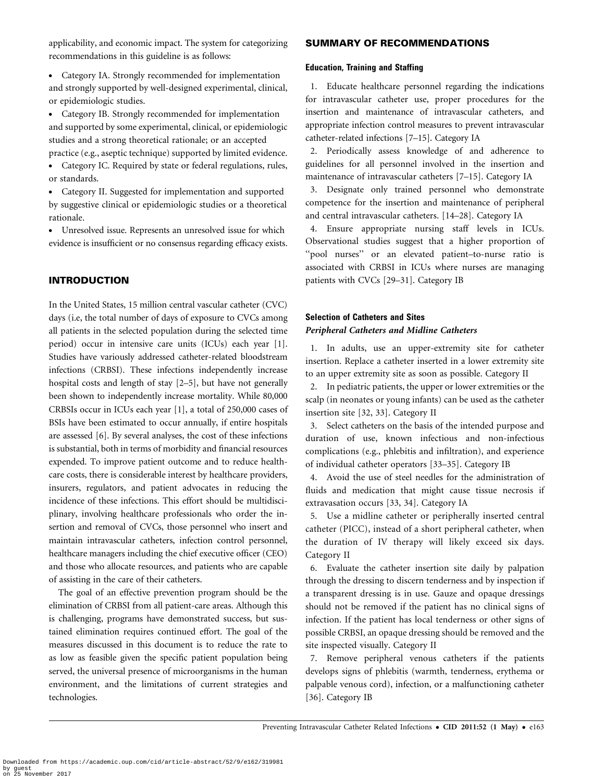applicability, and economic impact. The system for categorizing recommendations in this guideline is as follows:

• Category IA. Strongly recommended for implementation and strongly supported by well-designed experimental, clinical, or epidemiologic studies.

• Category IB. Strongly recommended for implementation and supported by some experimental, clinical, or epidemiologic studies and a strong theoretical rationale; or an accepted practice (e.g., aseptic technique) supported by limited evidence.

• Category IC. Required by state or federal regulations, rules, or standards.

• Category II. Suggested for implementation and supported by suggestive clinical or epidemiologic studies or a theoretical rationale.

• Unresolved issue. Represents an unresolved issue for which evidence is insufficient or no consensus regarding efficacy exists.

# INTRODUCTION

In the United States, 15 million central vascular catheter (CVC) days (i.e, the total number of days of exposure to CVCs among all patients in the selected population during the selected time period) occur in intensive care units (ICUs) each year [1]. Studies have variously addressed catheter-related bloodstream infections (CRBSI). These infections independently increase hospital costs and length of stay [2–5], but have not generally been shown to independently increase mortality. While 80,000 CRBSIs occur in ICUs each year [1], a total of 250,000 cases of BSIs have been estimated to occur annually, if entire hospitals are assessed [6]. By several analyses, the cost of these infections is substantial, both in terms of morbidity and financial resources expended. To improve patient outcome and to reduce healthcare costs, there is considerable interest by healthcare providers, insurers, regulators, and patient advocates in reducing the incidence of these infections. This effort should be multidisciplinary, involving healthcare professionals who order the insertion and removal of CVCs, those personnel who insert and maintain intravascular catheters, infection control personnel, healthcare managers including the chief executive officer (CEO) and those who allocate resources, and patients who are capable of assisting in the care of their catheters.

The goal of an effective prevention program should be the elimination of CRBSI from all patient-care areas. Although this is challenging, programs have demonstrated success, but sustained elimination requires continued effort. The goal of the measures discussed in this document is to reduce the rate to as low as feasible given the specific patient population being served, the universal presence of microorganisms in the human environment, and the limitations of current strategies and technologies.

#### SUMMARY OF RECOMMENDATIONS

#### Education, Training and Staffing

1. Educate healthcare personnel regarding the indications for intravascular catheter use, proper procedures for the insertion and maintenance of intravascular catheters, and appropriate infection control measures to prevent intravascular catheter-related infections [7–15]. Category IA

2. Periodically assess knowledge of and adherence to guidelines for all personnel involved in the insertion and maintenance of intravascular catheters [7–15]. Category IA

3. Designate only trained personnel who demonstrate competence for the insertion and maintenance of peripheral and central intravascular catheters. [14–28]. Category IA

4. Ensure appropriate nursing staff levels in ICUs. Observational studies suggest that a higher proportion of ''pool nurses'' or an elevated patient–to-nurse ratio is associated with CRBSI in ICUs where nurses are managing patients with CVCs [29–31]. Category IB

# Selection of Catheters and Sites Peripheral Catheters and Midline Catheters

1. In adults, use an upper-extremity site for catheter insertion. Replace a catheter inserted in a lower extremity site to an upper extremity site as soon as possible. Category II

2. In pediatric patients, the upper or lower extremities or the scalp (in neonates or young infants) can be used as the catheter insertion site [32, 33]. Category II

3. Select catheters on the basis of the intended purpose and duration of use, known infectious and non-infectious complications (e.g., phlebitis and infiltration), and experience of individual catheter operators [33–35]. Category IB

4. Avoid the use of steel needles for the administration of fluids and medication that might cause tissue necrosis if extravasation occurs [33, 34]. Category IA

5. Use a midline catheter or peripherally inserted central catheter (PICC), instead of a short peripheral catheter, when the duration of IV therapy will likely exceed six days. Category II

6. Evaluate the catheter insertion site daily by palpation through the dressing to discern tenderness and by inspection if a transparent dressing is in use. Gauze and opaque dressings should not be removed if the patient has no clinical signs of infection. If the patient has local tenderness or other signs of possible CRBSI, an opaque dressing should be removed and the site inspected visually. Category II

7. Remove peripheral venous catheters if the patients develops signs of phlebitis (warmth, tenderness, erythema or palpable venous cord), infection, or a malfunctioning catheter [36]. Category IB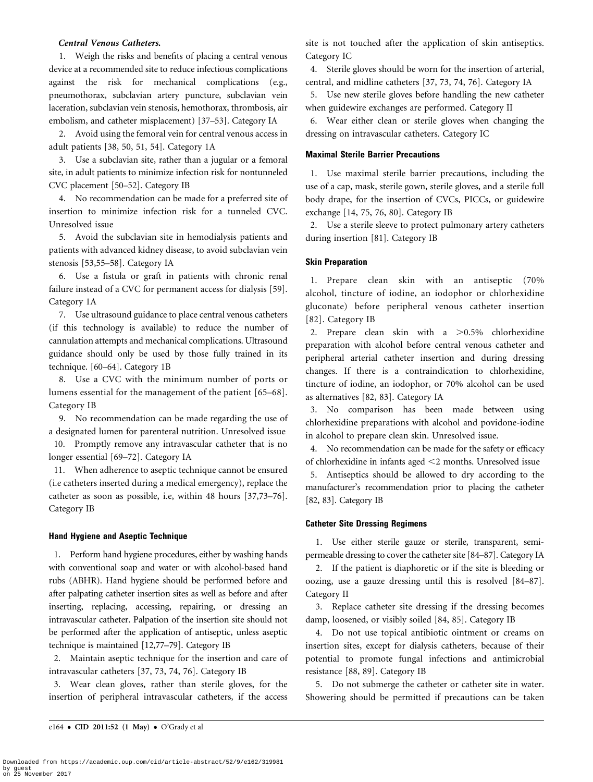#### Central Venous Catheters.

1. Weigh the risks and benefits of placing a central venous device at a recommended site to reduce infectious complications against the risk for mechanical complications (e.g., pneumothorax, subclavian artery puncture, subclavian vein laceration, subclavian vein stenosis, hemothorax, thrombosis, air embolism, and catheter misplacement) [37–53]. Category IA

2. Avoid using the femoral vein for central venous access in adult patients [38, 50, 51, 54]. Category 1A

3. Use a subclavian site, rather than a jugular or a femoral site, in adult patients to minimize infection risk for nontunneled CVC placement [50–52]. Category IB

4. No recommendation can be made for a preferred site of insertion to minimize infection risk for a tunneled CVC. Unresolved issue

5. Avoid the subclavian site in hemodialysis patients and patients with advanced kidney disease, to avoid subclavian vein stenosis [53,55–58]. Category IA

6. Use a fistula or graft in patients with chronic renal failure instead of a CVC for permanent access for dialysis [59]. Category 1A

7. Use ultrasound guidance to place central venous catheters (if this technology is available) to reduce the number of cannulation attempts and mechanical complications. Ultrasound guidance should only be used by those fully trained in its technique. [60–64]. Category 1B

8. Use a CVC with the minimum number of ports or lumens essential for the management of the patient [65–68]. Category IB

9. No recommendation can be made regarding the use of a designated lumen for parenteral nutrition. Unresolved issue

10. Promptly remove any intravascular catheter that is no longer essential [69–72]. Category IA

11. When adherence to aseptic technique cannot be ensured (i.e catheters inserted during a medical emergency), replace the catheter as soon as possible, i.e, within 48 hours [37,73–76]. Category IB

#### Hand Hygiene and Aseptic Technique

1. Perform hand hygiene procedures, either by washing hands with conventional soap and water or with alcohol-based hand rubs (ABHR). Hand hygiene should be performed before and after palpating catheter insertion sites as well as before and after inserting, replacing, accessing, repairing, or dressing an intravascular catheter. Palpation of the insertion site should not be performed after the application of antiseptic, unless aseptic technique is maintained [12,77–79]. Category IB

2. Maintain aseptic technique for the insertion and care of intravascular catheters [37, 73, 74, 76]. Category IB

3. Wear clean gloves, rather than sterile gloves, for the insertion of peripheral intravascular catheters, if the access site is not touched after the application of skin antiseptics. Category IC

4. Sterile gloves should be worn for the insertion of arterial, central, and midline catheters [37, 73, 74, 76]. Category IA

5. Use new sterile gloves before handling the new catheter when guidewire exchanges are performed. Category II

6. Wear either clean or sterile gloves when changing the dressing on intravascular catheters. Category IC

## Maximal Sterile Barrier Precautions

1. Use maximal sterile barrier precautions, including the use of a cap, mask, sterile gown, sterile gloves, and a sterile full body drape, for the insertion of CVCs, PICCs, or guidewire exchange [14, 75, 76, 80]. Category IB

2. Use a sterile sleeve to protect pulmonary artery catheters during insertion [81]. Category IB

#### Skin Preparation

1. Prepare clean skin with an antiseptic (70% alcohol, tincture of iodine, an iodophor or chlorhexidine gluconate) before peripheral venous catheter insertion [82]. Category IB

2. Prepare clean skin with a  $>0.5\%$  chlorhexidine preparation with alcohol before central venous catheter and peripheral arterial catheter insertion and during dressing changes. If there is a contraindication to chlorhexidine, tincture of iodine, an iodophor, or 70% alcohol can be used as alternatives [82, 83]. Category IA

3. No comparison has been made between using chlorhexidine preparations with alcohol and povidone-iodine in alcohol to prepare clean skin. Unresolved issue.

4. No recommendation can be made for the safety or efficacy of chlorhexidine in infants aged  $\leq$ 2 months. Unresolved issue

5. Antiseptics should be allowed to dry according to the manufacturer's recommendation prior to placing the catheter [82, 83]. Category IB

#### Catheter Site Dressing Regimens

1. Use either sterile gauze or sterile, transparent, semipermeable dressing to cover the catheter site [84–87]. Category IA

2. If the patient is diaphoretic or if the site is bleeding or oozing, use a gauze dressing until this is resolved [84–87]. Category II

3. Replace catheter site dressing if the dressing becomes damp, loosened, or visibly soiled [84, 85]. Category IB

4. Do not use topical antibiotic ointment or creams on insertion sites, except for dialysis catheters, because of their potential to promote fungal infections and antimicrobial resistance [88, 89]. Category IB

5. Do not submerge the catheter or catheter site in water. Showering should be permitted if precautions can be taken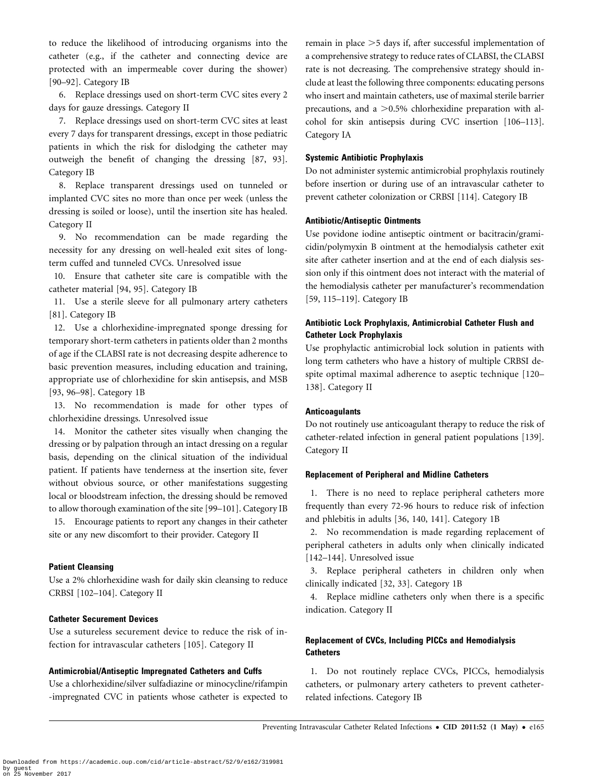to reduce the likelihood of introducing organisms into the catheter (e.g., if the catheter and connecting device are protected with an impermeable cover during the shower) [90–92]. Category IB

6. Replace dressings used on short-term CVC sites every 2 days for gauze dressings. Category II

7. Replace dressings used on short-term CVC sites at least every 7 days for transparent dressings, except in those pediatric patients in which the risk for dislodging the catheter may outweigh the benefit of changing the dressing [87, 93]. Category IB

8. Replace transparent dressings used on tunneled or implanted CVC sites no more than once per week (unless the dressing is soiled or loose), until the insertion site has healed. Category II

9. No recommendation can be made regarding the necessity for any dressing on well-healed exit sites of longterm cuffed and tunneled CVCs. Unresolved issue

10. Ensure that catheter site care is compatible with the catheter material [94, 95]. Category IB

11. Use a sterile sleeve for all pulmonary artery catheters [81]. Category IB

12. Use a chlorhexidine-impregnated sponge dressing for temporary short-term catheters in patients older than 2 months of age if the CLABSI rate is not decreasing despite adherence to basic prevention measures, including education and training, appropriate use of chlorhexidine for skin antisepsis, and MSB [93, 96–98]. Category 1B

13. No recommendation is made for other types of chlorhexidine dressings. Unresolved issue

14. Monitor the catheter sites visually when changing the dressing or by palpation through an intact dressing on a regular basis, depending on the clinical situation of the individual patient. If patients have tenderness at the insertion site, fever without obvious source, or other manifestations suggesting local or bloodstream infection, the dressing should be removed to allow thorough examination of the site [99–101]. Category IB

15. Encourage patients to report any changes in their catheter site or any new discomfort to their provider. Category II

#### Patient Cleansing

Use a 2% chlorhexidine wash for daily skin cleansing to reduce CRBSI [102–104]. Category II

#### Catheter Securement Devices

Use a sutureless securement device to reduce the risk of infection for intravascular catheters [105]. Category II

#### Antimicrobial/Antiseptic Impregnated Catheters and Cuffs

Use a chlorhexidine/silver sulfadiazine or minocycline/rifampin -impregnated CVC in patients whose catheter is expected to remain in place >5 days if, after successful implementation of a comprehensive strategy to reduce rates of CLABSI, the CLABSI rate is not decreasing. The comprehensive strategy should include at least the following three components: educating persons who insert and maintain catheters, use of maximal sterile barrier precautions, and a  $>0.5\%$  chlorhexidine preparation with alcohol for skin antisepsis during CVC insertion [106–113]. Category IA

#### Systemic Antibiotic Prophylaxis

Do not administer systemic antimicrobial prophylaxis routinely before insertion or during use of an intravascular catheter to prevent catheter colonization or CRBSI [114]. Category IB

#### Antibiotic/Antiseptic Ointments

Use povidone iodine antiseptic ointment or bacitracin/gramicidin/polymyxin B ointment at the hemodialysis catheter exit site after catheter insertion and at the end of each dialysis session only if this ointment does not interact with the material of the hemodialysis catheter per manufacturer's recommendation [59, 115–119]. Category IB

# Antibiotic Lock Prophylaxis, Antimicrobial Catheter Flush and Catheter Lock Prophylaxis

Use prophylactic antimicrobial lock solution in patients with long term catheters who have a history of multiple CRBSI despite optimal maximal adherence to aseptic technique [120– 138]. Category II

# **Anticoagulants**

Do not routinely use anticoagulant therapy to reduce the risk of catheter-related infection in general patient populations [139]. Category II

#### Replacement of Peripheral and Midline Catheters

1. There is no need to replace peripheral catheters more frequently than every 72-96 hours to reduce risk of infection and phlebitis in adults [36, 140, 141]. Category 1B

2. No recommendation is made regarding replacement of peripheral catheters in adults only when clinically indicated [142–144]. Unresolved issue

3. Replace peripheral catheters in children only when clinically indicated [32, 33]. Category 1B

4. Replace midline catheters only when there is a specific indication. Category II

# Replacement of CVCs, Including PICCs and Hemodialysis **Catheters**

1. Do not routinely replace CVCs, PICCs, hemodialysis catheters, or pulmonary artery catheters to prevent catheterrelated infections. Category IB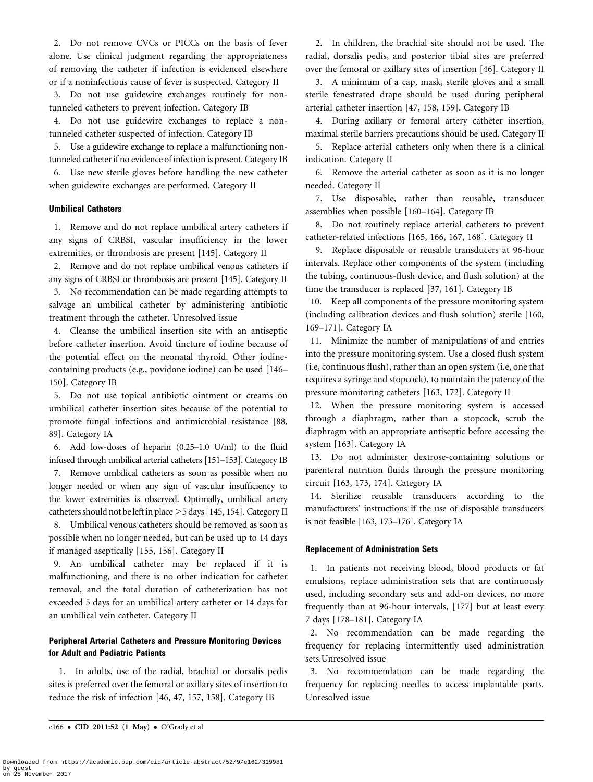2. Do not remove CVCs or PICCs on the basis of fever alone. Use clinical judgment regarding the appropriateness of removing the catheter if infection is evidenced elsewhere or if a noninfectious cause of fever is suspected. Category II

3. Do not use guidewire exchanges routinely for nontunneled catheters to prevent infection. Category IB

4. Do not use guidewire exchanges to replace a nontunneled catheter suspected of infection. Category IB

5. Use a guidewire exchange to replace a malfunctioning nontunneled catheter if no evidence of infection is present. Category IB

6. Use new sterile gloves before handling the new catheter when guidewire exchanges are performed. Category II

#### Umbilical Catheters

1. Remove and do not replace umbilical artery catheters if any signs of CRBSI, vascular insufficiency in the lower extremities, or thrombosis are present [145]. Category II

2. Remove and do not replace umbilical venous catheters if any signs of CRBSI or thrombosis are present [145]. Category II

3. No recommendation can be made regarding attempts to salvage an umbilical catheter by administering antibiotic treatment through the catheter. Unresolved issue

4. Cleanse the umbilical insertion site with an antiseptic before catheter insertion. Avoid tincture of iodine because of the potential effect on the neonatal thyroid. Other iodinecontaining products (e.g., povidone iodine) can be used [146– 150]. Category IB

5. Do not use topical antibiotic ointment or creams on umbilical catheter insertion sites because of the potential to promote fungal infections and antimicrobial resistance [88, 89]. Category IA

6. Add low-doses of heparin (0.25–1.0 U/ml) to the fluid infused through umbilical arterial catheters [151–153]. Category IB

7. Remove umbilical catheters as soon as possible when no longer needed or when any sign of vascular insufficiency to the lower extremities is observed. Optimally, umbilical artery catheters should not be left in place > 5 days [145, 154]. Category II

8. Umbilical venous catheters should be removed as soon as possible when no longer needed, but can be used up to 14 days if managed aseptically [155, 156]. Category II

9. An umbilical catheter may be replaced if it is malfunctioning, and there is no other indication for catheter removal, and the total duration of catheterization has not exceeded 5 days for an umbilical artery catheter or 14 days for an umbilical vein catheter. Category II

# Peripheral Arterial Catheters and Pressure Monitoring Devices for Adult and Pediatric Patients

1. In adults, use of the radial, brachial or dorsalis pedis sites is preferred over the femoral or axillary sites of insertion to reduce the risk of infection [46, 47, 157, 158]. Category IB

2. In children, the brachial site should not be used. The radial, dorsalis pedis, and posterior tibial sites are preferred over the femoral or axillary sites of insertion [46]. Category II

3. A minimum of a cap, mask, sterile gloves and a small sterile fenestrated drape should be used during peripheral arterial catheter insertion [47, 158, 159]. Category IB

4. During axillary or femoral artery catheter insertion, maximal sterile barriers precautions should be used. Category II

5. Replace arterial catheters only when there is a clinical indication. Category II

6. Remove the arterial catheter as soon as it is no longer needed. Category II

7. Use disposable, rather than reusable, transducer assemblies when possible [160–164]. Category IB

8. Do not routinely replace arterial catheters to prevent catheter-related infections [165, 166, 167, 168]. Category II

9. Replace disposable or reusable transducers at 96-hour intervals. Replace other components of the system (including the tubing, continuous-flush device, and flush solution) at the time the transducer is replaced [37, 161]. Category IB

10. Keep all components of the pressure monitoring system (including calibration devices and flush solution) sterile [160, 169–171]. Category IA

11. Minimize the number of manipulations of and entries into the pressure monitoring system. Use a closed flush system (i.e, continuous flush), rather than an open system (i.e, one that requires a syringe and stopcock), to maintain the patency of the pressure monitoring catheters [163, 172]. Category II

12. When the pressure monitoring system is accessed through a diaphragm, rather than a stopcock, scrub the diaphragm with an appropriate antiseptic before accessing the system [163]. Category IA

13. Do not administer dextrose-containing solutions or parenteral nutrition fluids through the pressure monitoring circuit [163, 173, 174]. Category IA

14. Sterilize reusable transducers according to the manufacturers' instructions if the use of disposable transducers is not feasible [163, 173–176]. Category IA

#### Replacement of Administration Sets

1. In patients not receiving blood, blood products or fat emulsions, replace administration sets that are continuously used, including secondary sets and add-on devices, no more frequently than at 96-hour intervals, [177] but at least every 7 days [178–181]. Category IA

2. No recommendation can be made regarding the frequency for replacing intermittently used administration sets.Unresolved issue

3. No recommendation can be made regarding the frequency for replacing needles to access implantable ports. Unresolved issue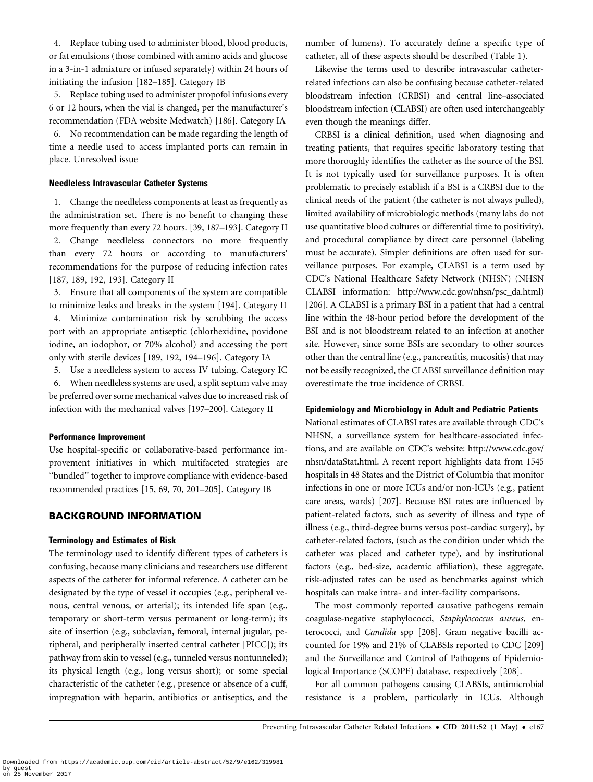4. Replace tubing used to administer blood, blood products, or fat emulsions (those combined with amino acids and glucose in a 3-in-1 admixture or infused separately) within 24 hours of initiating the infusion [182–185]. Category IB

5. Replace tubing used to administer propofol infusions every 6 or 12 hours, when the vial is changed, per the manufacturer's recommendation (FDA website Medwatch) [186]. Category IA

6. No recommendation can be made regarding the length of time a needle used to access implanted ports can remain in place. Unresolved issue

#### Needleless Intravascular Catheter Systems

1. Change the needleless components at least as frequently as the administration set. There is no benefit to changing these more frequently than every 72 hours. [39, 187–193]. Category II 2. Change needleless connectors no more frequently than every 72 hours or according to manufacturers' recommendations for the purpose of reducing infection rates [187, 189, 192, 193]. Category II

3. Ensure that all components of the system are compatible to minimize leaks and breaks in the system [194]. Category II 4. Minimize contamination risk by scrubbing the access port with an appropriate antiseptic (chlorhexidine, povidone iodine, an iodophor, or 70% alcohol) and accessing the port only with sterile devices [189, 192, 194–196]. Category IA

5. Use a needleless system to access IV tubing. Category IC

6. When needleless systems are used, a split septum valve may be preferred over some mechanical valves due to increased risk of infection with the mechanical valves [197–200]. Category II

#### Performance Improvement

Use hospital-specific or collaborative-based performance improvement initiatives in which multifaceted strategies are ''bundled'' together to improve compliance with evidence-based recommended practices [15, 69, 70, 201–205]. Category IB

# BACKGROUND INFORMATION

#### Terminology and Estimates of Risk

The terminology used to identify different types of catheters is confusing, because many clinicians and researchers use different aspects of the catheter for informal reference. A catheter can be designated by the type of vessel it occupies (e.g., peripheral venous, central venous, or arterial); its intended life span (e.g., temporary or short-term versus permanent or long-term); its site of insertion (e.g., subclavian, femoral, internal jugular, peripheral, and peripherally inserted central catheter [PICC]); its pathway from skin to vessel (e.g., tunneled versus nontunneled); its physical length (e.g., long versus short); or some special characteristic of the catheter (e.g., presence or absence of a cuff, impregnation with heparin, antibiotics or antiseptics, and the number of lumens). To accurately define a specific type of catheter, all of these aspects should be described (Table 1).

Likewise the terms used to describe intravascular catheterrelated infections can also be confusing because catheter-related bloodstream infection (CRBSI) and central line–associated bloodstream infection (CLABSI) are often used interchangeably even though the meanings differ.

CRBSI is a clinical definition, used when diagnosing and treating patients, that requires specific laboratory testing that more thoroughly identifies the catheter as the source of the BSI. It is not typically used for surveillance purposes. It is often problematic to precisely establish if a BSI is a CRBSI due to the clinical needs of the patient (the catheter is not always pulled), limited availability of microbiologic methods (many labs do not use quantitative blood cultures or differential time to positivity), and procedural compliance by direct care personnel (labeling must be accurate). Simpler definitions are often used for surveillance purposes. For example, CLABSI is a term used by CDC's National Healthcare Safety Network (NHSN) (NHSN CLABSI information: http://www.cdc.gov/nhsn/psc\_da.html) [206]. A CLABSI is a primary BSI in a patient that had a central line within the 48-hour period before the development of the BSI and is not bloodstream related to an infection at another site. However, since some BSIs are secondary to other sources other than the central line (e.g., pancreatitis, mucositis) that may not be easily recognized, the CLABSI surveillance definition may overestimate the true incidence of CRBSI.

#### Epidemiology and Microbiology in Adult and Pediatric Patients

National estimates of CLABSI rates are available through CDC's NHSN, a surveillance system for healthcare-associated infections, and are available on CDC's website: http://www.cdc.gov/ nhsn/dataStat.html. A recent report highlights data from 1545 hospitals in 48 States and the District of Columbia that monitor infections in one or more ICUs and/or non-ICUs (e.g., patient care areas, wards) [207]. Because BSI rates are influenced by patient-related factors, such as severity of illness and type of illness (e.g., third-degree burns versus post-cardiac surgery), by catheter-related factors, (such as the condition under which the catheter was placed and catheter type), and by institutional factors (e.g., bed-size, academic affiliation), these aggregate, risk-adjusted rates can be used as benchmarks against which hospitals can make intra- and inter-facility comparisons.

The most commonly reported causative pathogens remain coagulase-negative staphylococci, Staphylococcus aureus, enterococci, and Candida spp [208]. Gram negative bacilli accounted for 19% and 21% of CLABSIs reported to CDC [209] and the Surveillance and Control of Pathogens of Epidemiological Importance (SCOPE) database, respectively [208].

For all common pathogens causing CLABSIs, antimicrobial resistance is a problem, particularly in ICUs. Although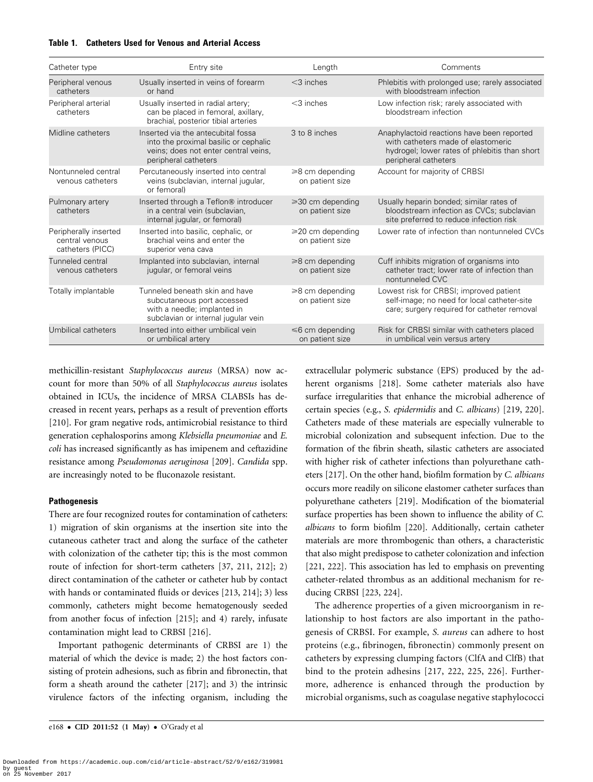#### Table 1. Catheters Used for Venous and Arterial Access

| Catheter type                                               | Entry site                                                                                                                                  | Length                                         | Comments                                                                                                                                                  |
|-------------------------------------------------------------|---------------------------------------------------------------------------------------------------------------------------------------------|------------------------------------------------|-----------------------------------------------------------------------------------------------------------------------------------------------------------|
| Peripheral venous<br>catheters                              | Usually inserted in veins of forearm<br>or hand                                                                                             | $<$ 3 inches                                   | Phlebitis with prolonged use; rarely associated<br>with bloodstream infection                                                                             |
| Peripheral arterial<br>catheters                            | Usually inserted in radial artery;<br>can be placed in femoral, axillary,<br>brachial, posterior tibial arteries                            | $<$ 3 inches                                   | Low infection risk; rarely associated with<br>bloodstream infection                                                                                       |
| Midline catheters                                           | Inserted via the antecubital fossa<br>into the proximal basilic or cephalic<br>veins; does not enter central veins,<br>peripheral catheters | 3 to 8 inches                                  | Anaphylactoid reactions have been reported<br>with catheters made of elastomeric<br>hydrogel; lower rates of phlebitis than short<br>peripheral catheters |
| Nontunneled central<br>venous catheters                     | Percutaneously inserted into central<br>veins (subclavian, internal jugular,<br>or femoral)                                                 | $\geq 8$ cm depending<br>on patient size       | Account for majority of CRBSI                                                                                                                             |
| Pulmonary artery<br>catheters                               | Inserted through a Teflon® introducer<br>in a central vein (subclavian,<br>internal jugular, or femoral)                                    | $\geqslant$ 30 cm depending<br>on patient size | Usually heparin bonded; similar rates of<br>bloodstream infection as CVCs; subclavian<br>site preferred to reduce infection risk                          |
| Peripherally inserted<br>central venous<br>catheters (PICC) | Inserted into basilic, cephalic, or<br>brachial veins and enter the<br>superior vena cava                                                   | $\geq$ 20 cm depending<br>on patient size      | Lower rate of infection than nontunneled CVCs                                                                                                             |
| Tunneled central<br>venous catheters                        | Implanted into subclavian, internal<br>jugular, or femoral veins                                                                            | $\geq 8$ cm depending<br>on patient size       | Cuff inhibits migration of organisms into<br>catheter tract; lower rate of infection than<br>nontunneled CVC                                              |
| Totally implantable                                         | Tunneled beneath skin and have<br>subcutaneous port accessed<br>with a needle; implanted in<br>subclavian or internal jugular vein          | $\geq 8$ cm depending<br>on patient size       | Lowest risk for CRBSI; improved patient<br>self-image; no need for local catheter-site<br>care; surgery required for catheter removal                     |
| <b>Umbilical catheters</b>                                  | Inserted into either umbilical vein<br>or umbilical artery                                                                                  | $\leq 6$ cm depending<br>on patient size       | Risk for CRBSI similar with catheters placed<br>in umbilical vein versus artery                                                                           |

methicillin-resistant Staphylococcus aureus (MRSA) now account for more than 50% of all Staphylococcus aureus isolates obtained in ICUs, the incidence of MRSA CLABSIs has decreased in recent years, perhaps as a result of prevention efforts [210]. For gram negative rods, antimicrobial resistance to third generation cephalosporins among Klebsiella pneumoniae and E. coli has increased significantly as has imipenem and ceftazidine resistance among Pseudomonas aeruginosa [209]. Candida spp. are increasingly noted to be fluconazole resistant.

#### **Pathogenesis**

There are four recognized routes for contamination of catheters: 1) migration of skin organisms at the insertion site into the cutaneous catheter tract and along the surface of the catheter with colonization of the catheter tip; this is the most common route of infection for short-term catheters [37, 211, 212]; 2) direct contamination of the catheter or catheter hub by contact with hands or contaminated fluids or devices [213, 214]; 3) less commonly, catheters might become hematogenously seeded from another focus of infection [215]; and 4) rarely, infusate contamination might lead to CRBSI [216].

Important pathogenic determinants of CRBSI are 1) the material of which the device is made; 2) the host factors consisting of protein adhesions, such as fibrin and fibronectin, that form a sheath around the catheter [217]; and 3) the intrinsic virulence factors of the infecting organism, including the

e168 · CID 2011:52 (1 May) · O'Grady et al

extracellular polymeric substance (EPS) produced by the adherent organisms [218]. Some catheter materials also have surface irregularities that enhance the microbial adherence of certain species (e.g., S. epidermidis and C. albicans) [219, 220]. Catheters made of these materials are especially vulnerable to microbial colonization and subsequent infection. Due to the formation of the fibrin sheath, silastic catheters are associated with higher risk of catheter infections than polyurethane catheters [217]. On the other hand, biofilm formation by C. albicans occurs more readily on silicone elastomer catheter surfaces than polyurethane catheters [219]. Modification of the biomaterial surface properties has been shown to influence the ability of C. albicans to form biofilm [220]. Additionally, certain catheter materials are more thrombogenic than others, a characteristic that also might predispose to catheter colonization and infection [221, 222]. This association has led to emphasis on preventing catheter-related thrombus as an additional mechanism for reducing CRBSI [223, 224].

The adherence properties of a given microorganism in relationship to host factors are also important in the pathogenesis of CRBSI. For example, S. aureus can adhere to host proteins (e.g., fibrinogen, fibronectin) commonly present on catheters by expressing clumping factors (ClfA and ClfB) that bind to the protein adhesins [217, 222, 225, 226]. Furthermore, adherence is enhanced through the production by microbial organisms, such as coagulase negative staphylococci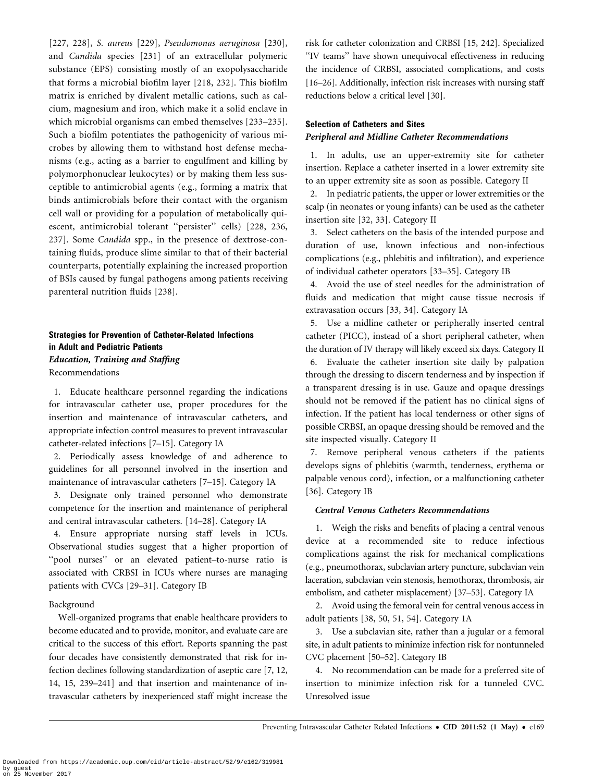[227, 228], S. aureus [229], Pseudomonas aeruginosa [230], and Candida species [231] of an extracellular polymeric substance (EPS) consisting mostly of an exopolysaccharide that forms a microbial biofilm layer [218, 232]. This biofilm matrix is enriched by divalent metallic cations, such as calcium, magnesium and iron, which make it a solid enclave in which microbial organisms can embed themselves [233–235]. Such a biofilm potentiates the pathogenicity of various microbes by allowing them to withstand host defense mechanisms (e.g., acting as a barrier to engulfment and killing by polymorphonuclear leukocytes) or by making them less susceptible to antimicrobial agents (e.g., forming a matrix that binds antimicrobials before their contact with the organism cell wall or providing for a population of metabolically quiescent, antimicrobial tolerant ''persister'' cells) [228, 236, 237]. Some Candida spp., in the presence of dextrose-containing fluids, produce slime similar to that of their bacterial counterparts, potentially explaining the increased proportion of BSIs caused by fungal pathogens among patients receiving parenteral nutrition fluids [238].

# Strategies for Prevention of Catheter-Related Infections in Adult and Pediatric Patients Education, Training and Staffing Recommendations

1. Educate healthcare personnel regarding the indications for intravascular catheter use, proper procedures for the insertion and maintenance of intravascular catheters, and appropriate infection control measures to prevent intravascular catheter-related infections [7–15]. Category IA

2. Periodically assess knowledge of and adherence to guidelines for all personnel involved in the insertion and maintenance of intravascular catheters [7–15]. Category IA

3. Designate only trained personnel who demonstrate competence for the insertion and maintenance of peripheral and central intravascular catheters. [14–28]. Category IA

4. Ensure appropriate nursing staff levels in ICUs. Observational studies suggest that a higher proportion of ''pool nurses'' or an elevated patient–to-nurse ratio is associated with CRBSI in ICUs where nurses are managing patients with CVCs [29–31]. Category IB

# Background

Well-organized programs that enable healthcare providers to become educated and to provide, monitor, and evaluate care are critical to the success of this effort. Reports spanning the past four decades have consistently demonstrated that risk for infection declines following standardization of aseptic care [7, 12, 14, 15, 239–241] and that insertion and maintenance of intravascular catheters by inexperienced staff might increase the risk for catheter colonization and CRBSI [15, 242]. Specialized ''IV teams'' have shown unequivocal effectiveness in reducing the incidence of CRBSI, associated complications, and costs [16–26]. Additionally, infection risk increases with nursing staff reductions below a critical level [30].

#### Selection of Catheters and Sites

#### Peripheral and Midline Catheter Recommendations

1. In adults, use an upper-extremity site for catheter insertion. Replace a catheter inserted in a lower extremity site to an upper extremity site as soon as possible. Category II

2. In pediatric patients, the upper or lower extremities or the scalp (in neonates or young infants) can be used as the catheter insertion site [32, 33]. Category II

3. Select catheters on the basis of the intended purpose and duration of use, known infectious and non-infectious complications (e.g., phlebitis and infiltration), and experience of individual catheter operators [33–35]. Category IB

4. Avoid the use of steel needles for the administration of fluids and medication that might cause tissue necrosis if extravasation occurs [33, 34]. Category IA

5. Use a midline catheter or peripherally inserted central catheter (PICC), instead of a short peripheral catheter, when the duration of IV therapy will likely exceed six days. Category II

6. Evaluate the catheter insertion site daily by palpation through the dressing to discern tenderness and by inspection if a transparent dressing is in use. Gauze and opaque dressings should not be removed if the patient has no clinical signs of infection. If the patient has local tenderness or other signs of possible CRBSI, an opaque dressing should be removed and the site inspected visually. Category II

7. Remove peripheral venous catheters if the patients develops signs of phlebitis (warmth, tenderness, erythema or palpable venous cord), infection, or a malfunctioning catheter [36]. Category IB

#### Central Venous Catheters Recommendations

1. Weigh the risks and benefits of placing a central venous device at a recommended site to reduce infectious complications against the risk for mechanical complications (e.g., pneumothorax, subclavian artery puncture, subclavian vein laceration, subclavian vein stenosis, hemothorax, thrombosis, air embolism, and catheter misplacement) [37–53]. Category IA

2. Avoid using the femoral vein for central venous access in adult patients [38, 50, 51, 54]. Category 1A

3. Use a subclavian site, rather than a jugular or a femoral site, in adult patients to minimize infection risk for nontunneled CVC placement [50–52]. Category IB

4. No recommendation can be made for a preferred site of insertion to minimize infection risk for a tunneled CVC. Unresolved issue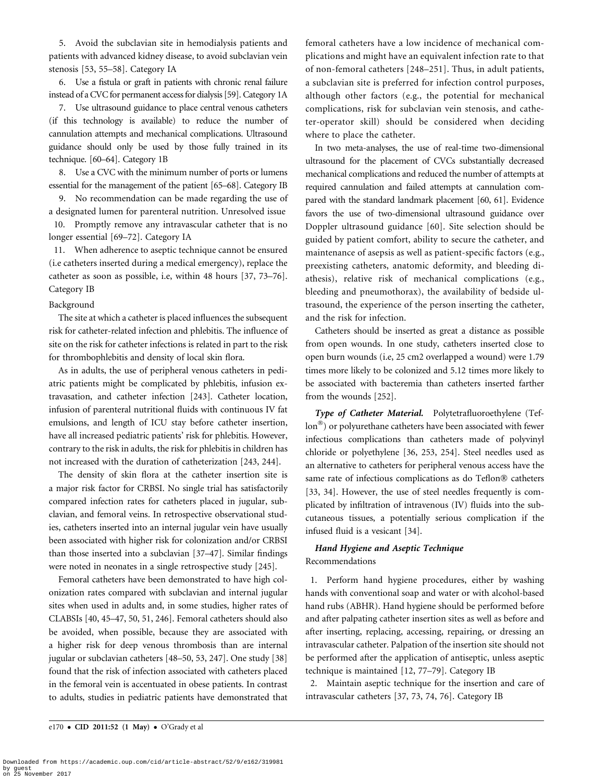5. Avoid the subclavian site in hemodialysis patients and patients with advanced kidney disease, to avoid subclavian vein stenosis [53, 55–58]. Category IA

6. Use a fistula or graft in patients with chronic renal failure instead of a CVC for permanent access for dialysis [59]. Category 1A

7. Use ultrasound guidance to place central venous catheters (if this technology is available) to reduce the number of cannulation attempts and mechanical complications. Ultrasound guidance should only be used by those fully trained in its technique. [60–64]. Category 1B

8. Use a CVC with the minimum number of ports or lumens essential for the management of the patient [65–68]. Category IB

9. No recommendation can be made regarding the use of a designated lumen for parenteral nutrition. Unresolved issue

10. Promptly remove any intravascular catheter that is no longer essential [69–72]. Category IA

11. When adherence to aseptic technique cannot be ensured (i.e catheters inserted during a medical emergency), replace the catheter as soon as possible, i.e, within 48 hours [37, 73–76]. Category IB

#### Background

The site at which a catheter is placed influences the subsequent risk for catheter-related infection and phlebitis. The influence of site on the risk for catheter infections is related in part to the risk for thrombophlebitis and density of local skin flora.

As in adults, the use of peripheral venous catheters in pediatric patients might be complicated by phlebitis, infusion extravasation, and catheter infection [243]. Catheter location, infusion of parenteral nutritional fluids with continuous IV fat emulsions, and length of ICU stay before catheter insertion, have all increased pediatric patients' risk for phlebitis. However, contrary to the risk in adults, the risk for phlebitis in children has not increased with the duration of catheterization [243, 244].

The density of skin flora at the catheter insertion site is a major risk factor for CRBSI. No single trial has satisfactorily compared infection rates for catheters placed in jugular, subclavian, and femoral veins. In retrospective observational studies, catheters inserted into an internal jugular vein have usually been associated with higher risk for colonization and/or CRBSI than those inserted into a subclavian [37–47]. Similar findings were noted in neonates in a single retrospective study [245].

Femoral catheters have been demonstrated to have high colonization rates compared with subclavian and internal jugular sites when used in adults and, in some studies, higher rates of CLABSIs [40, 45–47, 50, 51, 246]. Femoral catheters should also be avoided, when possible, because they are associated with a higher risk for deep venous thrombosis than are internal jugular or subclavian catheters [48–50, 53, 247]. One study [38] found that the risk of infection associated with catheters placed in the femoral vein is accentuated in obese patients. In contrast to adults, studies in pediatric patients have demonstrated that femoral catheters have a low incidence of mechanical complications and might have an equivalent infection rate to that of non-femoral catheters [248–251]. Thus, in adult patients, a subclavian site is preferred for infection control purposes, although other factors (e.g., the potential for mechanical complications, risk for subclavian vein stenosis, and catheter-operator skill) should be considered when deciding where to place the catheter.

In two meta-analyses, the use of real-time two-dimensional ultrasound for the placement of CVCs substantially decreased mechanical complications and reduced the number of attempts at required cannulation and failed attempts at cannulation compared with the standard landmark placement [60, 61]. Evidence favors the use of two-dimensional ultrasound guidance over Doppler ultrasound guidance [60]. Site selection should be guided by patient comfort, ability to secure the catheter, and maintenance of asepsis as well as patient-specific factors (e.g., preexisting catheters, anatomic deformity, and bleeding diathesis), relative risk of mechanical complications (e.g., bleeding and pneumothorax), the availability of bedside ultrasound, the experience of the person inserting the catheter, and the risk for infection.

Catheters should be inserted as great a distance as possible from open wounds. In one study, catheters inserted close to open burn wounds (i.e, 25 cm2 overlapped a wound) were 1.79 times more likely to be colonized and 5.12 times more likely to be associated with bacteremia than catheters inserted farther from the wounds [252].

Type of Catheter Material. Polytetrafluoroethylene (Tef- $\text{lon}^{\circledR}$ ) or polyurethane catheters have been associated with fewer infectious complications than catheters made of polyvinyl chloride or polyethylene [36, 253, 254]. Steel needles used as an alternative to catheters for peripheral venous access have the same rate of infectious complications as do Teflon<sup>®</sup> catheters [33, 34]. However, the use of steel needles frequently is complicated by infiltration of intravenous (IV) fluids into the subcutaneous tissues, a potentially serious complication if the infused fluid is a vesicant [34].

# Hand Hygiene and Aseptic Technique Recommendations

1. Perform hand hygiene procedures, either by washing hands with conventional soap and water or with alcohol-based hand rubs (ABHR). Hand hygiene should be performed before and after palpating catheter insertion sites as well as before and after inserting, replacing, accessing, repairing, or dressing an intravascular catheter. Palpation of the insertion site should not be performed after the application of antiseptic, unless aseptic technique is maintained [12, 77–79]. Category IB

2. Maintain aseptic technique for the insertion and care of intravascular catheters [37, 73, 74, 76]. Category IB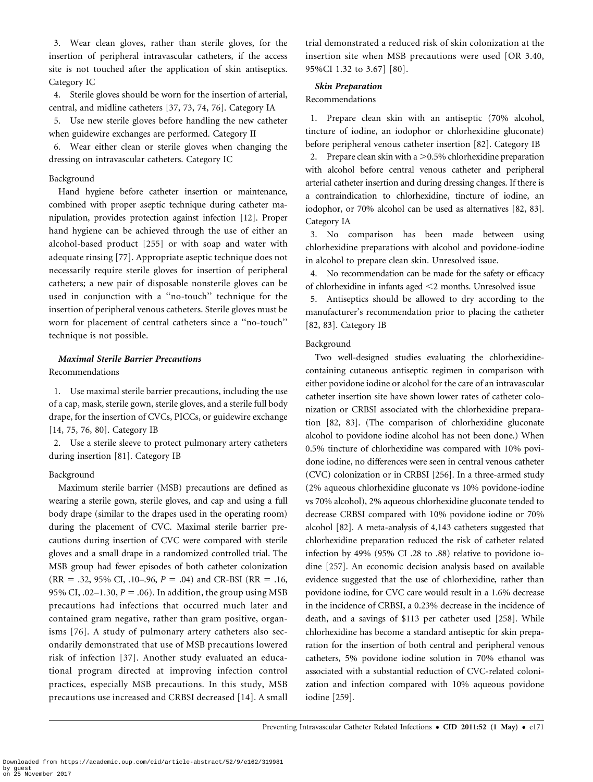3. Wear clean gloves, rather than sterile gloves, for the insertion of peripheral intravascular catheters, if the access site is not touched after the application of skin antiseptics. Category IC

4. Sterile gloves should be worn for the insertion of arterial, central, and midline catheters [37, 73, 74, 76]. Category IA

5. Use new sterile gloves before handling the new catheter when guidewire exchanges are performed. Category II

6. Wear either clean or sterile gloves when changing the dressing on intravascular catheters. Category IC

# Background

Hand hygiene before catheter insertion or maintenance, combined with proper aseptic technique during catheter manipulation, provides protection against infection [12]. Proper hand hygiene can be achieved through the use of either an alcohol-based product [255] or with soap and water with adequate rinsing [77]. Appropriate aseptic technique does not necessarily require sterile gloves for insertion of peripheral catheters; a new pair of disposable nonsterile gloves can be used in conjunction with a ''no-touch'' technique for the insertion of peripheral venous catheters. Sterile gloves must be worn for placement of central catheters since a ''no-touch'' technique is not possible.

#### Maximal Sterile Barrier Precautions

#### Recommendations

1. Use maximal sterile barrier precautions, including the use of a cap, mask, sterile gown, sterile gloves, and a sterile full body drape, for the insertion of CVCs, PICCs, or guidewire exchange [14, 75, 76, 80]. Category IB

2. Use a sterile sleeve to protect pulmonary artery catheters during insertion [81]. Category IB

#### Background

Maximum sterile barrier (MSB) precautions are defined as wearing a sterile gown, sterile gloves, and cap and using a full body drape (similar to the drapes used in the operating room) during the placement of CVC. Maximal sterile barrier precautions during insertion of CVC were compared with sterile gloves and a small drape in a randomized controlled trial. The MSB group had fewer episodes of both catheter colonization (RR = .32, 95% CI, .10–.96,  $P = .04$ ) and CR-BSI (RR = .16, 95% CI, .02–1.30,  $P = .06$ ). In addition, the group using MSB precautions had infections that occurred much later and contained gram negative, rather than gram positive, organisms [76]. A study of pulmonary artery catheters also secondarily demonstrated that use of MSB precautions lowered risk of infection [37]. Another study evaluated an educational program directed at improving infection control practices, especially MSB precautions. In this study, MSB precautions use increased and CRBSI decreased [14]. A small trial demonstrated a reduced risk of skin colonization at the insertion site when MSB precautions were used [OR 3.40, 95%CI 1.32 to 3.67] [80].

## Skin Preparation

#### Recommendations

1. Prepare clean skin with an antiseptic (70% alcohol, tincture of iodine, an iodophor or chlorhexidine gluconate) before peripheral venous catheter insertion [82]. Category IB

2. Prepare clean skin with a  $>0.5\%$  chlorhexidine preparation with alcohol before central venous catheter and peripheral arterial catheter insertion and during dressing changes. If there is a contraindication to chlorhexidine, tincture of iodine, an iodophor, or 70% alcohol can be used as alternatives [82, 83]. Category IA

3. No comparison has been made between using chlorhexidine preparations with alcohol and povidone-iodine in alcohol to prepare clean skin. Unresolved issue.

4. No recommendation can be made for the safety or efficacy of chlorhexidine in infants aged  $\leq$ 2 months. Unresolved issue

5. Antiseptics should be allowed to dry according to the manufacturer's recommendation prior to placing the catheter [82, 83]. Category IB

#### Background

Two well-designed studies evaluating the chlorhexidinecontaining cutaneous antiseptic regimen in comparison with either povidone iodine or alcohol for the care of an intravascular catheter insertion site have shown lower rates of catheter colonization or CRBSI associated with the chlorhexidine preparation [82, 83]. (The comparison of chlorhexidine gluconate alcohol to povidone iodine alcohol has not been done.) When 0.5% tincture of chlorhexidine was compared with 10% povidone iodine, no differences were seen in central venous catheter (CVC) colonization or in CRBSI [256]. In a three-armed study (2% aqueous chlorhexidine gluconate vs 10% povidone-iodine vs 70% alcohol), 2% aqueous chlorhexidine gluconate tended to decrease CRBSI compared with 10% povidone iodine or 70% alcohol [82]. A meta-analysis of 4,143 catheters suggested that chlorhexidine preparation reduced the risk of catheter related infection by 49% (95% CI .28 to .88) relative to povidone iodine [257]. An economic decision analysis based on available evidence suggested that the use of chlorhexidine, rather than povidone iodine, for CVC care would result in a 1.6% decrease in the incidence of CRBSI, a 0.23% decrease in the incidence of death, and a savings of \$113 per catheter used [258]. While chlorhexidine has become a standard antiseptic for skin preparation for the insertion of both central and peripheral venous catheters, 5% povidone iodine solution in 70% ethanol was associated with a substantial reduction of CVC-related colonization and infection compared with 10% aqueous povidone iodine [259].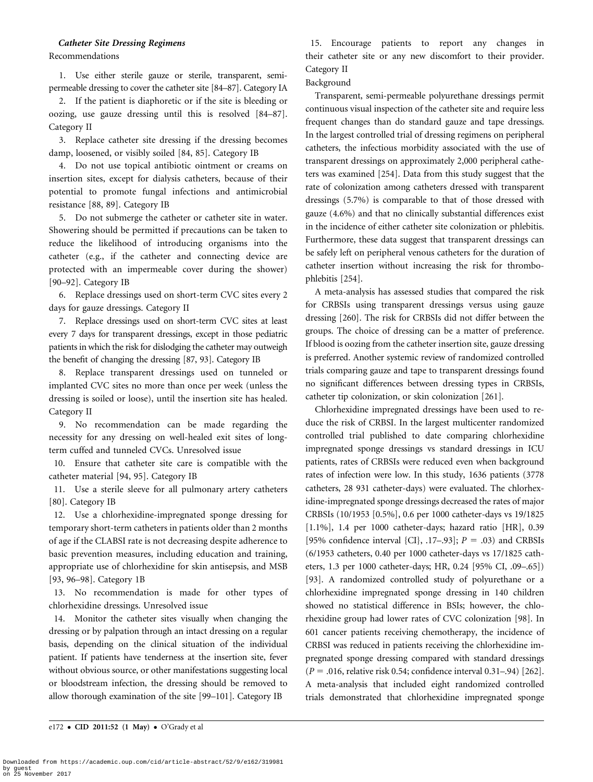#### Catheter Site Dressing Regimens

Recommendations

1. Use either sterile gauze or sterile, transparent, semipermeable dressing to cover the catheter site [84–87]. Category IA

2. If the patient is diaphoretic or if the site is bleeding or oozing, use gauze dressing until this is resolved [84–87]. Category II

3. Replace catheter site dressing if the dressing becomes damp, loosened, or visibly soiled [84, 85]. Category IB

4. Do not use topical antibiotic ointment or creams on insertion sites, except for dialysis catheters, because of their potential to promote fungal infections and antimicrobial resistance [88, 89]. Category IB

5. Do not submerge the catheter or catheter site in water. Showering should be permitted if precautions can be taken to reduce the likelihood of introducing organisms into the catheter (e.g., if the catheter and connecting device are protected with an impermeable cover during the shower) [90–92]. Category IB

6. Replace dressings used on short-term CVC sites every 2 days for gauze dressings. Category II

7. Replace dressings used on short-term CVC sites at least every 7 days for transparent dressings, except in those pediatric patients in which the risk for dislodging the catheter may outweigh the benefit of changing the dressing [87, 93]. Category IB

8. Replace transparent dressings used on tunneled or implanted CVC sites no more than once per week (unless the dressing is soiled or loose), until the insertion site has healed. Category II

9. No recommendation can be made regarding the necessity for any dressing on well-healed exit sites of longterm cuffed and tunneled CVCs. Unresolved issue

10. Ensure that catheter site care is compatible with the catheter material [94, 95]. Category IB

11. Use a sterile sleeve for all pulmonary artery catheters [80]. Category IB

12. Use a chlorhexidine-impregnated sponge dressing for temporary short-term catheters in patients older than 2 months of age if the CLABSI rate is not decreasing despite adherence to basic prevention measures, including education and training, appropriate use of chlorhexidine for skin antisepsis, and MSB [93, 96–98]. Category 1B

13. No recommendation is made for other types of chlorhexidine dressings. Unresolved issue

14. Monitor the catheter sites visually when changing the dressing or by palpation through an intact dressing on a regular basis, depending on the clinical situation of the individual patient. If patients have tenderness at the insertion site, fever without obvious source, or other manifestations suggesting local or bloodstream infection, the dressing should be removed to allow thorough examination of the site [99–101]. Category IB

e172 · CID 2011:52 (1 May) · O'Grady et al

15. Encourage patients to report any changes in their catheter site or any new discomfort to their provider. Category II

Background

Transparent, semi-permeable polyurethane dressings permit continuous visual inspection of the catheter site and require less frequent changes than do standard gauze and tape dressings. In the largest controlled trial of dressing regimens on peripheral catheters, the infectious morbidity associated with the use of transparent dressings on approximately 2,000 peripheral catheters was examined [254]. Data from this study suggest that the rate of colonization among catheters dressed with transparent dressings (5.7%) is comparable to that of those dressed with gauze (4.6%) and that no clinically substantial differences exist in the incidence of either catheter site colonization or phlebitis. Furthermore, these data suggest that transparent dressings can be safely left on peripheral venous catheters for the duration of catheter insertion without increasing the risk for thrombophlebitis [254].

A meta-analysis has assessed studies that compared the risk for CRBSIs using transparent dressings versus using gauze dressing [260]. The risk for CRBSIs did not differ between the groups. The choice of dressing can be a matter of preference. If blood is oozing from the catheter insertion site, gauze dressing is preferred. Another systemic review of randomized controlled trials comparing gauze and tape to transparent dressings found no significant differences between dressing types in CRBSIs, catheter tip colonization, or skin colonization [261].

Chlorhexidine impregnated dressings have been used to reduce the risk of CRBSI. In the largest multicenter randomized controlled trial published to date comparing chlorhexidine impregnated sponge dressings vs standard dressings in ICU patients, rates of CRBSIs were reduced even when background rates of infection were low. In this study, 1636 patients (3778 catheters, 28 931 catheter-days) were evaluated. The chlorhexidine-impregnated sponge dressings decreased the rates of major CRBSIs (10/1953 [0.5%], 0.6 per 1000 catheter-days vs 19/1825 [1.1%], 1.4 per 1000 catheter-days; hazard ratio [HR], 0.39 [95% confidence interval {CI}, .17–.93];  $P = .03$  and CRBSIs (6/1953 catheters, 0.40 per 1000 catheter-days vs 17/1825 catheters, 1.3 per 1000 catheter-days; HR, 0.24 [95% CI, .09–.65]) [93]. A randomized controlled study of polyurethane or a chlorhexidine impregnated sponge dressing in 140 children showed no statistical difference in BSIs; however, the chlorhexidine group had lower rates of CVC colonization [98]. In 601 cancer patients receiving chemotherapy, the incidence of CRBSI was reduced in patients receiving the chlorhexidine impregnated sponge dressing compared with standard dressings  $(P = .016,$  relative risk 0.54; confidence interval 0.31–.94) [262]. A meta-analysis that included eight randomized controlled trials demonstrated that chlorhexidine impregnated sponge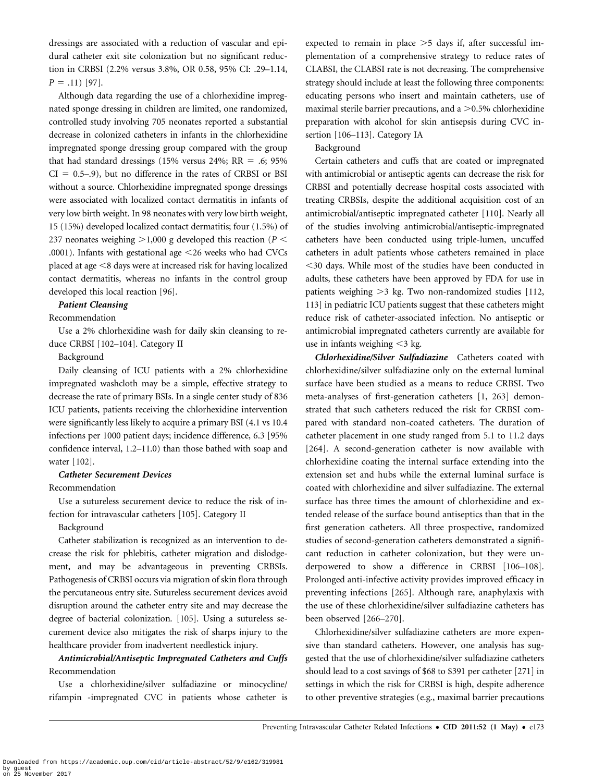dressings are associated with a reduction of vascular and epidural catheter exit site colonization but no significant reduction in CRBSI (2.2% versus 3.8%, OR 0.58, 95% CI: .29–1.14,  $P = .11)$  [97].

Although data regarding the use of a chlorhexidine impregnated sponge dressing in children are limited, one randomized, controlled study involving 705 neonates reported a substantial decrease in colonized catheters in infants in the chlorhexidine impregnated sponge dressing group compared with the group that had standard dressings (15% versus 24%;  $RR = .6$ ; 95%  $CI = 0.5–.9$ , but no difference in the rates of CRBSI or BSI without a source. Chlorhexidine impregnated sponge dressings were associated with localized contact dermatitis in infants of very low birth weight. In 98 neonates with very low birth weight, 15 (15%) developed localized contact dermatitis; four (1.5%) of 237 neonates weighing  $>1,000$  g developed this reaction ( $P <$ .0001). Infants with gestational age  $\leq$ 26 weeks who had CVCs placed at age  $<$ 8 days were at increased risk for having localized contact dermatitis, whereas no infants in the control group developed this local reaction [96].

# Patient Cleansing

Recommendation

Use a 2% chlorhexidine wash for daily skin cleansing to reduce CRBSI [102–104]. Category II

#### Background

Daily cleansing of ICU patients with a 2% chlorhexidine impregnated washcloth may be a simple, effective strategy to decrease the rate of primary BSIs. In a single center study of 836 ICU patients, patients receiving the chlorhexidine intervention were significantly less likely to acquire a primary BSI (4.1 vs 10.4 infections per 1000 patient days; incidence difference, 6.3 [95% confidence interval, 1.2–11.0) than those bathed with soap and water [102].

#### Catheter Securement Devices

Recommendation

Use a sutureless securement device to reduce the risk of infection for intravascular catheters [105]. Category II

# Background

Catheter stabilization is recognized as an intervention to decrease the risk for phlebitis, catheter migration and dislodgement, and may be advantageous in preventing CRBSIs. Pathogenesis of CRBSI occurs via migration of skin flora through the percutaneous entry site. Sutureless securement devices avoid disruption around the catheter entry site and may decrease the degree of bacterial colonization. [105]. Using a sutureless securement device also mitigates the risk of sharps injury to the healthcare provider from inadvertent needlestick injury.

# Antimicrobial/Antiseptic Impregnated Catheters and Cuffs Recommendation

Use a chlorhexidine/silver sulfadiazine or minocycline/ rifampin -impregnated CVC in patients whose catheter is

expected to remain in place  $>5$  days if, after successful implementation of a comprehensive strategy to reduce rates of CLABSI, the CLABSI rate is not decreasing. The comprehensive strategy should include at least the following three components: educating persons who insert and maintain catheters, use of maximal sterile barrier precautions, and a  $>0.5\%$  chlorhexidine preparation with alcohol for skin antisepsis during CVC insertion [106–113]. Category IA

#### Background

Certain catheters and cuffs that are coated or impregnated with antimicrobial or antiseptic agents can decrease the risk for CRBSI and potentially decrease hospital costs associated with treating CRBSIs, despite the additional acquisition cost of an antimicrobial/antiseptic impregnated catheter [110]. Nearly all of the studies involving antimicrobial/antiseptic-impregnated catheters have been conducted using triple-lumen, uncuffed catheters in adult patients whose catheters remained in place  $<$  30 days. While most of the studies have been conducted in adults, these catheters have been approved by FDA for use in patients weighing  $>3$  kg. Two non-randomized studies [112, 113] in pediatric ICU patients suggest that these catheters might reduce risk of catheter-associated infection. No antiseptic or antimicrobial impregnated catheters currently are available for use in infants weighing  $<$ 3 kg.

Chlorhexidine/Silver Sulfadiazine Catheters coated with chlorhexidine/silver sulfadiazine only on the external luminal surface have been studied as a means to reduce CRBSI. Two meta-analyses of first-generation catheters [1, 263] demonstrated that such catheters reduced the risk for CRBSI compared with standard non-coated catheters. The duration of catheter placement in one study ranged from 5.1 to 11.2 days [264]. A second-generation catheter is now available with chlorhexidine coating the internal surface extending into the extension set and hubs while the external luminal surface is coated with chlorhexidine and silver sulfadiazine. The external surface has three times the amount of chlorhexidine and extended release of the surface bound antiseptics than that in the first generation catheters. All three prospective, randomized studies of second-generation catheters demonstrated a significant reduction in catheter colonization, but they were underpowered to show a difference in CRBSI [106–108]. Prolonged anti-infective activity provides improved efficacy in preventing infections [265]. Although rare, anaphylaxis with the use of these chlorhexidine/silver sulfadiazine catheters has been observed [266–270].

Chlorhexidine/silver sulfadiazine catheters are more expensive than standard catheters. However, one analysis has suggested that the use of chlorhexidine/silver sulfadiazine catheters should lead to a cost savings of \$68 to \$391 per catheter [271] in settings in which the risk for CRBSI is high, despite adherence to other preventive strategies (e.g., maximal barrier precautions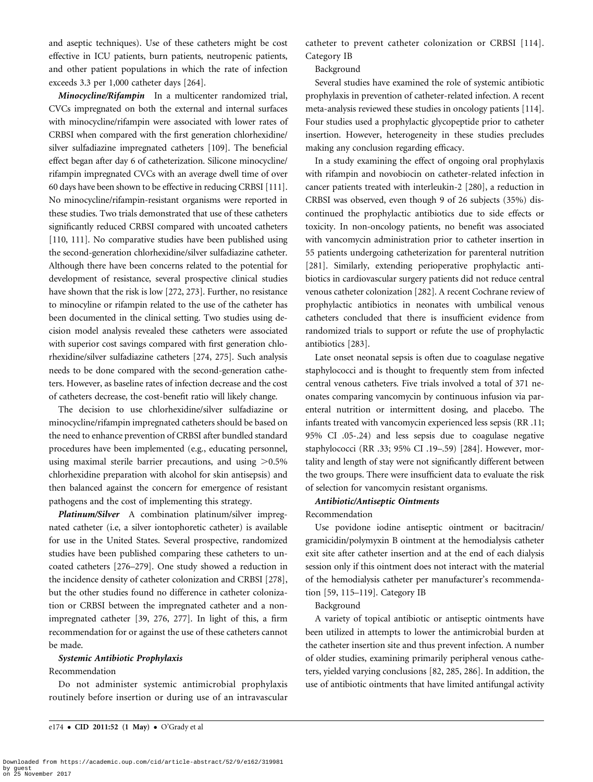and aseptic techniques). Use of these catheters might be cost effective in ICU patients, burn patients, neutropenic patients, and other patient populations in which the rate of infection exceeds 3.3 per 1,000 catheter days [264].

Minocycline/Rifampin In a multicenter randomized trial, CVCs impregnated on both the external and internal surfaces with minocycline/rifampin were associated with lower rates of CRBSI when compared with the first generation chlorhexidine/ silver sulfadiazine impregnated catheters [109]. The beneficial effect began after day 6 of catheterization. Silicone minocycline/ rifampin impregnated CVCs with an average dwell time of over 60 days have been shown to be effective in reducing CRBSI [111]. No minocycline/rifampin-resistant organisms were reported in these studies. Two trials demonstrated that use of these catheters significantly reduced CRBSI compared with uncoated catheters [110, 111]. No comparative studies have been published using the second-generation chlorhexidine/silver sulfadiazine catheter. Although there have been concerns related to the potential for development of resistance, several prospective clinical studies have shown that the risk is low [272, 273]. Further, no resistance to minocyline or rifampin related to the use of the catheter has been documented in the clinical setting. Two studies using decision model analysis revealed these catheters were associated with superior cost savings compared with first generation chlorhexidine/silver sulfadiazine catheters [274, 275]. Such analysis needs to be done compared with the second-generation catheters. However, as baseline rates of infection decrease and the cost of catheters decrease, the cost-benefit ratio will likely change.

The decision to use chlorhexidine/silver sulfadiazine or minocycline/rifampin impregnated catheters should be based on the need to enhance prevention of CRBSI after bundled standard procedures have been implemented (e.g., educating personnel, using maximal sterile barrier precautions, and using  $>0.5\%$ chlorhexidine preparation with alcohol for skin antisepsis) and then balanced against the concern for emergence of resistant pathogens and the cost of implementing this strategy.

Platinum/Silver A combination platinum/silver impregnated catheter (i.e, a silver iontophoretic catheter) is available for use in the United States. Several prospective, randomized studies have been published comparing these catheters to uncoated catheters [276–279]. One study showed a reduction in the incidence density of catheter colonization and CRBSI [278], but the other studies found no difference in catheter colonization or CRBSI between the impregnated catheter and a nonimpregnated catheter [39, 276, 277]. In light of this, a firm recommendation for or against the use of these catheters cannot be made.

#### Systemic Antibiotic Prophylaxis

#### Recommendation

Do not administer systemic antimicrobial prophylaxis routinely before insertion or during use of an intravascular

catheter to prevent catheter colonization or CRBSI [114]. Category IB

#### Background

Several studies have examined the role of systemic antibiotic prophylaxis in prevention of catheter-related infection. A recent meta-analysis reviewed these studies in oncology patients [114]. Four studies used a prophylactic glycopeptide prior to catheter insertion. However, heterogeneity in these studies precludes making any conclusion regarding efficacy.

In a study examining the effect of ongoing oral prophylaxis with rifampin and novobiocin on catheter-related infection in cancer patients treated with interleukin-2 [280], a reduction in CRBSI was observed, even though 9 of 26 subjects (35%) discontinued the prophylactic antibiotics due to side effects or toxicity. In non-oncology patients, no benefit was associated with vancomycin administration prior to catheter insertion in 55 patients undergoing catheterization for parenteral nutrition [281]. Similarly, extending perioperative prophylactic antibiotics in cardiovascular surgery patients did not reduce central venous catheter colonization [282]. A recent Cochrane review of prophylactic antibiotics in neonates with umbilical venous catheters concluded that there is insufficient evidence from randomized trials to support or refute the use of prophylactic antibiotics [283].

Late onset neonatal sepsis is often due to coagulase negative staphylococci and is thought to frequently stem from infected central venous catheters. Five trials involved a total of 371 neonates comparing vancomycin by continuous infusion via parenteral nutrition or intermittent dosing, and placebo. The infants treated with vancomycin experienced less sepsis (RR .11; 95% CI .05-.24) and less sepsis due to coagulase negative staphylococci (RR .33; 95% CI .19–.59) [284]. However, mortality and length of stay were not significantly different between the two groups. There were insufficient data to evaluate the risk of selection for vancomycin resistant organisms.

# Antibiotic/Antiseptic Ointments

#### Recommendation

Use povidone iodine antiseptic ointment or bacitracin/ gramicidin/polymyxin B ointment at the hemodialysis catheter exit site after catheter insertion and at the end of each dialysis session only if this ointment does not interact with the material of the hemodialysis catheter per manufacturer's recommendation [59, 115–119]. Category IB

#### Background

A variety of topical antibiotic or antiseptic ointments have been utilized in attempts to lower the antimicrobial burden at the catheter insertion site and thus prevent infection. A number of older studies, examining primarily peripheral venous catheters, yielded varying conclusions [82, 285, 286]. In addition, the use of antibiotic ointments that have limited antifungal activity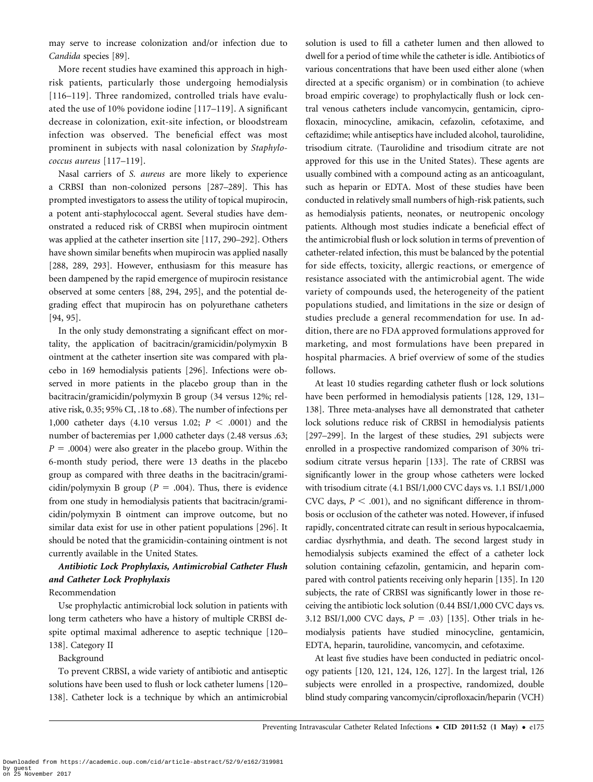may serve to increase colonization and/or infection due to Candida species [89].

More recent studies have examined this approach in highrisk patients, particularly those undergoing hemodialysis [116–119]. Three randomized, controlled trials have evaluated the use of 10% povidone iodine [117–119]. A significant decrease in colonization, exit-site infection, or bloodstream infection was observed. The beneficial effect was most prominent in subjects with nasal colonization by Staphylococcus aureus [117–119].

Nasal carriers of S. aureus are more likely to experience a CRBSI than non-colonized persons [287–289]. This has prompted investigators to assess the utility of topical mupirocin, a potent anti-staphylococcal agent. Several studies have demonstrated a reduced risk of CRBSI when mupirocin ointment was applied at the catheter insertion site [117, 290–292]. Others have shown similar benefits when mupirocin was applied nasally [288, 289, 293]. However, enthusiasm for this measure has been dampened by the rapid emergence of mupirocin resistance observed at some centers [88, 294, 295], and the potential degrading effect that mupirocin has on polyurethane catheters [94, 95].

In the only study demonstrating a significant effect on mortality, the application of bacitracin/gramicidin/polymyxin B ointment at the catheter insertion site was compared with placebo in 169 hemodialysis patients [296]. Infections were observed in more patients in the placebo group than in the bacitracin/gramicidin/polymyxin B group (34 versus 12%; relative risk, 0.35; 95% CI, .18 to .68). The number of infections per 1,000 catheter days (4.10 versus 1.02;  $P < .0001$ ) and the number of bacteremias per 1,000 catheter days (2.48 versus .63;  $P = .0004$ ) were also greater in the placebo group. Within the 6-month study period, there were 13 deaths in the placebo group as compared with three deaths in the bacitracin/gramicidin/polymyxin B group ( $P = .004$ ). Thus, there is evidence from one study in hemodialysis patients that bacitracin/gramicidin/polymyxin B ointment can improve outcome, but no similar data exist for use in other patient populations [296]. It should be noted that the gramicidin-containing ointment is not currently available in the United States.

# Antibiotic Lock Prophylaxis, Antimicrobial Catheter Flush and Catheter Lock Prophylaxis

# Recommendation

Use prophylactic antimicrobial lock solution in patients with long term catheters who have a history of multiple CRBSI despite optimal maximal adherence to aseptic technique [120– 138]. Category II

# Background

To prevent CRBSI, a wide variety of antibiotic and antiseptic solutions have been used to flush or lock catheter lumens [120– 138]. Catheter lock is a technique by which an antimicrobial

solution is used to fill a catheter lumen and then allowed to dwell for a period of time while the catheter is idle. Antibiotics of various concentrations that have been used either alone (when directed at a specific organism) or in combination (to achieve broad empiric coverage) to prophylactically flush or lock central venous catheters include vancomycin, gentamicin, ciprofloxacin, minocycline, amikacin, cefazolin, cefotaxime, and ceftazidime; while antiseptics have included alcohol, taurolidine, trisodium citrate. (Taurolidine and trisodium citrate are not approved for this use in the United States). These agents are usually combined with a compound acting as an anticoagulant, such as heparin or EDTA. Most of these studies have been conducted in relatively small numbers of high-risk patients, such as hemodialysis patients, neonates, or neutropenic oncology patients. Although most studies indicate a beneficial effect of the antimicrobial flush or lock solution in terms of prevention of catheter-related infection, this must be balanced by the potential for side effects, toxicity, allergic reactions, or emergence of resistance associated with the antimicrobial agent. The wide variety of compounds used, the heterogeneity of the patient populations studied, and limitations in the size or design of studies preclude a general recommendation for use. In addition, there are no FDA approved formulations approved for marketing, and most formulations have been prepared in hospital pharmacies. A brief overview of some of the studies follows.

At least 10 studies regarding catheter flush or lock solutions have been performed in hemodialysis patients [128, 129, 131– 138]. Three meta-analyses have all demonstrated that catheter lock solutions reduce risk of CRBSI in hemodialysis patients [297–299]. In the largest of these studies, 291 subjects were enrolled in a prospective randomized comparison of 30% trisodium citrate versus heparin [133]. The rate of CRBSI was significantly lower in the group whose catheters were locked with trisodium citrate (4.1 BSI/1,000 CVC days vs. 1.1 BSI/1,000 CVC days,  $P < .001$ ), and no significant difference in thrombosis or occlusion of the catheter was noted. However, if infused rapidly, concentrated citrate can result in serious hypocalcaemia, cardiac dysrhythmia, and death. The second largest study in hemodialysis subjects examined the effect of a catheter lock solution containing cefazolin, gentamicin, and heparin compared with control patients receiving only heparin [135]. In 120 subjects, the rate of CRBSI was significantly lower in those receiving the antibiotic lock solution (0.44 BSI/1,000 CVC days vs. 3.12 BSI/1,000 CVC days,  $P = .03$  [135]. Other trials in hemodialysis patients have studied minocycline, gentamicin, EDTA, heparin, taurolidine, vancomycin, and cefotaxime.

At least five studies have been conducted in pediatric oncology patients [120, 121, 124, 126, 127]. In the largest trial, 126 subjects were enrolled in a prospective, randomized, double blind study comparing vancomycin/ciprofloxacin/heparin (VCH)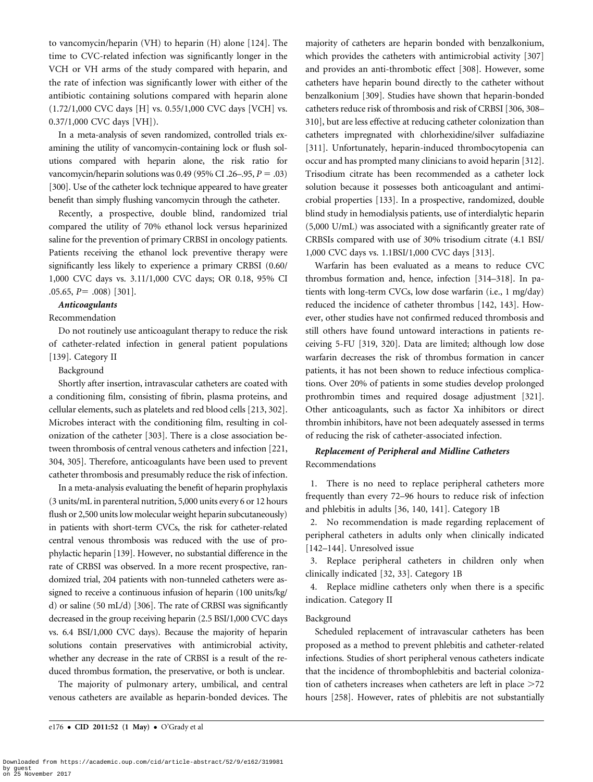to vancomycin/heparin (VH) to heparin (H) alone [124]. The time to CVC-related infection was significantly longer in the VCH or VH arms of the study compared with heparin, and the rate of infection was significantly lower with either of the antibiotic containing solutions compared with heparin alone (1.72/1,000 CVC days [H] vs. 0.55/1,000 CVC days [VCH] vs. 0.37/1,000 CVC days [VH]).

In a meta-analysis of seven randomized, controlled trials examining the utility of vancomycin-containing lock or flush solutions compared with heparin alone, the risk ratio for vancomycin/heparin solutions was 0.49 (95% CI .26–.95,  $P = .03$ ) [300]. Use of the catheter lock technique appeared to have greater benefit than simply flushing vancomycin through the catheter.

Recently, a prospective, double blind, randomized trial compared the utility of 70% ethanol lock versus heparinized saline for the prevention of primary CRBSI in oncology patients. Patients receiving the ethanol lock preventive therapy were significantly less likely to experience a primary CRBSI (0.60/ 1,000 CVC days vs. 3.11/1,000 CVC days; OR 0.18, 95% CI  $.05.65, P = .008$  [301].

#### Anticoagulants

#### Recommendation

Do not routinely use anticoagulant therapy to reduce the risk of catheter-related infection in general patient populations [139]. Category II

# Background

Shortly after insertion, intravascular catheters are coated with a conditioning film, consisting of fibrin, plasma proteins, and cellular elements, such as platelets and red blood cells [213, 302]. Microbes interact with the conditioning film, resulting in colonization of the catheter [303]. There is a close association between thrombosis of central venous catheters and infection [221, 304, 305]. Therefore, anticoagulants have been used to prevent catheter thrombosis and presumably reduce the risk of infection.

In a meta-analysis evaluating the benefit of heparin prophylaxis (3 units/mL in parenteral nutrition, 5,000 units every 6 or 12 hours flush or 2,500 units low molecular weight heparin subcutaneously) in patients with short-term CVCs, the risk for catheter-related central venous thrombosis was reduced with the use of prophylactic heparin [139]. However, no substantial difference in the rate of CRBSI was observed. In a more recent prospective, randomized trial, 204 patients with non-tunneled catheters were assigned to receive a continuous infusion of heparin (100 units/kg/ d) or saline (50 mL/d) [306]. The rate of CRBSI was significantly decreased in the group receiving heparin (2.5 BSI/1,000 CVC days vs. 6.4 BSI/1,000 CVC days). Because the majority of heparin solutions contain preservatives with antimicrobial activity, whether any decrease in the rate of CRBSI is a result of the reduced thrombus formation, the preservative, or both is unclear.

The majority of pulmonary artery, umbilical, and central venous catheters are available as heparin-bonded devices. The

e176 · CID 2011:52 (1 May) · O'Grady et al

majority of catheters are heparin bonded with benzalkonium, which provides the catheters with antimicrobial activity [307] and provides an anti-thrombotic effect [308]. However, some catheters have heparin bound directly to the catheter without benzalkonium [309]. Studies have shown that heparin-bonded catheters reduce risk of thrombosis and risk of CRBSI [306, 308– 310], but are less effective at reducing catheter colonization than catheters impregnated with chlorhexidine/silver sulfadiazine [311]. Unfortunately, heparin-induced thrombocytopenia can occur and has prompted many clinicians to avoid heparin [312]. Trisodium citrate has been recommended as a catheter lock solution because it possesses both anticoagulant and antimicrobial properties [133]. In a prospective, randomized, double blind study in hemodialysis patients, use of interdialytic heparin (5,000 U/mL) was associated with a significantly greater rate of CRBSIs compared with use of 30% trisodium citrate (4.1 BSI/ 1,000 CVC days vs. 1.1BSI/1,000 CVC days [313].

Warfarin has been evaluated as a means to reduce CVC thrombus formation and, hence, infection [314–318]. In patients with long-term CVCs, low dose warfarin (i.e., 1 mg/day) reduced the incidence of catheter thrombus [142, 143]. However, other studies have not confirmed reduced thrombosis and still others have found untoward interactions in patients receiving 5-FU [319, 320]. Data are limited; although low dose warfarin decreases the risk of thrombus formation in cancer patients, it has not been shown to reduce infectious complications. Over 20% of patients in some studies develop prolonged prothrombin times and required dosage adjustment [321]. Other anticoagulants, such as factor Xa inhibitors or direct thrombin inhibitors, have not been adequately assessed in terms of reducing the risk of catheter-associated infection.

# Replacement of Peripheral and Midline Catheters Recommendations

1. There is no need to replace peripheral catheters more frequently than every 72–96 hours to reduce risk of infection and phlebitis in adults [36, 140, 141]. Category 1B

2. No recommendation is made regarding replacement of peripheral catheters in adults only when clinically indicated [142–144]. Unresolved issue

3. Replace peripheral catheters in children only when clinically indicated [32, 33]. Category 1B

4. Replace midline catheters only when there is a specific indication. Category II

#### Background

Scheduled replacement of intravascular catheters has been proposed as a method to prevent phlebitis and catheter-related infections. Studies of short peripheral venous catheters indicate that the incidence of thrombophlebitis and bacterial colonization of catheters increases when catheters are left in place  $>72$ hours [258]. However, rates of phlebitis are not substantially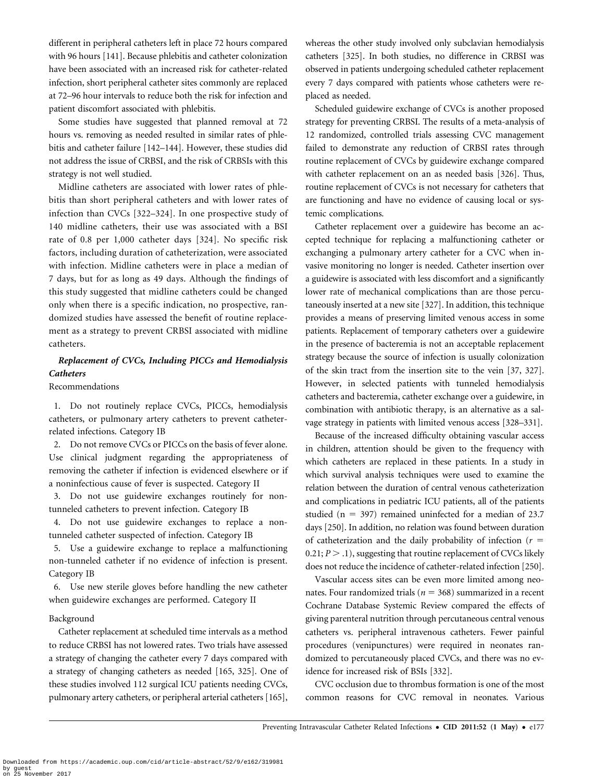different in peripheral catheters left in place 72 hours compared with 96 hours [141]. Because phlebitis and catheter colonization have been associated with an increased risk for catheter-related infection, short peripheral catheter sites commonly are replaced at 72–96 hour intervals to reduce both the risk for infection and patient discomfort associated with phlebitis.

Some studies have suggested that planned removal at 72 hours vs. removing as needed resulted in similar rates of phlebitis and catheter failure [142–144]. However, these studies did not address the issue of CRBSI, and the risk of CRBSIs with this strategy is not well studied.

Midline catheters are associated with lower rates of phlebitis than short peripheral catheters and with lower rates of infection than CVCs [322–324]. In one prospective study of 140 midline catheters, their use was associated with a BSI rate of 0.8 per 1,000 catheter days [324]. No specific risk factors, including duration of catheterization, were associated with infection. Midline catheters were in place a median of 7 days, but for as long as 49 days. Although the findings of this study suggested that midline catheters could be changed only when there is a specific indication, no prospective, randomized studies have assessed the benefit of routine replacement as a strategy to prevent CRBSI associated with midline catheters.

# Replacement of CVCs, Including PICCs and Hemodialysis **Catheters**

## Recommendations

1. Do not routinely replace CVCs, PICCs, hemodialysis catheters, or pulmonary artery catheters to prevent catheterrelated infections. Category IB

2. Do not remove CVCs or PICCs on the basis of fever alone. Use clinical judgment regarding the appropriateness of removing the catheter if infection is evidenced elsewhere or if a noninfectious cause of fever is suspected. Category II

3. Do not use guidewire exchanges routinely for nontunneled catheters to prevent infection. Category IB

4. Do not use guidewire exchanges to replace a nontunneled catheter suspected of infection. Category IB

5. Use a guidewire exchange to replace a malfunctioning non-tunneled catheter if no evidence of infection is present. Category IB

6. Use new sterile gloves before handling the new catheter when guidewire exchanges are performed. Category II

#### Background

Catheter replacement at scheduled time intervals as a method to reduce CRBSI has not lowered rates. Two trials have assessed a strategy of changing the catheter every 7 days compared with a strategy of changing catheters as needed [165, 325]. One of these studies involved 112 surgical ICU patients needing CVCs, pulmonary artery catheters, or peripheral arterial catheters [165],

whereas the other study involved only subclavian hemodialysis catheters [325]. In both studies, no difference in CRBSI was observed in patients undergoing scheduled catheter replacement every 7 days compared with patients whose catheters were replaced as needed.

Scheduled guidewire exchange of CVCs is another proposed strategy for preventing CRBSI. The results of a meta-analysis of 12 randomized, controlled trials assessing CVC management failed to demonstrate any reduction of CRBSI rates through routine replacement of CVCs by guidewire exchange compared with catheter replacement on an as needed basis [326]. Thus, routine replacement of CVCs is not necessary for catheters that are functioning and have no evidence of causing local or systemic complications.

Catheter replacement over a guidewire has become an accepted technique for replacing a malfunctioning catheter or exchanging a pulmonary artery catheter for a CVC when invasive monitoring no longer is needed. Catheter insertion over a guidewire is associated with less discomfort and a significantly lower rate of mechanical complications than are those percutaneously inserted at a new site [327]. In addition, this technique provides a means of preserving limited venous access in some patients. Replacement of temporary catheters over a guidewire in the presence of bacteremia is not an acceptable replacement strategy because the source of infection is usually colonization of the skin tract from the insertion site to the vein [37, 327]. However, in selected patients with tunneled hemodialysis catheters and bacteremia, catheter exchange over a guidewire, in combination with antibiotic therapy, is an alternative as a salvage strategy in patients with limited venous access [328–331].

Because of the increased difficulty obtaining vascular access in children, attention should be given to the frequency with which catheters are replaced in these patients. In a study in which survival analysis techniques were used to examine the relation between the duration of central venous catheterization and complications in pediatric ICU patients, all of the patients studied ( $n = 397$ ) remained uninfected for a median of 23.7 days [250]. In addition, no relation was found between duration of catheterization and the daily probability of infection ( $r =$  $0.21; P > .1$ ), suggesting that routine replacement of CVCs likely does not reduce the incidence of catheter-related infection [250].

Vascular access sites can be even more limited among neonates. Four randomized trials ( $n = 368$ ) summarized in a recent Cochrane Database Systemic Review compared the effects of giving parenteral nutrition through percutaneous central venous catheters vs. peripheral intravenous catheters. Fewer painful procedures (venipunctures) were required in neonates randomized to percutaneously placed CVCs, and there was no evidence for increased risk of BSIs [332].

CVC occlusion due to thrombus formation is one of the most common reasons for CVC removal in neonates. Various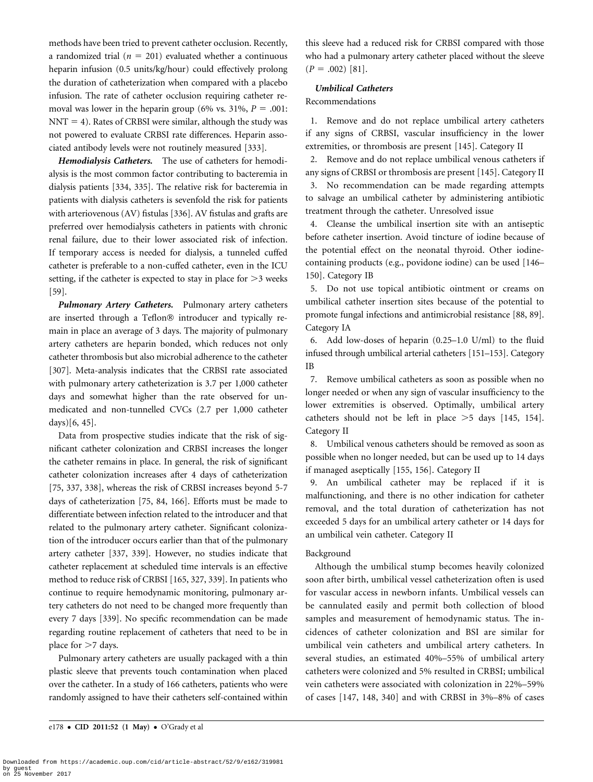methods have been tried to prevent catheter occlusion. Recently, a randomized trial ( $n = 201$ ) evaluated whether a continuous heparin infusion (0.5 units/kg/hour) could effectively prolong the duration of catheterization when compared with a placebo infusion. The rate of catheter occlusion requiring catheter removal was lower in the heparin group (6% vs. 31%,  $P = .001$ :  $NNT = 4$ ). Rates of CRBSI were similar, although the study was not powered to evaluate CRBSI rate differences. Heparin associated antibody levels were not routinely measured [333].

Hemodialysis Catheters. The use of catheters for hemodialysis is the most common factor contributing to bacteremia in dialysis patients [334, 335]. The relative risk for bacteremia in patients with dialysis catheters is sevenfold the risk for patients with arteriovenous (AV) fistulas [336]. AV fistulas and grafts are preferred over hemodialysis catheters in patients with chronic renal failure, due to their lower associated risk of infection. If temporary access is needed for dialysis, a tunneled cuffed catheter is preferable to a non-cuffed catheter, even in the ICU setting, if the catheter is expected to stay in place for  $>3$  weeks [59].

Pulmonary Artery Catheters. Pulmonary artery catheters are inserted through a Teflon<sup>®</sup> introducer and typically remain in place an average of 3 days. The majority of pulmonary artery catheters are heparin bonded, which reduces not only catheter thrombosis but also microbial adherence to the catheter [307]. Meta-analysis indicates that the CRBSI rate associated with pulmonary artery catheterization is 3.7 per 1,000 catheter days and somewhat higher than the rate observed for unmedicated and non-tunnelled CVCs (2.7 per 1,000 catheter days)[6, 45].

Data from prospective studies indicate that the risk of significant catheter colonization and CRBSI increases the longer the catheter remains in place. In general, the risk of significant catheter colonization increases after 4 days of catheterization [75, 337, 338], whereas the risk of CRBSI increases beyond 5-7 days of catheterization [75, 84, 166]. Efforts must be made to differentiate between infection related to the introducer and that related to the pulmonary artery catheter. Significant colonization of the introducer occurs earlier than that of the pulmonary artery catheter [337, 339]. However, no studies indicate that catheter replacement at scheduled time intervals is an effective method to reduce risk of CRBSI [165, 327, 339]. In patients who continue to require hemodynamic monitoring, pulmonary artery catheters do not need to be changed more frequently than every 7 days [339]. No specific recommendation can be made regarding routine replacement of catheters that need to be in place for  $>7$  days.

Pulmonary artery catheters are usually packaged with a thin plastic sleeve that prevents touch contamination when placed over the catheter. In a study of 166 catheters, patients who were randomly assigned to have their catheters self-contained within

e178 · CID 2011:52 (1 May) · O'Grady et al

this sleeve had a reduced risk for CRBSI compared with those who had a pulmonary artery catheter placed without the sleeve  $(P = .002)$  [81].

#### Umbilical Catheters

# Recommendations

1. Remove and do not replace umbilical artery catheters if any signs of CRBSI, vascular insufficiency in the lower extremities, or thrombosis are present [145]. Category II

2. Remove and do not replace umbilical venous catheters if any signs of CRBSI or thrombosis are present [145]. Category II

3. No recommendation can be made regarding attempts to salvage an umbilical catheter by administering antibiotic treatment through the catheter. Unresolved issue

4. Cleanse the umbilical insertion site with an antiseptic before catheter insertion. Avoid tincture of iodine because of the potential effect on the neonatal thyroid. Other iodinecontaining products (e.g., povidone iodine) can be used [146– 150]. Category IB

5. Do not use topical antibiotic ointment or creams on umbilical catheter insertion sites because of the potential to promote fungal infections and antimicrobial resistance [88, 89]. Category IA

6. Add low-doses of heparin (0.25–1.0 U/ml) to the fluid infused through umbilical arterial catheters [151–153]. Category IB

7. Remove umbilical catheters as soon as possible when no longer needed or when any sign of vascular insufficiency to the lower extremities is observed. Optimally, umbilical artery catheters should not be left in place  $>5$  days [145, 154]. Category II

8. Umbilical venous catheters should be removed as soon as possible when no longer needed, but can be used up to 14 days if managed aseptically [155, 156]. Category II

9. An umbilical catheter may be replaced if it is malfunctioning, and there is no other indication for catheter removal, and the total duration of catheterization has not exceeded 5 days for an umbilical artery catheter or 14 days for an umbilical vein catheter. Category II

# Background

Although the umbilical stump becomes heavily colonized soon after birth, umbilical vessel catheterization often is used for vascular access in newborn infants. Umbilical vessels can be cannulated easily and permit both collection of blood samples and measurement of hemodynamic status. The incidences of catheter colonization and BSI are similar for umbilical vein catheters and umbilical artery catheters. In several studies, an estimated 40%–55% of umbilical artery catheters were colonized and 5% resulted in CRBSI; umbilical vein catheters were associated with colonization in 22%–59% of cases [147, 148, 340] and with CRBSI in 3%–8% of cases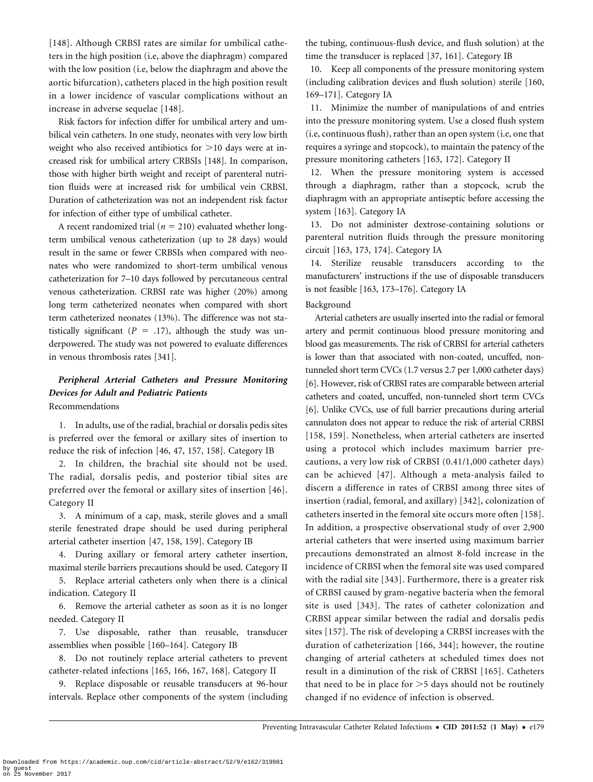[148]. Although CRBSI rates are similar for umbilical catheters in the high position (i.e, above the diaphragm) compared with the low position (i.e, below the diaphragm and above the aortic bifurcation), catheters placed in the high position result in a lower incidence of vascular complications without an increase in adverse sequelae [148].

Risk factors for infection differ for umbilical artery and umbilical vein catheters. In one study, neonates with very low birth weight who also received antibiotics for  $>10$  days were at increased risk for umbilical artery CRBSIs [148]. In comparison, those with higher birth weight and receipt of parenteral nutrition fluids were at increased risk for umbilical vein CRBSI. Duration of catheterization was not an independent risk factor for infection of either type of umbilical catheter.

A recent randomized trial ( $n = 210$ ) evaluated whether longterm umbilical venous catheterization (up to 28 days) would result in the same or fewer CRBSIs when compared with neonates who were randomized to short-term umbilical venous catheterization for 7–10 days followed by percutaneous central venous catheterization. CRBSI rate was higher (20%) among long term catheterized neonates when compared with short term catheterized neonates (13%). The difference was not statistically significant ( $P = .17$ ), although the study was underpowered. The study was not powered to evaluate differences in venous thrombosis rates [341].

# Peripheral Arterial Catheters and Pressure Monitoring Devices for Adult and Pediatric Patients Recommendations

1. In adults, use of the radial, brachial or dorsalis pedis sites is preferred over the femoral or axillary sites of insertion to reduce the risk of infection [46, 47, 157, 158]. Category IB

2. In children, the brachial site should not be used. The radial, dorsalis pedis, and posterior tibial sites are preferred over the femoral or axillary sites of insertion [46]. Category II

3. A minimum of a cap, mask, sterile gloves and a small sterile fenestrated drape should be used during peripheral arterial catheter insertion [47, 158, 159]. Category IB

4. During axillary or femoral artery catheter insertion, maximal sterile barriers precautions should be used. Category II

5. Replace arterial catheters only when there is a clinical indication. Category II

6. Remove the arterial catheter as soon as it is no longer needed. Category II

7. Use disposable, rather than reusable, transducer assemblies when possible [160–164]. Category IB

8. Do not routinely replace arterial catheters to prevent catheter-related infections [165, 166, 167, 168]. Category II

9. Replace disposable or reusable transducers at 96-hour intervals. Replace other components of the system (including the tubing, continuous-flush device, and flush solution) at the time the transducer is replaced [37, 161]. Category IB

10. Keep all components of the pressure monitoring system (including calibration devices and flush solution) sterile [160, 169–171]. Category IA

11. Minimize the number of manipulations of and entries into the pressure monitoring system. Use a closed flush system (i.e, continuous flush), rather than an open system (i.e, one that requires a syringe and stopcock), to maintain the patency of the pressure monitoring catheters [163, 172]. Category II

12. When the pressure monitoring system is accessed through a diaphragm, rather than a stopcock, scrub the diaphragm with an appropriate antiseptic before accessing the system [163]. Category IA

13. Do not administer dextrose-containing solutions or parenteral nutrition fluids through the pressure monitoring circuit [163, 173, 174]. Category IA

14. Sterilize reusable transducers according to the manufacturers' instructions if the use of disposable transducers is not feasible [163, 173–176]. Category IA

# Background

Arterial catheters are usually inserted into the radial or femoral artery and permit continuous blood pressure monitoring and blood gas measurements. The risk of CRBSI for arterial catheters is lower than that associated with non-coated, uncuffed, nontunneled short term CVCs (1.7 versus 2.7 per 1,000 catheter days) [6]. However, risk of CRBSI rates are comparable between arterial catheters and coated, uncuffed, non-tunneled short term CVCs [6]. Unlike CVCs, use of full barrier precautions during arterial cannulaton does not appear to reduce the risk of arterial CRBSI [158, 159]. Nonetheless, when arterial catheters are inserted using a protocol which includes maximum barrier precautions, a very low risk of CRBSI (0.41/1,000 catheter days) can be achieved [47]. Although a meta-analysis failed to discern a difference in rates of CRBSI among three sites of insertion (radial, femoral, and axillary) [342], colonization of catheters inserted in the femoral site occurs more often [158]. In addition, a prospective observational study of over 2,900 arterial catheters that were inserted using maximum barrier precautions demonstrated an almost 8-fold increase in the incidence of CRBSI when the femoral site was used compared with the radial site [343]. Furthermore, there is a greater risk of CRBSI caused by gram-negative bacteria when the femoral site is used [343]. The rates of catheter colonization and CRBSI appear similar between the radial and dorsalis pedis sites [157]. The risk of developing a CRBSI increases with the duration of catheterization [166, 344]; however, the routine changing of arterial catheters at scheduled times does not result in a diminution of the risk of CRBSI [165]. Catheters that need to be in place for  $>5$  days should not be routinely changed if no evidence of infection is observed.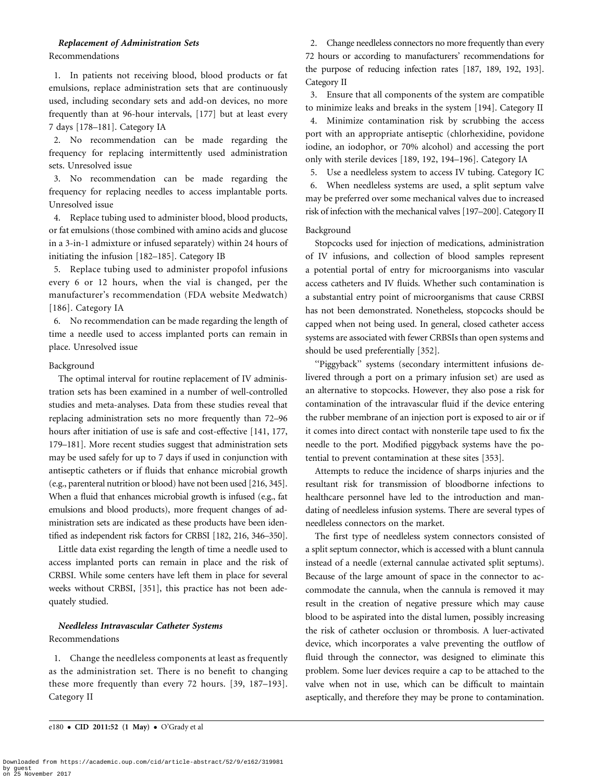#### Replacement of Administration Sets

Recommendations

1. In patients not receiving blood, blood products or fat emulsions, replace administration sets that are continuously used, including secondary sets and add-on devices, no more frequently than at 96-hour intervals, [177] but at least every 7 days [178–181]. Category IA

2. No recommendation can be made regarding the frequency for replacing intermittently used administration sets. Unresolved issue

3. No recommendation can be made regarding the frequency for replacing needles to access implantable ports. Unresolved issue

4. Replace tubing used to administer blood, blood products, or fat emulsions (those combined with amino acids and glucose in a 3-in-1 admixture or infused separately) within 24 hours of initiating the infusion [182–185]. Category IB

5. Replace tubing used to administer propofol infusions every 6 or 12 hours, when the vial is changed, per the manufacturer's recommendation (FDA website Medwatch) [186]. Category IA

6. No recommendation can be made regarding the length of time a needle used to access implanted ports can remain in place. Unresolved issue

#### Background

The optimal interval for routine replacement of IV administration sets has been examined in a number of well-controlled studies and meta-analyses. Data from these studies reveal that replacing administration sets no more frequently than 72–96 hours after initiation of use is safe and cost-effective [141, 177, 179–181]. More recent studies suggest that administration sets may be used safely for up to 7 days if used in conjunction with antiseptic catheters or if fluids that enhance microbial growth (e.g., parenteral nutrition or blood) have not been used [216, 345]. When a fluid that enhances microbial growth is infused (e.g., fat emulsions and blood products), more frequent changes of administration sets are indicated as these products have been identified as independent risk factors for CRBSI [182, 216, 346–350].

Little data exist regarding the length of time a needle used to access implanted ports can remain in place and the risk of CRBSI. While some centers have left them in place for several weeks without CRBSI, [351], this practice has not been adequately studied.

# Needleless Intravascular Catheter Systems Recommendations

1. Change the needleless components at least as frequently as the administration set. There is no benefit to changing these more frequently than every 72 hours. [39, 187–193]. Category II

e180 · CID 2011:52 (1 May) · O'Grady et al

2. Change needleless connectors no more frequently than every 72 hours or according to manufacturers' recommendations for the purpose of reducing infection rates [187, 189, 192, 193]. Category II

3. Ensure that all components of the system are compatible to minimize leaks and breaks in the system [194]. Category II

4. Minimize contamination risk by scrubbing the access port with an appropriate antiseptic (chlorhexidine, povidone iodine, an iodophor, or 70% alcohol) and accessing the port only with sterile devices [189, 192, 194–196]. Category IA

5. Use a needleless system to access IV tubing. Category IC

6. When needleless systems are used, a split septum valve may be preferred over some mechanical valves due to increased risk of infection with the mechanical valves [197–200]. Category II

#### Background

Stopcocks used for injection of medications, administration of IV infusions, and collection of blood samples represent a potential portal of entry for microorganisms into vascular access catheters and IV fluids. Whether such contamination is a substantial entry point of microorganisms that cause CRBSI has not been demonstrated. Nonetheless, stopcocks should be capped when not being used. In general, closed catheter access systems are associated with fewer CRBSIs than open systems and should be used preferentially [352].

''Piggyback'' systems (secondary intermittent infusions delivered through a port on a primary infusion set) are used as an alternative to stopcocks. However, they also pose a risk for contamination of the intravascular fluid if the device entering the rubber membrane of an injection port is exposed to air or if it comes into direct contact with nonsterile tape used to fix the needle to the port. Modified piggyback systems have the potential to prevent contamination at these sites [353].

Attempts to reduce the incidence of sharps injuries and the resultant risk for transmission of bloodborne infections to healthcare personnel have led to the introduction and mandating of needleless infusion systems. There are several types of needleless connectors on the market.

The first type of needleless system connectors consisted of a split septum connector, which is accessed with a blunt cannula instead of a needle (external cannulae activated split septums). Because of the large amount of space in the connector to accommodate the cannula, when the cannula is removed it may result in the creation of negative pressure which may cause blood to be aspirated into the distal lumen, possibly increasing the risk of catheter occlusion or thrombosis. A luer-activated device, which incorporates a valve preventing the outflow of fluid through the connector, was designed to eliminate this problem. Some luer devices require a cap to be attached to the valve when not in use, which can be difficult to maintain aseptically, and therefore they may be prone to contamination.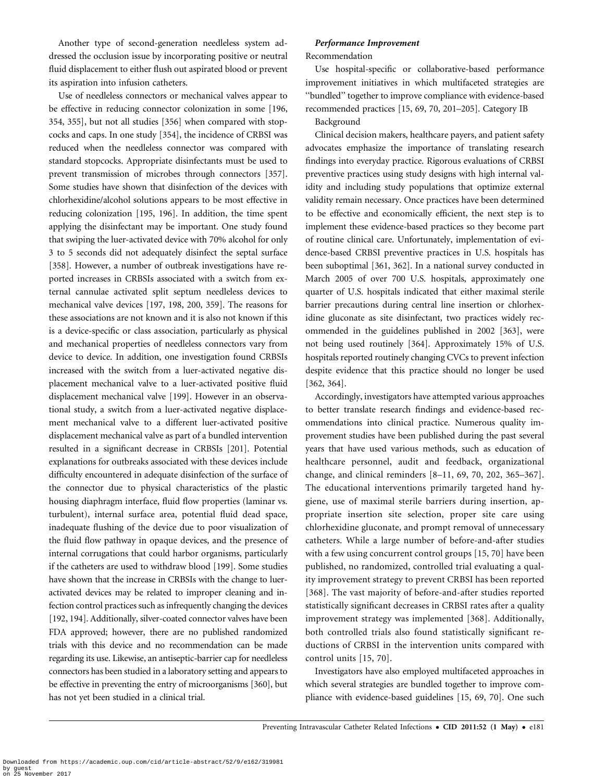Another type of second-generation needleless system addressed the occlusion issue by incorporating positive or neutral fluid displacement to either flush out aspirated blood or prevent its aspiration into infusion catheters.

Use of needleless connectors or mechanical valves appear to be effective in reducing connector colonization in some [196, 354, 355], but not all studies [356] when compared with stopcocks and caps. In one study [354], the incidence of CRBSI was reduced when the needleless connector was compared with standard stopcocks. Appropriate disinfectants must be used to prevent transmission of microbes through connectors [357]. Some studies have shown that disinfection of the devices with chlorhexidine/alcohol solutions appears to be most effective in reducing colonization [195, 196]. In addition, the time spent applying the disinfectant may be important. One study found that swiping the luer-activated device with 70% alcohol for only 3 to 5 seconds did not adequately disinfect the septal surface [358]. However, a number of outbreak investigations have reported increases in CRBSIs associated with a switch from external cannulae activated split septum needleless devices to mechanical valve devices [197, 198, 200, 359]. The reasons for these associations are not known and it is also not known if this is a device-specific or class association, particularly as physical and mechanical properties of needleless connectors vary from device to device. In addition, one investigation found CRBSIs increased with the switch from a luer-activated negative displacement mechanical valve to a luer-activated positive fluid displacement mechanical valve [199]. However in an observational study, a switch from a luer-activated negative displacement mechanical valve to a different luer-activated positive displacement mechanical valve as part of a bundled intervention resulted in a significant decrease in CRBSIs [201]. Potential explanations for outbreaks associated with these devices include difficulty encountered in adequate disinfection of the surface of the connector due to physical characteristics of the plastic housing diaphragm interface, fluid flow properties (laminar vs. turbulent), internal surface area, potential fluid dead space, inadequate flushing of the device due to poor visualization of the fluid flow pathway in opaque devices, and the presence of internal corrugations that could harbor organisms, particularly if the catheters are used to withdraw blood [199]. Some studies have shown that the increase in CRBSIs with the change to lueractivated devices may be related to improper cleaning and infection control practices such as infrequently changing the devices [192, 194]. Additionally, silver-coated connector valves have been FDA approved; however, there are no published randomized trials with this device and no recommendation can be made regarding its use. Likewise, an antiseptic-barrier cap for needleless connectors has been studied in a laboratory setting and appears to be effective in preventing the entry of microorganisms [360], but has not yet been studied in a clinical trial.

### Performance Improvement Recommendation

Use hospital-specific or collaborative-based performance improvement initiatives in which multifaceted strategies are ''bundled'' together to improve compliance with evidence-based recommended practices [15, 69, 70, 201–205]. Category IB

## Background

Clinical decision makers, healthcare payers, and patient safety advocates emphasize the importance of translating research findings into everyday practice. Rigorous evaluations of CRBSI preventive practices using study designs with high internal validity and including study populations that optimize external validity remain necessary. Once practices have been determined to be effective and economically efficient, the next step is to implement these evidence-based practices so they become part of routine clinical care. Unfortunately, implementation of evidence-based CRBSI preventive practices in U.S. hospitals has been suboptimal [361, 362]. In a national survey conducted in March 2005 of over 700 U.S. hospitals, approximately one quarter of U.S. hospitals indicated that either maximal sterile barrier precautions during central line insertion or chlorhexidine gluconate as site disinfectant, two practices widely recommended in the guidelines published in 2002 [363], were not being used routinely [364]. Approximately 15% of U.S. hospitals reported routinely changing CVCs to prevent infection despite evidence that this practice should no longer be used [362, 364].

Accordingly, investigators have attempted various approaches to better translate research findings and evidence-based recommendations into clinical practice. Numerous quality improvement studies have been published during the past several years that have used various methods, such as education of healthcare personnel, audit and feedback, organizational change, and clinical reminders [8–11, 69, 70, 202, 365–367]. The educational interventions primarily targeted hand hygiene, use of maximal sterile barriers during insertion, appropriate insertion site selection, proper site care using chlorhexidine gluconate, and prompt removal of unnecessary catheters. While a large number of before-and-after studies with a few using concurrent control groups [15, 70] have been published, no randomized, controlled trial evaluating a quality improvement strategy to prevent CRBSI has been reported [368]. The vast majority of before-and-after studies reported statistically significant decreases in CRBSI rates after a quality improvement strategy was implemented [368]. Additionally, both controlled trials also found statistically significant reductions of CRBSI in the intervention units compared with control units [15, 70].

Investigators have also employed multifaceted approaches in which several strategies are bundled together to improve compliance with evidence-based guidelines [15, 69, 70]. One such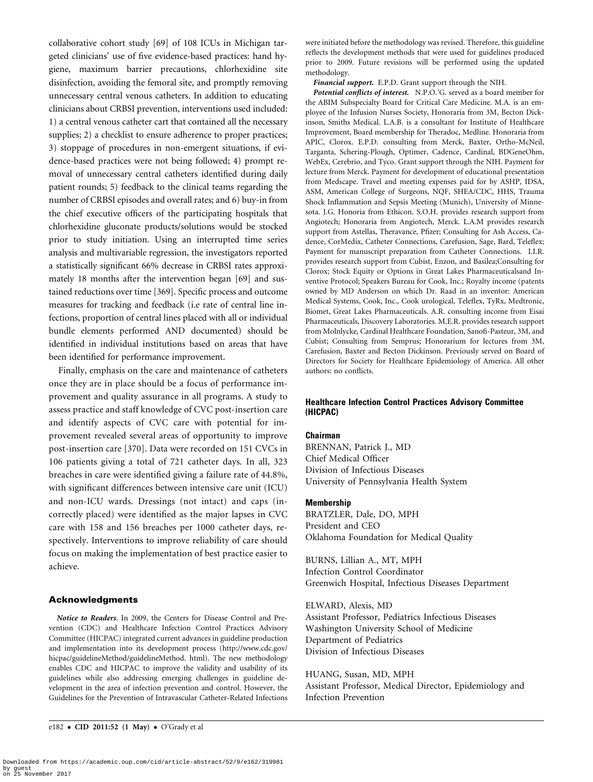collaborative cohort study [69] of 108 ICUs in Michigan targeted clinicians' use of five evidence-based practices: hand hygiene, maximum barrier precautions, chlorhexidine site disinfection, avoiding the femoral site, and promptly removing unnecessary central venous catheters. In addition to educating clinicians about CRBSI prevention, interventions used included: 1) a central venous catheter cart that contained all the necessary supplies; 2) a checklist to ensure adherence to proper practices; 3) stoppage of procedures in non-emergent situations, if evidence-based practices were not being followed; 4) prompt removal of unnecessary central catheters identified during daily patient rounds; 5) feedback to the clinical teams regarding the number of CRBSI episodes and overall rates; and 6) buy-in from the chief executive officers of the participating hospitals that chlorhexidine gluconate products/solutions would be stocked prior to study initiation. Using an interrupted time series analysis and multivariable regression, the investigators reported a statistically significant 66% decrease in CRBSI rates approximately 18 months after the intervention began [69] and sustained reductions over time [369]. Specific process and outcome measures for tracking and feedback (i.e rate of central line infections, proportion of central lines placed with all or individual bundle elements performed AND documented) should be identified in individual institutions based on areas that have been identified for performance improvement.

Finally, emphasis on the care and maintenance of catheters once they are in place should be a focus of performance improvement and quality assurance in all programs. A study to assess practice and staff knowledge of CVC post-insertion care and identify aspects of CVC care with potential for improvement revealed several areas of opportunity to improve post-insertion care [370]. Data were recorded on 151 CVCs in 106 patients giving a total of 721 catheter days. In all, 323 breaches in care were identified giving a failure rate of 44.8%, with significant differences between intensive care unit (ICU) and non-ICU wards. Dressings (not intact) and caps (incorrectly placed) were identified as the major lapses in CVC care with 158 and 156 breaches per 1000 catheter days, respectively. Interventions to improve reliability of care should focus on making the implementation of best practice easier to achieve.

#### Acknowledgments

Notice to Readers. In 2009, the Centers for Disease Control and Prevention (CDC) and Healthcare Infection Control Practices Advisory Committee (HICPAC) integrated current advances in guideline production and implementation into its development process (http://www.cdc.gov/ hicpac/guidelineMethod/guidelineMethod. html). The new methodology enables CDC and HICPAC to improve the validity and usability of its guidelines while also addressing emerging challenges in guideline development in the area of infection prevention and control. However, the Guidelines for the Prevention of Intravascular Catheter-Related Infections

were initiated before the methodology was revised. Therefore, this guideline reflects the development methods that were used for guidelines produced prior to 2009. Future revisions will be performed using the updated methodology.

Financial support. E.P.D. Grant support through the NIH.

Potential conflicts of interest. N.P.O.'G. served as a board member for the ABIM Subspecialty Board for Critical Care Medicine. M.A. is an employee of the Infusion Nurses Society, Honoraria from 3M, Becton Dickinson, Smiths Medical. L.A.B. is a consultant for Institute of Healthcare Improvement, Board membership for Theradoc, Medline. Honoraria from APIC, Clorox. E.P.D. consulting from Merck, Baxter, Ortho-McNeil, Targanta, Schering-Plough, Optimer, Cadence, Cardinal, BDGeneOhm, WebEx, Cerebrio, and Tyco. Grant support through the NIH. Payment for lecture from Merck. Payment for development of educational presentation from Medscape. Travel and meeting expenses paid for by ASHP, IDSA, ASM, American College of Surgeons, NQF, SHEA/CDC, HHS, Trauma Shock Inflammation and Sepsis Meeting (Munich), University of Minnesota. J.G. Honoria from Ethicon. S.O.H. provides research support from Angiotech; Honoraria from Angiotech, Merck. L.A.M provides research support from Astellas, Theravance, Pfizer; Consulting for Ash Access, Cadence, CorMedix, Catheter Connections, Carefusion, Sage, Bard, Teleflex; Payment for manuscript preparation from Catheter Connections. I.I.R. provides research support from Cubist, Enzon, and Basilea;Consulting for Clorox; Stock Equity or Options in Great Lakes Pharmaceuticalsand Inventive Protocol; Speakers Bureau for Cook, Inc.; Royalty income (patents owned by MD Anderson on which Dr. Raad in an inventor: American Medical Systems, Cook, Inc., Cook urological, Teleflex, TyRx, Medtronic, Biomet, Great Lakes Pharmaceuticals. A.R. consulting income from Eisai Pharmaceuticals, Discovery Laboratories. M.E.R. provides research support from Molnlycke, Cardinal Healthcare Foundation, Sanofi-Pasteur, 3M, and Cubist; Consulting from Semprus; Honorarium for lectures from 3M, Carefusion, Baxter and Becton Dickinson. Previously served on Board of Directors for Society for Healthcare Epidemiology of America. All other authors: no conflicts.

# Healthcare Infection Control Practices Advisory Committee (HICPAC)

#### Chairman

BRENNAN, Patrick J., MD Chief Medical Officer Division of Infectious Diseases University of Pennsylvania Health System

#### Membership

BRATZLER, Dale, DO, MPH President and CEO Oklahoma Foundation for Medical Quality

BURNS, Lillian A., MT, MPH Infection Control Coordinator Greenwich Hospital, Infectious Diseases Department

ELWARD, Alexis, MD Assistant Professor, Pediatrics Infectious Diseases Washington University School of Medicine Department of Pediatrics Division of Infectious Diseases

#### HUANG, Susan, MD, MPH Assistant Professor, Medical Director, Epidemiology and Infection Prevention

e182 · CID 2011:52 (1 May) · O'Grady et al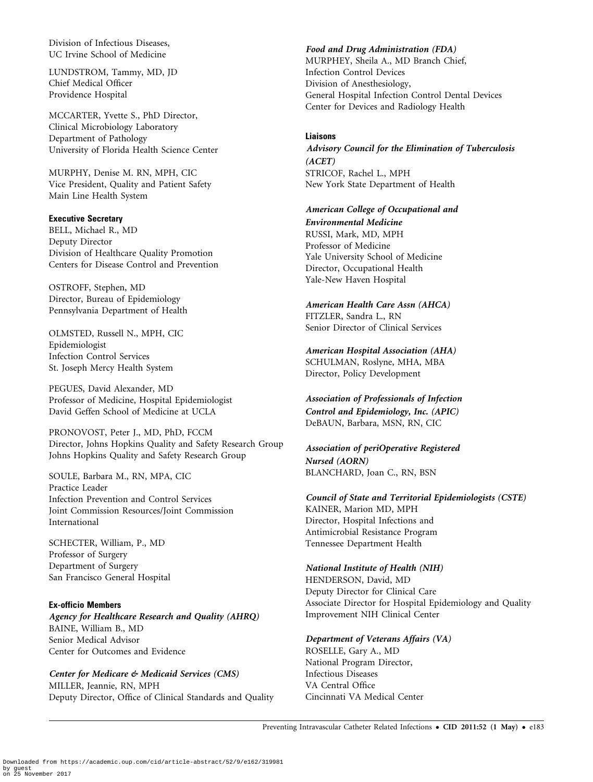Division of Infectious Diseases, UC Irvine School of Medicine

LUNDSTROM, Tammy, MD, JD Chief Medical Officer Providence Hospital

MCCARTER, Yvette S., PhD Director, Clinical Microbiology Laboratory Department of Pathology University of Florida Health Science Center

MURPHY, Denise M. RN, MPH, CIC Vice President, Quality and Patient Safety Main Line Health System

#### Executive Secretary

BELL, Michael R., MD Deputy Director Division of Healthcare Quality Promotion Centers for Disease Control and Prevention

OSTROFF, Stephen, MD Director, Bureau of Epidemiology Pennsylvania Department of Health

OLMSTED, Russell N., MPH, CIC Epidemiologist Infection Control Services St. Joseph Mercy Health System

PEGUES, David Alexander, MD Professor of Medicine, Hospital Epidemiologist David Geffen School of Medicine at UCLA

PRONOVOST, Peter J., MD, PhD, FCCM Director, Johns Hopkins Quality and Safety Research Group Johns Hopkins Quality and Safety Research Group

SOULE, Barbara M., RN, MPA, CIC Practice Leader Infection Prevention and Control Services Joint Commission Resources/Joint Commission International

SCHECTER, William, P., MD Professor of Surgery Department of Surgery San Francisco General Hospital

# Ex-officio Members

Agency for Healthcare Research and Quality (AHRQ) BAINE, William B., MD Senior Medical Advisor Center for Outcomes and Evidence

Center for Medicare & Medicaid Services (CMS) MILLER, Jeannie, RN, MPH Deputy Director, Office of Clinical Standards and Quality

Food and Drug Administration (FDA) MURPHEY, Sheila A., MD Branch Chief, Infection Control Devices Division of Anesthesiology, General Hospital Infection Control Dental Devices Center for Devices and Radiology Health

#### Liaisons

Advisory Council for the Elimination of Tuberculosis (ACET) STRICOF, Rachel L., MPH New York State Department of Health

## American College of Occupational and

Environmental Medicine RUSSI, Mark, MD, MPH Professor of Medicine Yale University School of Medicine Director, Occupational Health Yale-New Haven Hospital

American Health Care Assn (AHCA)

FITZLER, Sandra L., RN Senior Director of Clinical Services

American Hospital Association (AHA) SCHULMAN, Roslyne, MHA, MBA Director, Policy Development

Association of Professionals of Infection Control and Epidemiology, Inc. (APIC) DeBAUN, Barbara, MSN, RN, CIC

Association of periOperative Registered Nursed (AORN) BLANCHARD, Joan C., RN, BSN

Council of State and Territorial Epidemiologists (CSTE) KAINER, Marion MD, MPH Director, Hospital Infections and Antimicrobial Resistance Program Tennessee Department Health

#### National Institute of Health (NIH)

HENDERSON, David, MD Deputy Director for Clinical Care Associate Director for Hospital Epidemiology and Quality Improvement NIH Clinical Center

#### Department of Veterans Affairs (VA)

ROSELLE, Gary A., MD National Program Director, Infectious Diseases VA Central Office Cincinnati VA Medical Center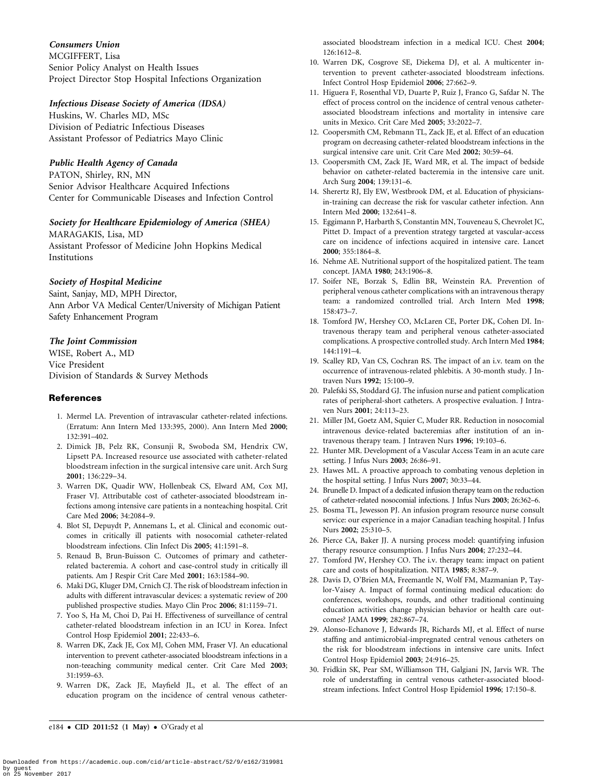Consumers Union

MCGIFFERT, Lisa Senior Policy Analyst on Health Issues Project Director Stop Hospital Infections Organization

#### Infectious Disease Society of America (IDSA)

Huskins, W. Charles MD, MSc Division of Pediatric Infectious Diseases Assistant Professor of Pediatrics Mayo Clinic

# Public Health Agency of Canada

PATON, Shirley, RN, MN Senior Advisor Healthcare Acquired Infections Center for Communicable Diseases and Infection Control

#### Society for Healthcare Epidemiology of America (SHEA)

MARAGAKIS, Lisa, MD Assistant Professor of Medicine John Hopkins Medical Institutions

# Society of Hospital Medicine

Saint, Sanjay, MD, MPH Director, Ann Arbor VA Medical Center/University of Michigan Patient Safety Enhancement Program

#### The Joint Commission

WISE, Robert A., MD Vice President Division of Standards & Survey Methods

#### References

- 1. Mermel LA. Prevention of intravascular catheter-related infections. (Erratum: Ann Intern Med 133:395, 2000). Ann Intern Med 2000; 132:391–402.
- 2. Dimick JB, Pelz RK, Consunji R, Swoboda SM, Hendrix CW, Lipsett PA. Increased resource use associated with catheter-related bloodstream infection in the surgical intensive care unit. Arch Surg 2001; 136:229–34.
- 3. Warren DK, Quadir WW, Hollenbeak CS, Elward AM, Cox MJ, Fraser VJ. Attributable cost of catheter-associated bloodstream infections among intensive care patients in a nonteaching hospital. Crit Care Med 2006; 34:2084–9.
- 4. Blot SI, Depuydt P, Annemans L, et al. Clinical and economic outcomes in critically ill patients with nosocomial catheter-related bloodstream infections. Clin Infect Dis 2005; 41:1591–8.
- 5. Renaud B, Brun-Buisson C. Outcomes of primary and catheterrelated bacteremia. A cohort and case-control study in critically ill patients. Am J Respir Crit Care Med 2001; 163:1584–90.
- 6. Maki DG, Kluger DM, Crnich CJ. The risk of bloodstream infection in adults with different intravascular devices: a systematic review of 200 published prospective studies. Mayo Clin Proc 2006; 81:1159–71.
- 7. Yoo S, Ha M, Choi D, Pai H. Effectiveness of surveillance of central catheter-related bloodstream infection in an ICU in Korea. Infect Control Hosp Epidemiol 2001; 22:433–6.
- 8. Warren DK, Zack JE, Cox MJ, Cohen MM, Fraser VJ. An educational intervention to prevent catheter-associated bloodstream infections in a non-teeaching community medical center. Crit Care Med 2003; 31:1959–63.
- 9. Warren DK, Zack JE, Mayfield JL, et al. The effect of an education program on the incidence of central venous catheter-

associated bloodstream infection in a medical ICU. Chest 2004; 126:1612–8.

- 10. Warren DK, Cosgrove SE, Diekema DJ, et al. A multicenter intervention to prevent catheter-associated bloodstream infections. Infect Control Hosp Epidemiol 2006; 27:662–9.
- 11. Higuera F, Rosenthal VD, Duarte P, Ruiz J, Franco G, Safdar N. The effect of process control on the incidence of central venous catheterassociated bloodstream infections and mortality in intensive care units in Mexico. Crit Care Med 2005; 33:2022–7.
- 12. Coopersmith CM, Rebmann TL, Zack JE, et al. Effect of an education program on decreasing catheter-related bloodstream infections in the surgical intensive care unit. Crit Care Med 2002; 30:59–64.
- 13. Coopersmith CM, Zack JE, Ward MR, et al. The impact of bedside behavior on catheter-related bacteremia in the intensive care unit. Arch Surg 2004; 139:131–6.
- 14. Sherertz RJ, Ely EW, Westbrook DM, et al. Education of physiciansin-training can decrease the risk for vascular catheter infection. Ann Intern Med 2000; 132:641–8.
- 15. Eggimann P, Harbarth S, Constantin MN, Touveneau S, Chevrolet JC, Pittet D. Impact of a prevention strategy targeted at vascular-access care on incidence of infections acquired in intensive care. Lancet 2000; 355:1864–8.
- 16. Nehme AE. Nutritional support of the hospitalized patient. The team concept. JAMA 1980; 243:1906–8.
- 17. Soifer NE, Borzak S, Edlin BR, Weinstein RA. Prevention of peripheral venous catheter complications with an intravenous therapy team: a randomized controlled trial. Arch Intern Med 1998; 158:473–7.
- 18. Tomford JW, Hershey CO, McLaren CE, Porter DK, Cohen DI. Intravenous therapy team and peripheral venous catheter-associated complications. A prospective controlled study. Arch Intern Med 1984; 144:1191–4.
- 19. Scalley RD, Van CS, Cochran RS. The impact of an i.v. team on the occurrence of intravenous-related phlebitis. A 30-month study. J Intraven Nurs 1992; 15:100–9.
- 20. Palefski SS, Stoddard GJ. The infusion nurse and patient complication rates of peripheral-short catheters. A prospective evaluation. J Intraven Nurs 2001; 24:113–23.
- 21. Miller JM, Goetz AM, Squier C, Muder RR. Reduction in nosocomial intravenous device-related bacteremias after institution of an intravenous therapy team. J Intraven Nurs 1996; 19:103–6.
- 22. Hunter MR. Development of a Vascular Access Team in an acute care setting. J Infus Nurs 2003; 26:86–91.
- 23. Hawes ML. A proactive approach to combating venous depletion in the hospital setting. J Infus Nurs 2007; 30:33–44.
- 24. Brunelle D. Impact of a dedicated infusion therapy team on the reduction of catheter-related nosocomial infections. J Infus Nurs 2003; 26:362–6.
- 25. Bosma TL, Jewesson PJ. An infusion program resource nurse consult service: our experience in a major Canadian teaching hospital. J Infus Nurs 2002; 25:310–5.
- 26. Pierce CA, Baker JJ. A nursing process model: quantifying infusion therapy resource consumption. J Infus Nurs 2004; 27:232–44.
- 27. Tomford JW, Hershey CO. The i.v. therapy team: impact on patient care and costs of hospitalization. NITA 1985; 8:387–9.
- 28. Davis D, O'Brien MA, Freemantle N, Wolf FM, Mazmanian P, Taylor-Vaisey A. Impact of formal continuing medical education: do conferences, workshops, rounds, and other traditional continuing education activities change physician behavior or health care outcomes? JAMA 1999; 282:867–74.
- 29. Alonso-Echanove J, Edwards JR, Richards MJ, et al. Effect of nurse staffing and antimicrobial-impregnated central venous catheters on the risk for bloodstream infections in intensive care units. Infect Control Hosp Epidemiol 2003; 24:916–25.
- 30. Fridkin SK, Pear SM, Williamson TH, Galgiani JN, Jarvis WR. The role of understaffing in central venous catheter-associated bloodstream infections. Infect Control Hosp Epidemiol 1996; 17:150–8.

e184 · CID 2011:52 (1 May) · O'Grady et al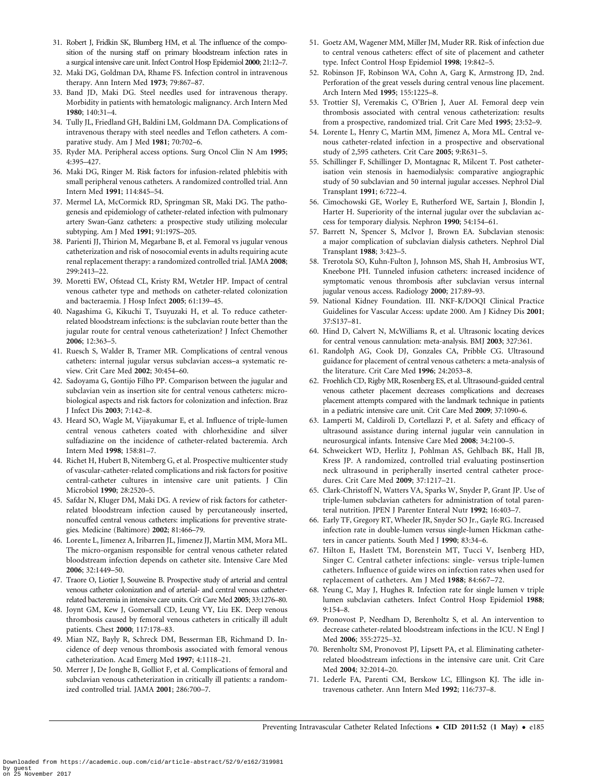- 31. Robert J, Fridkin SK, Blumberg HM, et al. The influence of the composition of the nursing staff on primary bloodstream infection rates in a surgical intensive care unit. Infect Control Hosp Epidemiol 2000; 21:12–7.
- 32. Maki DG, Goldman DA, Rhame FS. Infection control in intravenous therapy. Ann Intern Med 1973; 79:867–87.
- 33. Band JD, Maki DG. Steel needles used for intravenous therapy. Morbidity in patients with hematologic malignancy. Arch Intern Med 1980; 140:31–4.
- 34. Tully JL, Friedland GH, Baldini LM, Goldmann DA. Complications of intravenous therapy with steel needles and Teflon catheters. A comparative study. Am J Med 1981; 70:702–6.
- 35. Ryder MA. Peripheral access options. Surg Oncol Clin N Am 1995; 4:395–427.
- 36. Maki DG, Ringer M. Risk factors for infusion-related phlebitis with small peripheral venous catheters. A randomized controlled trial. Ann Intern Med 1991; 114:845–54.
- 37. Mermel LA, McCormick RD, Springman SR, Maki DG. The pathogenesis and epidemiology of catheter-related infection with pulmonary artery Swan-Ganz catheters: a prospective study utilizing molecular subtyping. Am J Med 1991; 91:197S–205.
- 38. Parienti JJ, Thirion M, Megarbane B, et al. Femoral vs jugular venous catheterization and risk of nosocomial events in adults requiring acute renal replacement therapy: a randomized controlled trial. JAMA 2008; 299:2413–22.
- 39. Moretti EW, Ofstead CL, Kristy RM, Wetzler HP. Impact of central venous catheter type and methods on catheter-related colonization and bacteraemia. J Hosp Infect 2005; 61:139–45.
- 40. Nagashima G, Kikuchi T, Tsuyuzaki H, et al. To reduce catheterrelated bloodstream infections: is the subclavian route better than the jugular route for central venous catheterization? J Infect Chemother 2006; 12:363–5.
- 41. Ruesch S, Walder B, Tramer MR. Complications of central venous catheters: internal jugular versus subclavian access–a systematic review. Crit Care Med 2002; 30:454–60.
- 42. Sadoyama G, Gontijo Filho PP. Comparison between the jugular and subclavian vein as insertion site for central venous catheters: microbiological aspects and risk factors for colonization and infection. Braz J Infect Dis 2003; 7:142–8.
- 43. Heard SO, Wagle M, Vijayakumar E, et al. Influence of triple-lumen central venous catheters coated with chlorhexidine and silver sulfadiazine on the incidence of catheter-related bacteremia. Arch Intern Med 1998; 158:81–7.
- 44. Richet H, Hubert B, Nitemberg G, et al. Prospective multicenter study of vascular-catheter-related complications and risk factors for positive central-catheter cultures in intensive care unit patients. J Clin Microbiol 1990; 28:2520–5.
- 45. Safdar N, Kluger DM, Maki DG. A review of risk factors for catheterrelated bloodstream infection caused by percutaneously inserted, noncuffed central venous catheters: implications for preventive strategies. Medicine (Baltimore) 2002; 81:466–79.
- 46. Lorente L, Jimenez A, Iribarren JL, Jimenez JJ, Martin MM, Mora ML. The micro-organism responsible for central venous catheter related bloodstream infection depends on catheter site. Intensive Care Med 2006; 32:1449–50.
- 47. Traore O, Liotier J, Souweine B. Prospective study of arterial and central venous catheter colonization and of arterial- and central venous catheterrelated bacteremia in intensive care units. Crit Care Med 2005; 33:1276–80.
- 48. Joynt GM, Kew J, Gomersall CD, Leung VY, Liu EK. Deep venous thrombosis caused by femoral venous catheters in critically ill adult patients. Chest 2000; 117:178–83.
- 49. Mian NZ, Bayly R, Schreck DM, Besserman EB, Richmand D. Incidence of deep venous thrombosis associated with femoral venous catheterization. Acad Emerg Med 1997; 4:1118–21.
- 50. Merrer J, De Jonghe B, Golliot F, et al. Complications of femoral and subclavian venous catheterization in critically ill patients: a randomized controlled trial. JAMA 2001; 286:700–7.
- 51. Goetz AM, Wagener MM, Miller JM, Muder RR. Risk of infection due to central venous catheters: effect of site of placement and catheter type. Infect Control Hosp Epidemiol 1998; 19:842–5.
- 52. Robinson JF, Robinson WA, Cohn A, Garg K, Armstrong JD, 2nd. Perforation of the great vessels during central venous line placement. Arch Intern Med 1995; 155:1225–8.
- 53. Trottier SJ, Veremakis C, O'Brien J, Auer AI. Femoral deep vein thrombosis associated with central venous catheterization: results from a prospective, randomized trial. Crit Care Med 1995; 23:52–9.
- 54. Lorente L, Henry C, Martin MM, Jimenez A, Mora ML. Central venous catheter-related infection in a prospective and observational study of 2,595 catheters. Crit Care 2005; 9:R631–5.
- 55. Schillinger F, Schillinger D, Montagnac R, Milcent T. Post catheterisation vein stenosis in haemodialysis: comparative angiographic study of 50 subclavian and 50 internal jugular accesses. Nephrol Dial Transplant 1991; 6:722–4.
- 56. Cimochowski GE, Worley E, Rutherford WE, Sartain J, Blondin J, Harter H. Superiority of the internal jugular over the subclavian access for temporary dialysis. Nephron 1990; 54:154–61.
- 57. Barrett N, Spencer S, McIvor J, Brown EA. Subclavian stenosis: a major complication of subclavian dialysis catheters. Nephrol Dial Transplant 1988; 3:423–5.
- 58. Trerotola SO, Kuhn-Fulton J, Johnson MS, Shah H, Ambrosius WT, Kneebone PH. Tunneled infusion catheters: increased incidence of symptomatic venous thrombosis after subclavian versus internal jugular venous access. Radiology 2000; 217:89–93.
- 59. National Kidney Foundation. III. NKF-K/DOQI Clinical Practice Guidelines for Vascular Access: update 2000. Am J Kidney Dis 2001; 37:S137–81.
- 60. Hind D, Calvert N, McWilliams R, et al. Ultrasonic locating devices for central venous cannulation: meta-analysis. BMJ 2003; 327:361.
- 61. Randolph AG, Cook DJ, Gonzales CA, Pribble CG. Ultrasound guidance for placement of central venous catheters: a meta-analysis of the literature. Crit Care Med 1996; 24:2053–8.
- 62. Froehlich CD, Rigby MR, Rosenberg ES, et al. Ultrasound-guided central venous catheter placement decreases complications and decreases placement attempts compared with the landmark technique in patients in a pediatric intensive care unit. Crit Care Med 2009; 37:1090–6.
- 63. Lamperti M, Caldiroli D, Cortellazzi P, et al. Safety and efficacy of ultrasound assistance during internal jugular vein cannulation in neurosurgical infants. Intensive Care Med 2008; 34:2100–5.
- 64. Schweickert WD, Herlitz J, Pohlman AS, Gehlbach BK, Hall JB, Kress JP. A randomized, controlled trial evaluating postinsertion neck ultrasound in peripherally inserted central catheter procedures. Crit Care Med 2009; 37:1217–21.
- 65. Clark-Christoff N, Watters VA, Sparks W, Snyder P, Grant JP. Use of triple-lumen subclavian catheters for administration of total parenteral nutrition. JPEN J Parenter Enteral Nutr 1992; 16:403–7.
- 66. Early TF, Gregory RT, Wheeler JR, Snyder SO Jr., Gayle RG. Increased infection rate in double-lumen versus single-lumen Hickman catheters in cancer patients. South Med J 1990; 83:34–6.
- 67. Hilton E, Haslett TM, Borenstein MT, Tucci V, Isenberg HD, Singer C. Central catheter infections: single- versus triple-lumen catheters. Influence of guide wires on infection rates when used for replacement of catheters. Am J Med 1988; 84:667–72.
- 68. Yeung C, May J, Hughes R. Infection rate for single lumen v triple lumen subclavian catheters. Infect Control Hosp Epidemiol 1988; 9:154–8.
- 69. Pronovost P, Needham D, Berenholtz S, et al. An intervention to decrease catheter-related bloodstream infections in the ICU. N Engl J Med 2006; 355:2725–32.
- 70. Berenholtz SM, Pronovost PJ, Lipsett PA, et al. Eliminating catheterrelated bloodstream infections in the intensive care unit. Crit Care Med 2004; 32:2014–20.
- 71. Lederle FA, Parenti CM, Berskow LC, Ellingson KJ. The idle intravenous catheter. Ann Intern Med 1992; 116:737–8.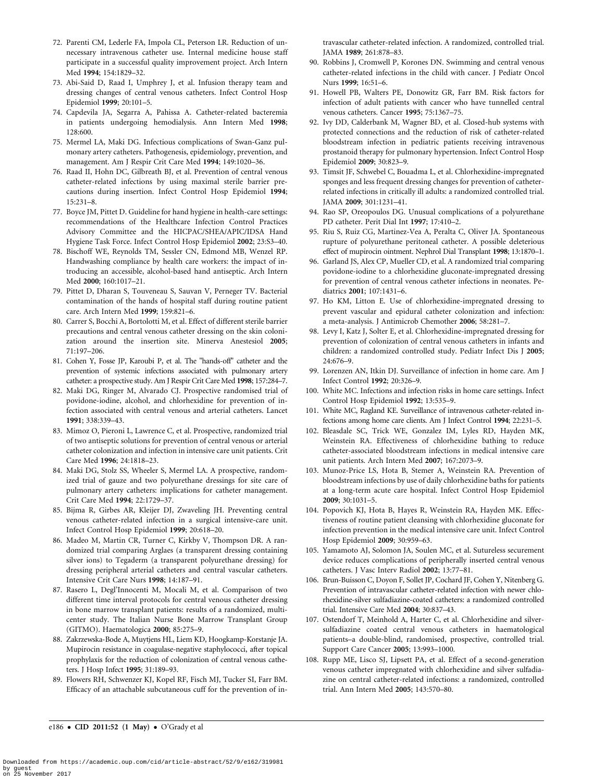- 72. Parenti CM, Lederle FA, Impola CL, Peterson LR. Reduction of unnecessary intravenous catheter use. Internal medicine house staff participate in a successful quality improvement project. Arch Intern Med 1994; 154:1829–32.
- 73. Abi-Said D, Raad I, Umphrey J, et al. Infusion therapy team and dressing changes of central venous catheters. Infect Control Hosp Epidemiol 1999; 20:101–5.
- 74. Capdevila JA, Segarra A, Pahissa A. Catheter-related bacteremia in patients undergoing hemodialysis. Ann Intern Med 1998; 128:600.
- 75. Mermel LA, Maki DG. Infectious complications of Swan-Ganz pulmonary artery catheters. Pathogenesis, epidemiology, prevention, and management. Am J Respir Crit Care Med 1994; 149:1020–36.
- 76. Raad II, Hohn DC, Gilbreath BJ, et al. Prevention of central venous catheter-related infections by using maximal sterile barrier precautions during insertion. Infect Control Hosp Epidemiol 1994; 15:231–8.
- 77. Boyce JM, Pittet D. Guideline for hand hygiene in health-care settings: recommendations of the Healthcare Infection Control Practices Advisory Committee and the HICPAC/SHEA/APIC/IDSA Hand Hygiene Task Force. Infect Control Hosp Epidemiol 2002; 23:S3–40.
- 78. Bischoff WE, Reynolds TM, Sessler CN, Edmond MB, Wenzel RP. Handwashing compliance by health care workers: the impact of introducing an accessible, alcohol-based hand antiseptic. Arch Intern Med 2000; 160:1017–21.
- 79. Pittet D, Dharan S, Touveneau S, Sauvan V, Perneger TV. Bacterial contamination of the hands of hospital staff during routine patient care. Arch Intern Med 1999; 159:821–6.
- 80. Carrer S, Bocchi A, Bortolotti M, et al. Effect of different sterile barrier precautions and central venous catheter dressing on the skin colonization around the insertion site. Minerva Anestesiol 2005; 71:197–206.
- 81. Cohen Y, Fosse JP, Karoubi P, et al. The "hands-off" catheter and the prevention of systemic infections associated with pulmonary artery catheter: a prospective study. Am J Respir Crit Care Med 1998; 157:284–7.
- 82. Maki DG, Ringer M, Alvarado CJ. Prospective randomised trial of povidone-iodine, alcohol, and chlorhexidine for prevention of infection associated with central venous and arterial catheters. Lancet 1991; 338:339–43.
- 83. Mimoz O, Pieroni L, Lawrence C, et al. Prospective, randomized trial of two antiseptic solutions for prevention of central venous or arterial catheter colonization and infection in intensive care unit patients. Crit Care Med 1996; 24:1818–23.
- 84. Maki DG, Stolz SS, Wheeler S, Mermel LA. A prospective, randomized trial of gauze and two polyurethane dressings for site care of pulmonary artery catheters: implications for catheter management. Crit Care Med 1994; 22:1729–37.
- 85. Bijma R, Girbes AR, Kleijer DJ, Zwaveling JH. Preventing central venous catheter-related infection in a surgical intensive-care unit. Infect Control Hosp Epidemiol 1999; 20:618–20.
- 86. Madeo M, Martin CR, Turner C, Kirkby V, Thompson DR. A randomized trial comparing Arglaes (a transparent dressing containing silver ions) to Tegaderm (a transparent polyurethane dressing) for dressing peripheral arterial catheters and central vascular catheters. Intensive Crit Care Nurs 1998; 14:187–91.
- 87. Rasero L, Degl'Innocenti M, Mocali M, et al. Comparison of two different time interval protocols for central venous catheter dressing in bone marrow transplant patients: results of a randomized, multicenter study. The Italian Nurse Bone Marrow Transplant Group (GITMO). Haematologica 2000; 85:275–9.
- 88. Zakrzewska-Bode A, Muytjens HL, Liem KD, Hoogkamp-Korstanje JA. Mupirocin resistance in coagulase-negative staphylococci, after topical prophylaxis for the reduction of colonization of central venous catheters. J Hosp Infect 1995; 31:189–93.
- 89. Flowers RH, Schwenzer KJ, Kopel RF, Fisch MJ, Tucker SI, Farr BM. Efficacy of an attachable subcutaneous cuff for the prevention of in-

travascular catheter-related infection. A randomized, controlled trial. JAMA 1989; 261:878–83.

- 90. Robbins J, Cromwell P, Korones DN. Swimming and central venous catheter-related infections in the child with cancer. J Pediatr Oncol Nurs 1999; 16:51–6.
- 91. Howell PB, Walters PE, Donowitz GR, Farr BM. Risk factors for infection of adult patients with cancer who have tunnelled central venous catheters. Cancer 1995; 75:1367–75.
- 92. Ivy DD, Calderbank M, Wagner BD, et al. Closed-hub systems with protected connections and the reduction of risk of catheter-related bloodstream infection in pediatric patients receiving intravenous prostanoid therapy for pulmonary hypertension. Infect Control Hosp Epidemiol 2009; 30:823–9.
- 93. Timsit JF, Schwebel C, Bouadma L, et al. Chlorhexidine-impregnated sponges and less frequent dressing changes for prevention of catheterrelated infections in critically ill adults: a randomized controlled trial. JAMA 2009; 301:1231–41.
- 94. Rao SP, Oreopoulos DG. Unusual complications of a polyurethane PD catheter. Perit Dial Int 1997; 17:410–2.
- 95. Riu S, Ruiz CG, Martinez-Vea A, Peralta C, Oliver JA. Spontaneous rupture of polyurethane peritoneal catheter. A possible deleterious effect of mupirocin ointment. Nephrol Dial Transplant 1998; 13:1870–1.
- 96. Garland JS, Alex CP, Mueller CD, et al. A randomized trial comparing povidone-iodine to a chlorhexidine gluconate-impregnated dressing for prevention of central venous catheter infections in neonates. Pediatrics 2001; 107:1431–6.
- 97. Ho KM, Litton E. Use of chlorhexidine-impregnated dressing to prevent vascular and epidural catheter colonization and infection: a meta-analysis. J Antimicrob Chemother 2006; 58:281–7.
- 98. Levy I, Katz J, Solter E, et al. Chlorhexidine-impregnated dressing for prevention of colonization of central venous catheters in infants and children: a randomized controlled study. Pediatr Infect Dis J 2005; 24:676–9.
- 99. Lorenzen AN, Itkin DJ. Surveillance of infection in home care. Am J Infect Control 1992; 20:326–9.
- 100. White MC. Infections and infection risks in home care settings. Infect Control Hosp Epidemiol 1992; 13:535–9.
- 101. White MC, Ragland KE. Surveillance of intravenous catheter-related infections among home care clients. Am J Infect Control 1994; 22:231–5.
- 102. Bleasdale SC, Trick WE, Gonzalez IM, Lyles RD, Hayden MK, Weinstein RA. Effectiveness of chlorhexidine bathing to reduce catheter-associated bloodstream infections in medical intensive care unit patients. Arch Intern Med 2007; 167:2073–9.
- 103. Munoz-Price LS, Hota B, Stemer A, Weinstein RA. Prevention of bloodstream infections by use of daily chlorhexidine baths for patients at a long-term acute care hospital. Infect Control Hosp Epidemiol 2009; 30:1031–5.
- 104. Popovich KJ, Hota B, Hayes R, Weinstein RA, Hayden MK. Effectiveness of routine patient cleansing with chlorhexidine gluconate for infection prevention in the medical intensive care unit. Infect Control Hosp Epidemiol 2009; 30:959–63.
- 105. Yamamoto AJ, Solomon JA, Soulen MC, et al. Sutureless securement device reduces complications of peripherally inserted central venous catheters. J Vasc Interv Radiol 2002; 13:77–81.
- 106. Brun-Buisson C, Doyon F, Sollet JP, Cochard JF, Cohen Y, Nitenberg G. Prevention of intravascular catheter-related infection with newer chlorhexidine-silver sulfadiazine-coated catheters: a randomized controlled trial. Intensive Care Med 2004; 30:837–43.
- 107. Ostendorf T, Meinhold A, Harter C, et al. Chlorhexidine and silversulfadiazine coated central venous catheters in haematological patients–a double-blind, randomised, prospective, controlled trial. Support Care Cancer 2005; 13:993–1000.
- 108. Rupp ME, Lisco SJ, Lipsett PA, et al. Effect of a second-generation venous catheter impregnated with chlorhexidine and silver sulfadiazine on central catheter-related infections: a randomized, controlled trial. Ann Intern Med 2005; 143:570–80.

e186 · CID 2011:52 (1 May) · O'Grady et al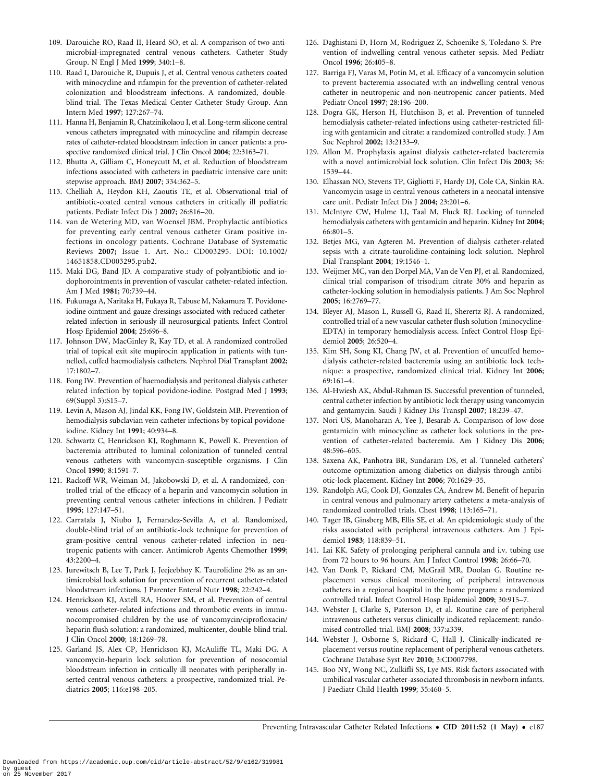- 109. Darouiche RO, Raad II, Heard SO, et al. A comparison of two antimicrobial-impregnated central venous catheters. Catheter Study Group. N Engl J Med 1999; 340:1–8.
- 110. Raad I, Darouiche R, Dupuis J, et al. Central venous catheters coated with minocycline and rifampin for the prevention of catheter-related colonization and bloodstream infections. A randomized, doubleblind trial. The Texas Medical Center Catheter Study Group. Ann Intern Med 1997; 127:267–74.
- 111. Hanna H, Benjamin R, Chatzinikolaou I, et al. Long-term silicone central venous catheters impregnated with minocycline and rifampin decrease rates of catheter-related bloodstream infection in cancer patients: a prospective randomized clinical trial. J Clin Oncol 2004; 22:3163–71.
- 112. Bhutta A, Gilliam C, Honeycutt M, et al. Reduction of bloodstream infections associated with catheters in paediatric intensive care unit: stepwise approach. BMJ 2007; 334:362–5.
- 113. Chelliah A, Heydon KH, Zaoutis TE, et al. Observational trial of antibiotic-coated central venous catheters in critically ill pediatric patients. Pediatr Infect Dis J 2007; 26:816–20.
- 114. van de Wetering MD, van Woensel JBM. Prophylactic antibiotics for preventing early central venous catheter Gram positive infections in oncology patients. Cochrane Database of Systematic Reviews 2007; Issue 1. Art. No.: CD003295. DOI: 10.1002/ 14651858.CD003295.pub2.
- 115. Maki DG, Band JD. A comparative study of polyantibiotic and iodophorointments in prevention of vascular catheter-related infection. Am J Med 1981; 70:739–44.
- 116. Fukunaga A, Naritaka H, Fukaya R, Tabuse M, Nakamura T. Povidoneiodine ointment and gauze dressings associated with reduced catheterrelated infection in seriously ill neurosurgical patients. Infect Control Hosp Epidemiol 2004; 25:696–8.
- 117. Johnson DW, MacGinley R, Kay TD, et al. A randomized controlled trial of topical exit site mupirocin application in patients with tunnelled, cuffed haemodialysis catheters. Nephrol Dial Transplant 2002; 17:1802–7.
- 118. Fong IW. Prevention of haemodialysis and peritoneal dialysis catheter related infection by topical povidone-iodine. Postgrad Med J 1993; 69(Suppl 3):S15–7.
- 119. Levin A, Mason AJ, Jindal KK, Fong IW, Goldstein MB. Prevention of hemodialysis subclavian vein catheter infections by topical povidoneiodine. Kidney Int 1991; 40:934–8.
- 120. Schwartz C, Henrickson KJ, Roghmann K, Powell K. Prevention of bacteremia attributed to luminal colonization of tunneled central venous catheters with vancomycin-susceptible organisms. J Clin Oncol 1990; 8:1591–7.
- 121. Rackoff WR, Weiman M, Jakobowski D, et al. A randomized, controlled trial of the efficacy of a heparin and vancomycin solution in preventing central venous catheter infections in children. J Pediatr 1995; 127:147–51.
- 122. Carratala J, Niubo J, Fernandez-Sevilla A, et al. Randomized, double-blind trial of an antibiotic-lock technique for prevention of gram-positive central venous catheter-related infection in neutropenic patients with cancer. Antimicrob Agents Chemother 1999; 43:2200–4.
- 123. Jurewitsch B, Lee T, Park J, Jeejeebhoy K. Taurolidine 2% as an antimicrobial lock solution for prevention of recurrent catheter-related bloodstream infections. J Parenter Enteral Nutr 1998; 22:242–4.
- 124. Henrickson KJ, Axtell RA, Hoover SM, et al. Prevention of central venous catheter-related infections and thrombotic events in immunocompromised children by the use of vancomycin/ciprofloxacin/ heparin flush solution: a randomized, multicenter, double-blind trial. J Clin Oncol 2000; 18:1269–78.
- 125. Garland JS, Alex CP, Henrickson KJ, McAuliffe TL, Maki DG. A vancomycin-heparin lock solution for prevention of nosocomial bloodstream infection in critically ill neonates with peripherally inserted central venous catheters: a prospective, randomized trial. Pediatrics 2005; 116:e198–205.
- 126. Daghistani D, Horn M, Rodriguez Z, Schoenike S, Toledano S. Prevention of indwelling central venous catheter sepsis. Med Pediatr Oncol 1996; 26:405–8.
- 127. Barriga FJ, Varas M, Potin M, et al. Efficacy of a vancomycin solution to prevent bacteremia associated with an indwelling central venous catheter in neutropenic and non-neutropenic cancer patients. Med Pediatr Oncol 1997; 28:196–200.
- 128. Dogra GK, Herson H, Hutchison B, et al. Prevention of tunneled hemodialysis catheter-related infections using catheter-restricted filling with gentamicin and citrate: a randomized controlled study. J Am Soc Nephrol 2002; 13:2133–9.
- 129. Allon M. Prophylaxis against dialysis catheter-related bacteremia with a novel antimicrobial lock solution. Clin Infect Dis 2003; 36: 1539–44.
- 130. Elhassan NO, Stevens TP, Gigliotti F, Hardy DJ, Cole CA, Sinkin RA. Vancomycin usage in central venous catheters in a neonatal intensive care unit. Pediatr Infect Dis J 2004; 23:201–6.
- 131. McIntyre CW, Hulme LJ, Taal M, Fluck RJ. Locking of tunneled hemodialysis catheters with gentamicin and heparin. Kidney Int 2004; 66:801–5.
- 132. Betjes MG, van Agteren M. Prevention of dialysis catheter-related sepsis with a citrate-taurolidine-containing lock solution. Nephrol Dial Transplant 2004; 19:1546–1.
- 133. Weijmer MC, van den Dorpel MA, Van de Ven PJ, et al. Randomized, clinical trial comparison of trisodium citrate 30% and heparin as catheter-locking solution in hemodialysis patients. J Am Soc Nephrol 2005; 16:2769–77.
- 134. Bleyer AJ, Mason L, Russell G, Raad II, Sherertz RJ. A randomized, controlled trial of a new vascular catheter flush solution (minocycline-EDTA) in temporary hemodialysis access. Infect Control Hosp Epidemiol 2005; 26:520–4.
- 135. Kim SH, Song KI, Chang JW, et al. Prevention of uncuffed hemodialysis catheter-related bacteremia using an antibiotic lock technique: a prospective, randomized clinical trial. Kidney Int 2006; 69:161–4.
- 136. Al-Hwiesh AK, Abdul-Rahman IS. Successful prevention of tunneled, central catheter infection by antibiotic lock therapy using vancomycin and gentamycin. Saudi J Kidney Dis Transpl 2007; 18:239–47.
- 137. Nori US, Manoharan A, Yee J, Besarab A. Comparison of low-dose gentamicin with minocycline as catheter lock solutions in the prevention of catheter-related bacteremia. Am J Kidney Dis 2006; 48:596–605.
- 138. Saxena AK, Panhotra BR, Sundaram DS, et al. Tunneled catheters' outcome optimization among diabetics on dialysis through antibiotic-lock placement. Kidney Int 2006; 70:1629–35.
- 139. Randolph AG, Cook DJ, Gonzales CA, Andrew M. Benefit of heparin in central venous and pulmonary artery catheters: a meta-analysis of randomized controlled trials. Chest 1998; 113:165–71.
- 140. Tager IB, Ginsberg MB, Ellis SE, et al. An epidemiologic study of the risks associated with peripheral intravenous catheters. Am J Epidemiol 1983; 118:839–51.
- 141. Lai KK. Safety of prolonging peripheral cannula and i.v. tubing use from 72 hours to 96 hours. Am J Infect Control 1998; 26:66–70.
- 142. Van Donk P, Rickard CM, McGrail MR, Doolan G. Routine replacement versus clinical monitoring of peripheral intravenous catheters in a regional hospital in the home program: a randomized controlled trial. Infect Control Hosp Epidemiol 2009; 30:915–7.
- 143. Webster J, Clarke S, Paterson D, et al. Routine care of peripheral intravenous catheters versus clinically indicated replacement: randomised controlled trial. BMJ 2008; 337:a339.
- 144. Webster J, Osborne S, Rickard C, Hall J. Clinically-indicated replacement versus routine replacement of peripheral venous catheters. Cochrane Database Syst Rev 2010; 3:CD007798.
- 145. Boo NY, Wong NC, Zulkifli SS, Lye MS. Risk factors associated with umbilical vascular catheter-associated thrombosis in newborn infants. J Paediatr Child Health 1999; 35:460–5.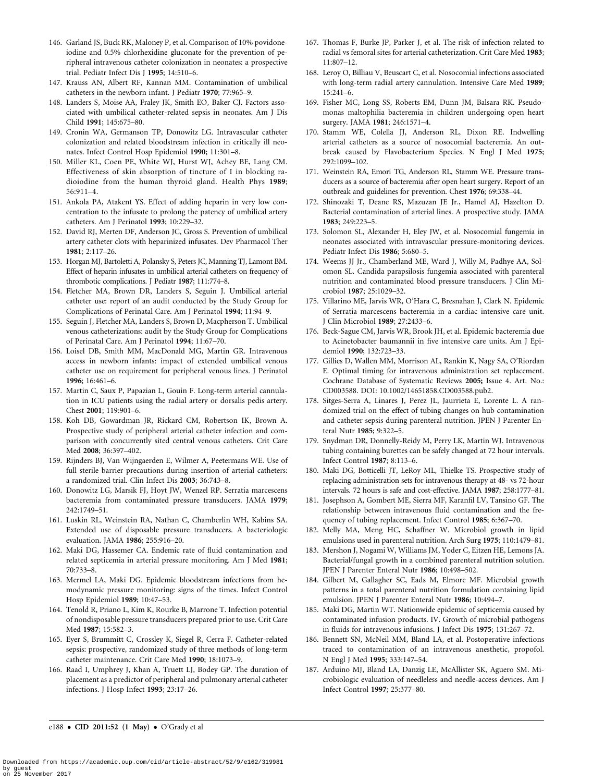- 146. Garland JS, Buck RK, Maloney P, et al. Comparison of 10% povidoneiodine and 0.5% chlorhexidine gluconate for the prevention of peripheral intravenous catheter colonization in neonates: a prospective trial. Pediatr Infect Dis J 1995; 14:510–6.
- 147. Krauss AN, Albert RF, Kannan MM. Contamination of umbilical catheters in the newborn infant. J Pediatr 1970; 77:965–9.
- 148. Landers S, Moise AA, Fraley JK, Smith EO, Baker CJ. Factors associated with umbilical catheter-related sepsis in neonates. Am J Dis Child 1991; 145:675–80.
- 149. Cronin WA, Germanson TP, Donowitz LG. Intravascular catheter colonization and related bloodstream infection in critically ill neonates. Infect Control Hosp Epidemiol 1990; 11:301–8.
- 150. Miller KL, Coen PE, White WJ, Hurst WJ, Achey BE, Lang CM. Effectiveness of skin absorption of tincture of I in blocking radioiodine from the human thyroid gland. Health Phys 1989; 56:911–4.
- 151. Ankola PA, Atakent YS. Effect of adding heparin in very low concentration to the infusate to prolong the patency of umbilical artery catheters. Am J Perinatol 1993; 10:229–32.
- 152. David RJ, Merten DF, Anderson JC, Gross S. Prevention of umbilical artery catheter clots with heparinized infusates. Dev Pharmacol Ther 1981; 2:117–26.
- 153. Horgan MJ, Bartoletti A, Polansky S, Peters JC, Manning TJ, Lamont BM. Effect of heparin infusates in umbilical arterial catheters on frequency of thrombotic complications. J Pediatr 1987; 111:774–8.
- 154. Fletcher MA, Brown DR, Landers S, Seguin J. Umbilical arterial catheter use: report of an audit conducted by the Study Group for Complications of Perinatal Care. Am J Perinatol 1994; 11:94–9.
- 155. Seguin J, Fletcher MA, Landers S, Brown D, Macpherson T. Umbilical venous catheterizations: audit by the Study Group for Complications of Perinatal Care. Am J Perinatol 1994; 11:67–70.
- 156. Loisel DB, Smith MM, MacDonald MG, Martin GR. Intravenous access in newborn infants: impact of extended umbilical venous catheter use on requirement for peripheral venous lines. J Perinatol 1996; 16:461–6.
- 157. Martin C, Saux P, Papazian L, Gouin F. Long-term arterial cannulation in ICU patients using the radial artery or dorsalis pedis artery. Chest 2001; 119:901–6.
- 158. Koh DB, Gowardman JR, Rickard CM, Robertson IK, Brown A. Prospective study of peripheral arterial catheter infection and comparison with concurrently sited central venous catheters. Crit Care Med 2008; 36:397–402.
- 159. Rijnders BJ, Van Wijngaerden E, Wilmer A, Peetermans WE. Use of full sterile barrier precautions during insertion of arterial catheters: a randomized trial. Clin Infect Dis 2003; 36:743–8.
- 160. Donowitz LG, Marsik FJ, Hoyt JW, Wenzel RP. Serratia marcescens bacteremia from contaminated pressure transducers. JAMA 1979; 242:1749–51.
- 161. Luskin RL, Weinstein RA, Nathan C, Chamberlin WH, Kabins SA. Extended use of disposable pressure transducers. A bacteriologic evaluation. JAMA 1986; 255:916–20.
- 162. Maki DG, Hassemer CA. Endemic rate of fluid contamination and related septicemia in arterial pressure monitoring. Am J Med 1981; 70:733–8.
- 163. Mermel LA, Maki DG. Epidemic bloodstream infections from hemodynamic pressure monitoring: signs of the times. Infect Control Hosp Epidemiol 1989; 10:47–53.
- 164. Tenold R, Priano L, Kim K, Rourke B, Marrone T. Infection potential of nondisposable pressure transducers prepared prior to use. Crit Care Med 1987; 15:582–3.
- 165. Eyer S, Brummitt C, Crossley K, Siegel R, Cerra F. Catheter-related sepsis: prospective, randomized study of three methods of long-term catheter maintenance. Crit Care Med 1990; 18:1073–9.
- 166. Raad I, Umphrey J, Khan A, Truett LJ, Bodey GP. The duration of placement as a predictor of peripheral and pulmonary arterial catheter infections. J Hosp Infect 1993; 23:17–26.
- 167. Thomas F, Burke JP, Parker J, et al. The risk of infection related to radial vs femoral sites for arterial catheterization. Crit Care Med 1983; 11:807–12.
- 168. Leroy O, Billiau V, Beuscart C, et al. Nosocomial infections associated with long-term radial artery cannulation. Intensive Care Med 1989; 15:241–6.
- 169. Fisher MC, Long SS, Roberts EM, Dunn JM, Balsara RK. Pseudomonas maltophilia bacteremia in children undergoing open heart surgery. JAMA 1981; 246:1571–4.
- 170. Stamm WE, Colella JJ, Anderson RL, Dixon RE. Indwelling arterial catheters as a source of nosocomial bacteremia. An outbreak caused by Flavobacterium Species. N Engl J Med 1975; 292:1099–102.
- 171. Weinstein RA, Emori TG, Anderson RL, Stamm WE. Pressure transducers as a source of bacteremia after open heart surgery. Report of an outbreak and guidelines for prevention. Chest 1976; 69:338–44.
- 172. Shinozaki T, Deane RS, Mazuzan JE Jr., Hamel AJ, Hazelton D. Bacterial contamination of arterial lines. A prospective study. JAMA 1983; 249:223–5.
- 173. Solomon SL, Alexander H, Eley JW, et al. Nosocomial fungemia in neonates associated with intravascular pressure-monitoring devices. Pediatr Infect Dis 1986; 5:680–5.
- 174. Weems JJ Jr., Chamberland ME, Ward J, Willy M, Padhye AA, Solomon SL. Candida parapsilosis fungemia associated with parenteral nutrition and contaminated blood pressure transducers. J Clin Microbiol 1987; 25:1029–32.
- 175. Villarino ME, Jarvis WR, O'Hara C, Bresnahan J, Clark N. Epidemic of Serratia marcescens bacteremia in a cardiac intensive care unit. J Clin Microbiol 1989; 27:2433–6.
- 176. Beck-Sague CM, Jarvis WR, Brook JH, et al. Epidemic bacteremia due to Acinetobacter baumannii in five intensive care units. Am J Epidemiol 1990; 132:723–33.
- 177. Gillies D, Wallen MM, Morrison AL, Rankin K, Nagy SA, O'Riordan E. Optimal timing for intravenous administration set replacement. Cochrane Database of Systematic Reviews 2005; Issue 4. Art. No.: CD003588. DOI: 10.1002/14651858.CD003588.pub2.
- 178. Sitges-Serra A, Linares J, Perez JL, Jaurrieta E, Lorente L. A randomized trial on the effect of tubing changes on hub contamination and catheter sepsis during parenteral nutrition. JPEN J Parenter Enteral Nutr 1985; 9:322–5.
- 179. Snydman DR, Donnelly-Reidy M, Perry LK, Martin WJ. Intravenous tubing containing burettes can be safely changed at 72 hour intervals. Infect Control 1987; 8:113–6.
- 180. Maki DG, Botticelli JT, LeRoy ML, Thielke TS. Prospective study of replacing administration sets for intravenous therapy at 48- vs 72-hour intervals. 72 hours is safe and cost-effective. JAMA 1987; 258:1777–81.
- 181. Josephson A, Gombert ME, Sierra MF, Karanfil LV, Tansino GF. The relationship between intravenous fluid contamination and the frequency of tubing replacement. Infect Control 1985; 6:367–70.
- 182. Melly MA, Meng HC, Schaffner W. Microbiol growth in lipid emulsions used in parenteral nutrition. Arch Surg 1975; 110:1479–81.
- 183. Mershon J, Nogami W, Williams JM, Yoder C, Eitzen HE, Lemons JA. Bacterial/fungal growth in a combined parenteral nutrition solution. JPEN J Parenter Enteral Nutr 1986; 10:498–502.
- 184. Gilbert M, Gallagher SC, Eads M, Elmore MF. Microbial growth patterns in a total parenteral nutrition formulation containing lipid emulsion. JPEN J Parenter Enteral Nutr 1986; 10:494–7.
- 185. Maki DG, Martin WT. Nationwide epidemic of septicemia caused by contaminated infusion products. IV. Growth of microbial pathogens in fluids for intravenous infusions. J Infect Dis 1975; 131:267–72.
- 186. Bennett SN, McNeil MM, Bland LA, et al. Postoperative infections traced to contamination of an intravenous anesthetic, propofol. N Engl J Med 1995; 333:147–54.
- 187. Arduino MJ, Bland LA, Danzig LE, McAllister SK, Aguero SM. Microbiologic evaluation of needleless and needle-access devices. Am J Infect Control 1997; 25:377–80.

e188 · CID 2011:52 (1 May) · O'Grady et al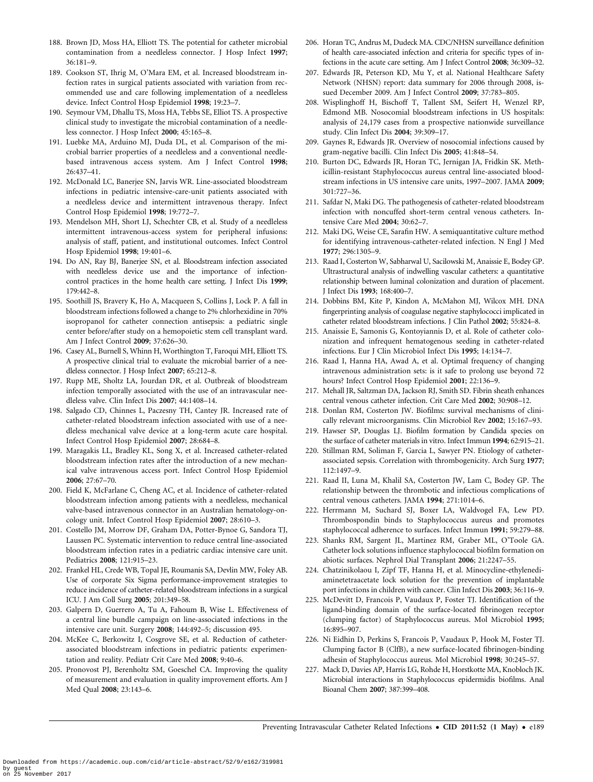- 188. Brown JD, Moss HA, Elliott TS. The potential for catheter microbial contamination from a needleless connector. J Hosp Infect 1997; 36:181–9.
- 189. Cookson ST, Ihrig M, O'Mara EM, et al. Increased bloodstream infection rates in surgical patients associated with variation from recommended use and care following implementation of a needleless device. Infect Control Hosp Epidemiol 1998; 19:23–7.
- 190. Seymour VM, Dhallu TS, Moss HA, Tebbs SE, Elliot TS. A prospective clinical study to investigate the microbial contamination of a needleless connector. J Hosp Infect 2000; 45:165–8.
- 191. Luebke MA, Arduino MJ, Duda DL, et al. Comparison of the microbial barrier properties of a needleless and a conventional needlebased intravenous access system. Am J Infect Control 1998; 26:437–41.
- 192. McDonald LC, Banerjee SN, Jarvis WR. Line-associated bloodstream infections in pediatric intensive-care-unit patients associated with a needleless device and intermittent intravenous therapy. Infect Control Hosp Epidemiol 1998; 19:772–7.
- 193. Mendelson MH, Short LJ, Schechter CB, et al. Study of a needleless intermittent intravenous-access system for peripheral infusions: analysis of staff, patient, and institutional outcomes. Infect Control Hosp Epidemiol 1998; 19:401–6.
- 194. Do AN, Ray BJ, Banerjee SN, et al. Bloodstream infection associated with needleless device use and the importance of infectioncontrol practices in the home health care setting. J Infect Dis 1999; 179:442–8.
- 195. Soothill JS, Bravery K, Ho A, Macqueen S, Collins J, Lock P. A fall in bloodstream infections followed a change to 2% chlorhexidine in 70% isopropanol for catheter connection antisepsis: a pediatric single center before/after study on a hemopoietic stem cell transplant ward. Am J Infect Control 2009; 37:626–30.
- 196. Casey AL, Burnell S, Whinn H, Worthington T, Faroqui MH, Elliott TS. A prospective clinical trial to evaluate the microbial barrier of a needleless connector. J Hosp Infect 2007; 65:212–8.
- 197. Rupp ME, Sholtz LA, Jourdan DR, et al. Outbreak of bloodstream infection temporally associated with the use of an intravascular needleless valve. Clin Infect Dis 2007; 44:1408–14.
- 198. Salgado CD, Chinnes L, Paczesny TH, Cantey JR. Increased rate of catheter-related bloodstream infection associated with use of a needleless mechanical valve device at a long-term acute care hospital. Infect Control Hosp Epidemiol 2007; 28:684–8.
- 199. Maragakis LL, Bradley KL, Song X, et al. Increased catheter-related bloodstream infection rates after the introduction of a new mechanical valve intravenous access port. Infect Control Hosp Epidemiol 2006; 27:67–70.
- 200. Field K, McFarlane C, Cheng AC, et al. Incidence of catheter-related bloodstream infection among patients with a needleless, mechanical valve-based intravenous connector in an Australian hematology-oncology unit. Infect Control Hosp Epidemiol 2007; 28:610–3.
- 201. Costello JM, Morrow DF, Graham DA, Potter-Bynoe G, Sandora TJ, Laussen PC. Systematic intervention to reduce central line-associated bloodstream infection rates in a pediatric cardiac intensive care unit. Pediatrics 2008; 121:915–23.
- 202. Frankel HL, Crede WB, Topal JE, Roumanis SA, Devlin MW, Foley AB. Use of corporate Six Sigma performance-improvement strategies to reduce incidence of catheter-related bloodstream infections in a surgical ICU. J Am Coll Surg 2005; 201:349–58.
- 203. Galpern D, Guerrero A, Tu A, Fahoum B, Wise L. Effectiveness of a central line bundle campaign on line-associated infections in the intensive care unit. Surgery 2008; 144:492–5; discussion 495.
- 204. McKee C, Berkowitz I, Cosgrove SE, et al. Reduction of catheterassociated bloodstream infections in pediatric patients: experimentation and reality. Pediatr Crit Care Med 2008; 9:40–6.
- 205. Pronovost PJ, Berenholtz SM, Goeschel CA. Improving the quality of measurement and evaluation in quality improvement efforts. Am J Med Qual 2008; 23:143–6.
- 206. Horan TC, Andrus M, Dudeck MA. CDC/NHSN surveillance definition of health care-associated infection and criteria for specific types of infections in the acute care setting. Am J Infect Control 2008; 36:309–32.
- 207. Edwards JR, Peterson KD, Mu Y, et al. National Healthcare Safety Network (NHSN) report: data summary for 2006 through 2008, issued December 2009. Am J Infect Control 2009; 37:783–805.
- 208. Wisplinghoff H, Bischoff T, Tallent SM, Seifert H, Wenzel RP, Edmond MB. Nosocomial bloodstream infections in US hospitals: analysis of 24,179 cases from a prospective nationwide surveillance study. Clin Infect Dis 2004; 39:309–17.
- 209. Gaynes R, Edwards JR. Overview of nosocomial infections caused by gram-negative bacilli. Clin Infect Dis 2005; 41:848–54.
- 210. Burton DC, Edwards JR, Horan TC, Jernigan JA, Fridkin SK. Methicillin-resistant Staphylococcus aureus central line-associated bloodstream infections in US intensive care units, 1997–2007. JAMA 2009; 301:727–36.
- 211. Safdar N, Maki DG. The pathogenesis of catheter-related bloodstream infection with noncuffed short-term central venous catheters. Intensive Care Med 2004; 30:62–7.
- 212. Maki DG, Weise CE, Sarafin HW. A semiquantitative culture method for identifying intravenous-catheter-related infection. N Engl J Med 1977; 296:1305–9.
- 213. Raad I, Costerton W, Sabharwal U, Sacilowski M, Anaissie E, Bodey GP. Ultrastructural analysis of indwelling vascular catheters: a quantitative relationship between luminal colonization and duration of placement. J Infect Dis 1993; 168:400–7.
- 214. Dobbins BM, Kite P, Kindon A, McMahon MJ, Wilcox MH. DNA fingerprinting analysis of coagulase negative staphylococci implicated in catheter related bloodstream infections. J Clin Pathol 2002; 55:824–8.
- 215. Anaissie E, Samonis G, Kontoyiannis D, et al. Role of catheter colonization and infrequent hematogenous seeding in catheter-related infections. Eur J Clin Microbiol Infect Dis 1995; 14:134–7.
- 216. Raad I, Hanna HA, Awad A, et al. Optimal frequency of changing intravenous administration sets: is it safe to prolong use beyond 72 hours? Infect Control Hosp Epidemiol 2001; 22:136–9.
- 217. Mehall JR, Saltzman DA, Jackson RJ, Smith SD. Fibrin sheath enhances central venous catheter infection. Crit Care Med 2002; 30:908–12.
- 218. Donlan RM, Costerton JW. Biofilms: survival mechanisms of clinically relevant microorganisms. Clin Microbiol Rev 2002; 15:167–93.
- 219. Hawser SP, Douglas LJ. Biofilm formation by Candida species on the surface of catheter materials in vitro. Infect Immun 1994; 62:915–21.
- 220. Stillman RM, Soliman F, Garcia L, Sawyer PN. Etiology of catheterassociated sepsis. Correlation with thrombogenicity. Arch Surg 1977; 112:1497–9.
- 221. Raad II, Luna M, Khalil SA, Costerton JW, Lam C, Bodey GP. The relationship between the thrombotic and infectious complications of central venous catheters. JAMA 1994; 271:1014–6.
- 222. Herrmann M, Suchard SJ, Boxer LA, Waldvogel FA, Lew PD. Thrombospondin binds to Staphylococcus aureus and promotes staphylococcal adherence to surfaces. Infect Immun 1991; 59:279–88.
- 223. Shanks RM, Sargent JL, Martinez RM, Graber ML, O'Toole GA. Catheter lock solutions influence staphylococcal biofilm formation on abiotic surfaces. Nephrol Dial Transplant 2006; 21:2247–55.
- 224. Chatzinikolaou I, Zipf TF, Hanna H, et al. Minocycline-ethylenediaminetetraacetate lock solution for the prevention of implantable port infections in children with cancer. Clin Infect Dis 2003; 36:116–9.
- 225. McDevitt D, Francois P, Vaudaux P, Foster TJ. Identification of the ligand-binding domain of the surface-located fibrinogen receptor (clumping factor) of Staphylococcus aureus. Mol Microbiol 1995; 16:895–907.
- 226. Ni Eidhin D, Perkins S, Francois P, Vaudaux P, Hook M, Foster TJ. Clumping factor B (ClfB), a new surface-located fibrinogen-binding adhesin of Staphylococcus aureus. Mol Microbiol 1998; 30:245–57.
- 227. Mack D, Davies AP, Harris LG, Rohde H, Horstkotte MA, Knobloch JK. Microbial interactions in Staphylococcus epidermidis biofilms. Anal Bioanal Chem 2007; 387:399–408.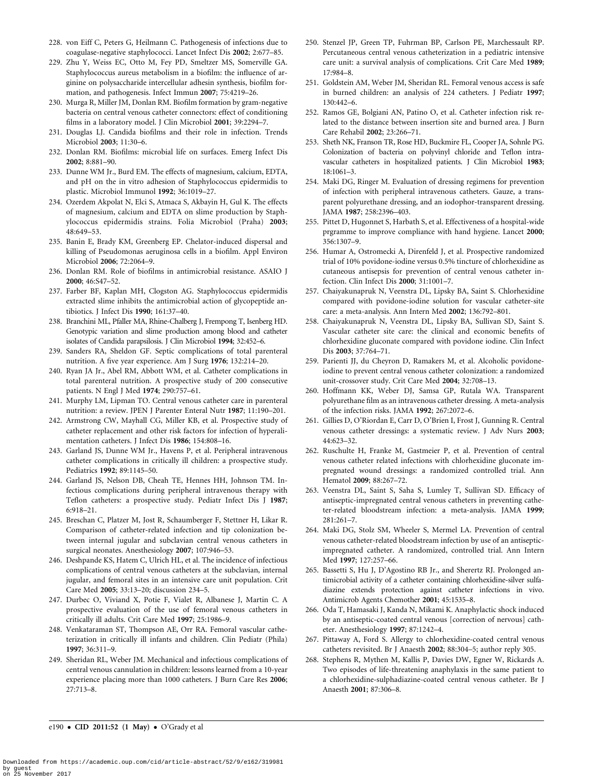- 228. von Eiff C, Peters G, Heilmann C. Pathogenesis of infections due to coagulase-negative staphylococci. Lancet Infect Dis 2002; 2:677–85.
- 229. Zhu Y, Weiss EC, Otto M, Fey PD, Smeltzer MS, Somerville GA. Staphylococcus aureus metabolism in a biofilm: the influence of arginine on polysaccharide intercellular adhesin synthesis, biofilm formation, and pathogenesis. Infect Immun 2007; 75:4219–26.
- 230. Murga R, Miller JM, Donlan RM. Biofilm formation by gram-negative bacteria on central venous catheter connectors: effect of conditioning films in a laboratory model. J Clin Microbiol 2001; 39:2294–7.
- 231. Douglas LJ. Candida biofilms and their role in infection. Trends Microbiol 2003; 11:30–6.
- 232. Donlan RM. Biofilms: microbial life on surfaces. Emerg Infect Dis 2002; 8:881–90.
- 233. Dunne WM Jr., Burd EM. The effects of magnesium, calcium, EDTA, and pH on the in vitro adhesion of Staphylococcus epidermidis to plastic. Microbiol Immunol 1992; 36:1019–27.
- 234. Ozerdem Akpolat N, Elci S, Atmaca S, Akbayin H, Gul K. The effects of magnesium, calcium and EDTA on slime production by Staphylococcus epidermidis strains. Folia Microbiol (Praha) 2003; 48:649–53.
- 235. Banin E, Brady KM, Greenberg EP. Chelator-induced dispersal and killing of Pseudomonas aeruginosa cells in a biofilm. Appl Environ Microbiol 2006; 72:2064–9.
- 236. Donlan RM. Role of biofilms in antimicrobial resistance. ASAIO J 2000; 46:S47–52.
- 237. Farber BF, Kaplan MH, Clogston AG. Staphylococcus epidermidis extracted slime inhibits the antimicrobial action of glycopeptide antibiotics. J Infect Dis 1990; 161:37–40.
- 238. Branchini ML, Pfaller MA, Rhine-Chalberg J, Frempong T, Isenberg HD. Genotypic variation and slime production among blood and catheter isolates of Candida parapsilosis. J Clin Microbiol 1994; 32:452–6.
- 239. Sanders RA, Sheldon GF. Septic complications of total parenteral nutrition. A five year experience. Am J Surg 1976; 132:214–20.
- 240. Ryan JA Jr., Abel RM, Abbott WM, et al. Catheter complications in total parenteral nutrition. A prospective study of 200 consecutive patients. N Engl J Med 1974; 290:757–61.
- 241. Murphy LM, Lipman TO. Central venous catheter care in parenteral nutrition: a review. JPEN J Parenter Enteral Nutr 1987; 11:190–201.
- 242. Armstrong CW, Mayhall CG, Miller KB, et al. Prospective study of catheter replacement and other risk factors for infection of hyperalimentation catheters. J Infect Dis 1986; 154:808–16.
- 243. Garland JS, Dunne WM Jr., Havens P, et al. Peripheral intravenous catheter complications in critically ill children: a prospective study. Pediatrics 1992; 89:1145–50.
- 244. Garland JS, Nelson DB, Cheah TE, Hennes HH, Johnson TM. Infectious complications during peripheral intravenous therapy with Teflon catheters: a prospective study. Pediatr Infect Dis J 1987; 6:918–21.
- 245. Breschan C, Platzer M, Jost R, Schaumberger F, Stettner H, Likar R. Comparison of catheter-related infection and tip colonization between internal jugular and subclavian central venous catheters in surgical neonates. Anesthesiology 2007; 107:946–53.
- 246. Deshpande KS, Hatem C, Ulrich HL, et al. The incidence of infectious complications of central venous catheters at the subclavian, internal jugular, and femoral sites in an intensive care unit population. Crit Care Med 2005; 33:13–20; discussion 234–5.
- 247. Durbec O, Viviand X, Potie F, Vialet R, Albanese J, Martin C. A prospective evaluation of the use of femoral venous catheters in critically ill adults. Crit Care Med 1997; 25:1986–9.
- 248. Venkataraman ST, Thompson AE, Orr RA. Femoral vascular catheterization in critically ill infants and children. Clin Pediatr (Phila) 1997; 36:311–9.
- 249. Sheridan RL, Weber JM. Mechanical and infectious complications of central venous cannulation in children: lessons learned from a 10-year experience placing more than 1000 catheters. J Burn Care Res 2006; 27:713–8.
- 250. Stenzel JP, Green TP, Fuhrman BP, Carlson PE, Marchessault RP. Percutaneous central venous catheterization in a pediatric intensive care unit: a survival analysis of complications. Crit Care Med 1989; 17:984–8.
- 251. Goldstein AM, Weber JM, Sheridan RL. Femoral venous access is safe in burned children: an analysis of 224 catheters. J Pediatr 1997; 130:442–6.
- 252. Ramos GE, Bolgiani AN, Patino O, et al. Catheter infection risk related to the distance between insertion site and burned area. J Burn Care Rehabil 2002; 23:266–71.
- 253. Sheth NK, Franson TR, Rose HD, Buckmire FL, Cooper JA, Sohnle PG. Colonization of bacteria on polyvinyl chloride and Teflon intravascular catheters in hospitalized patients. J Clin Microbiol 1983; 18:1061–3.
- 254. Maki DG, Ringer M. Evaluation of dressing regimens for prevention of infection with peripheral intravenous catheters. Gauze, a transparent polyurethane dressing, and an iodophor-transparent dressing. JAMA 1987; 258:2396–403.
- 255. Pittet D, Hugonnet S, Harbath S, et al. Effectiveness of a hospital-wide prgramme to improve compliance with hand hygiene. Lancet 2000; 356:1307–9.
- 256. Humar A, Ostromecki A, Direnfeld J, et al. Prospective randomized trial of 10% povidone-iodine versus 0.5% tincture of chlorhexidine as cutaneous antisepsis for prevention of central venous catheter infection. Clin Infect Dis 2000; 31:1001–7.
- 257. Chaiyakunapruk N, Veenstra DL, Lipsky BA, Saint S. Chlorhexidine compared with povidone-iodine solution for vascular catheter-site care: a meta-analysis. Ann Intern Med 2002; 136:792–801.
- 258. Chaiyakunapruk N, Veenstra DL, Lipsky BA, Sullivan SD, Saint S. Vascular catheter site care: the clinical and economic benefits of chlorhexidine gluconate compared with povidone iodine. Clin Infect Dis 2003; 37:764–71.
- 259. Parienti JJ, du Cheyron D, Ramakers M, et al. Alcoholic povidoneiodine to prevent central venous catheter colonization: a randomized unit-crossover study. Crit Care Med 2004; 32:708–13.
- 260. Hoffmann KK, Weber DJ, Samsa GP, Rutala WA. Transparent polyurethane film as an intravenous catheter dressing. A meta-analysis of the infection risks. JAMA 1992; 267:2072–6.
- 261. Gillies D, O'Riordan E, Carr D, O'Brien I, Frost J, Gunning R. Central venous catheter dressings: a systematic review. J Adv Nurs 2003; 44:623–32.
- 262. Ruschulte H, Franke M, Gastmeier P, et al. Prevention of central venous catheter related infections with chlorhexidine gluconate impregnated wound dressings: a randomized controlled trial. Ann Hematol 2009; 88:267–72.
- 263. Veenstra DL, Saint S, Saha S, Lumley T, Sullivan SD. Efficacy of antiseptic-impregnated central venous catheters in preventing catheter-related bloodstream infection: a meta-analysis. JAMA 1999; 281:261–7.
- 264. Maki DG, Stolz SM, Wheeler S, Mermel LA. Prevention of central venous catheter-related bloodstream infection by use of an antisepticimpregnated catheter. A randomized, controlled trial. Ann Intern Med 1997; 127:257–66.
- 265. Bassetti S, Hu J, D'Agostino RB Jr., and Sherertz RJ. Prolonged antimicrobial activity of a catheter containing chlorhexidine-silver sulfadiazine extends protection against catheter infections in vivo. Antimicrob Agents Chemother 2001; 45:1535–8.
- 266. Oda T, Hamasaki J, Kanda N, Mikami K. Anaphylactic shock induced by an antiseptic-coated central venous [correction of nervous] catheter. Anesthesiology 1997; 87:1242–4.
- 267. Pittaway A, Ford S. Allergy to chlorhexidine-coated central venous catheters revisited. Br J Anaesth 2002; 88:304–5; author reply 305.
- 268. Stephens R, Mythen M, Kallis P, Davies DW, Egner W, Rickards A. Two episodes of life-threatening anaphylaxis in the same patient to a chlorhexidine-sulphadiazine-coated central venous catheter. Br J Anaesth 2001; 87:306–8.

e190 · CID 2011:52 (1 May) · O'Grady et al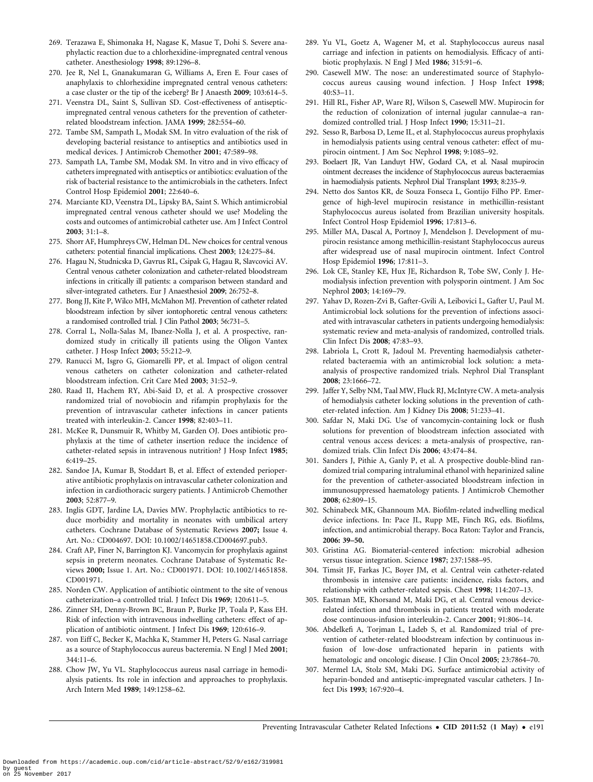- 269. Terazawa E, Shimonaka H, Nagase K, Masue T, Dohi S. Severe anaphylactic reaction due to a chlorhexidine-impregnated central venous catheter. Anesthesiology 1998; 89:1296–8.
- 270. Jee R, Nel L, Gnanakumaran G, Williams A, Eren E. Four cases of anaphylaxis to chlorhexidine impregnated central venous catheters: a case cluster or the tip of the iceberg? Br J Anaesth 2009; 103:614–5.
- 271. Veenstra DL, Saint S, Sullivan SD. Cost-effectiveness of antisepticimpregnated central venous catheters for the prevention of catheterrelated bloodstream infection. JAMA 1999; 282:554–60.
- 272. Tambe SM, Sampath L, Modak SM. In vitro evaluation of the risk of developing bacterial resistance to antiseptics and antibiotics used in medical devices. J Antimicrob Chemother 2001; 47:589–98.
- 273. Sampath LA, Tambe SM, Modak SM. In vitro and in vivo efficacy of catheters impregnated with antiseptics or antibiotics: evaluation of the risk of bacterial resistance to the antimicrobials in the catheters. Infect Control Hosp Epidemiol 2001; 22:640–6.
- 274. Marciante KD, Veenstra DL, Lipsky BA, Saint S. Which antimicrobial impregnated central venous catheter should we use? Modeling the costs and outcomes of antimicrobial catheter use. Am J Infect Control 2003; 31:1–8.
- 275. Shorr AF, Humphreys CW, Helman DL. New choices for central venous catheters: potential financial implications. Chest 2003; 124:275–84.
- 276. Hagau N, Studnicska D, Gavrus RL, Csipak G, Hagau R, Slavcovici AV. Central venous catheter colonization and catheter-related bloodstream infections in critically ill patients: a comparison between standard and silver-integrated catheters. Eur J Anaesthesiol 2009; 26:752–8.
- 277. Bong JJ, Kite P, Wilco MH, McMahon MJ. Prevention of catheter related bloodstream infection by silver iontophoretic central venous catheters: a randomised controlled trial. J Clin Pathol 2003; 56:731–5.
- 278. Corral L, Nolla-Salas M, Ibanez-Nolla J, et al. A prospective, randomized study in critically ill patients using the Oligon Vantex catheter. J Hosp Infect 2003; 55:212–9.
- 279. Ranucci M, Isgro G, Giomarelli PP, et al. Impact of oligon central venous catheters on catheter colonization and catheter-related bloodstream infection. Crit Care Med 2003; 31:52–9.
- 280. Raad II, Hachem RY, Abi-Said D, et al. A prospective crossover randomized trial of novobiocin and rifampin prophylaxis for the prevention of intravascular catheter infections in cancer patients treated with interleukin-2. Cancer 1998; 82:403–11.
- 281. McKee R, Dunsmuir R, Whitby M, Garden OJ. Does antibiotic prophylaxis at the time of catheter insertion reduce the incidence of catheter-related sepsis in intravenous nutrition? J Hosp Infect 1985; 6:419–25.
- 282. Sandoe JA, Kumar B, Stoddart B, et al. Effect of extended perioperative antibiotic prophylaxis on intravascular catheter colonization and infection in cardiothoracic surgery patients. J Antimicrob Chemother 2003; 52:877–9.
- 283. Inglis GDT, Jardine LA, Davies MW. Prophylactic antibiotics to reduce morbidity and mortality in neonates with umbilical artery catheters. Cochrane Database of Systematic Reviews 2007; Issue 4. Art. No.: CD004697. DOI: 10.1002/14651858.CD004697.pub3.
- 284. Craft AP, Finer N, Barrington KJ. Vancomycin for prophylaxis against sepsis in preterm neonates. Cochrane Database of Systematic Reviews 2000; Issue 1. Art. No.: CD001971. DOI: 10.1002/14651858. CD001971.
- 285. Norden CW. Application of antibiotic ointment to the site of venous catheterization–a controlled trial. J Infect Dis 1969; 120:611–5.
- 286. Zinner SH, Denny-Brown BC, Braun P, Burke JP, Toala P, Kass EH. Risk of infection with intravenous indwelling catheters: effect of application of antibiotic ointment. J Infect Dis 1969; 120:616–9.
- 287. von Eiff C, Becker K, Machka K, Stammer H, Peters G. Nasal carriage as a source of Staphylococcus aureus bacteremia. N Engl J Med 2001; 344:11–6.
- 288. Chow JW, Yu VL. Staphylococcus aureus nasal carriage in hemodialysis patients. Its role in infection and approaches to prophylaxis. Arch Intern Med 1989; 149:1258–62.
- 289. Yu VL, Goetz A, Wagener M, et al. Staphylococcus aureus nasal carriage and infection in patients on hemodialysis. Efficacy of antibiotic prophylaxis. N Engl J Med 1986; 315:91–6.
- 290. Casewell MW. The nose: an underestimated source of Staphylococcus aureus causing wound infection. J Hosp Infect 1998; 40:S3–11.
- 291. Hill RL, Fisher AP, Ware RJ, Wilson S, Casewell MW. Mupirocin for the reduction of colonization of internal jugular cannulae–a randomized controlled trial. J Hosp Infect 1990; 15:311–21.
- 292. Sesso R, Barbosa D, Leme IL, et al. Staphylococcus aureus prophylaxis in hemodialysis patients using central venous catheter: effect of mupirocin ointment. J Am Soc Nephrol 1998; 9:1085–92.
- 293. Boelaert JR, Van Landuyt HW, Godard CA, et al. Nasal mupirocin ointment decreases the incidence of Staphylococcus aureus bacteraemias in haemodialysis patients. Nephrol Dial Transplant 1993; 8:235–9.
- 294. Netto dos Santos KR, de Souza Fonseca L, Gontijo Filho PP. Emergence of high-level mupirocin resistance in methicillin-resistant Staphylococcus aureus isolated from Brazilian university hospitals. Infect Control Hosp Epidemiol 1996; 17:813–6.
- 295. Miller MA, Dascal A, Portnoy J, Mendelson J. Development of mupirocin resistance among methicillin-resistant Staphylococcus aureus after widespread use of nasal mupirocin ointment. Infect Control Hosp Epidemiol 1996; 17:811–3.
- 296. Lok CE, Stanley KE, Hux JE, Richardson R, Tobe SW, Conly J. Hemodialysis infection prevention with polysporin ointment. J Am Soc Nephrol 2003; 14:169–79.
- 297. Yahav D, Rozen-Zvi B, Gafter-Gvili A, Leibovici L, Gafter U, Paul M. Antimicrobial lock solutions for the prevention of infections associated with intravascular catheters in patients undergoing hemodialysis: systematic review and meta-analysis of randomized, controlled trials. Clin Infect Dis 2008; 47:83–93.
- 298. Labriola L, Crott R, Jadoul M. Preventing haemodialysis catheterrelated bacteraemia with an antimicrobial lock solution: a metaanalysis of prospective randomized trials. Nephrol Dial Transplant 2008; 23:1666–72.
- 299. Jaffer Y, Selby NM, Taal MW, Fluck RJ, McIntyre CW. A meta-analysis of hemodialysis catheter locking solutions in the prevention of catheter-related infection. Am J Kidney Dis 2008; 51:233–41.
- 300. Safdar N, Maki DG. Use of vancomycin-containing lock or flush solutions for prevention of bloodstream infection associated with central venous access devices: a meta-analysis of prospective, randomized trials. Clin Infect Dis 2006; 43:474–84.
- 301. Sanders J, Pithie A, Ganly P, et al. A prospective double-blind randomized trial comparing intraluminal ethanol with heparinized saline for the prevention of catheter-associated bloodstream infection in immunosuppressed haematology patients. J Antimicrob Chemother 2008; 62:809–15.
- 302. Schinabeck MK, Ghannoum MA. Biofilm-related indwelling medical device infections. In: Pace JL, Rupp ME, Finch RG, eds. Biofilms, infection, and antimicrobial therapy. Boca Raton: Taylor and Francis, 2006: 39–50.
- 303. Gristina AG. Biomaterial-centered infection: microbial adhesion versus tissue integration. Science 1987; 237:1588–95.
- 304. Timsit JF, Farkas JC, Boyer JM, et al. Central vein catheter-related thrombosis in intensive care patients: incidence, risks factors, and relationship with catheter-related sepsis. Chest 1998; 114:207–13.
- 305. Eastman ME, Khorsand M, Maki DG, et al. Central venous devicerelated infection and thrombosis in patients treated with moderate dose continuous-infusion interleukin-2. Cancer 2001; 91:806–14.
- 306. Abdelkefi A, Torjman L, Ladeb S, et al. Randomized trial of prevention of catheter-related bloodstream infection by continuous infusion of low-dose unfractionated heparin in patients with hematologic and oncologic disease. J Clin Oncol 2005; 23:7864-70.
- 307. Mermel LA, Stolz SM, Maki DG. Surface antimicrobial activity of heparin-bonded and antiseptic-impregnated vascular catheters. J Infect Dis 1993; 167:920–4.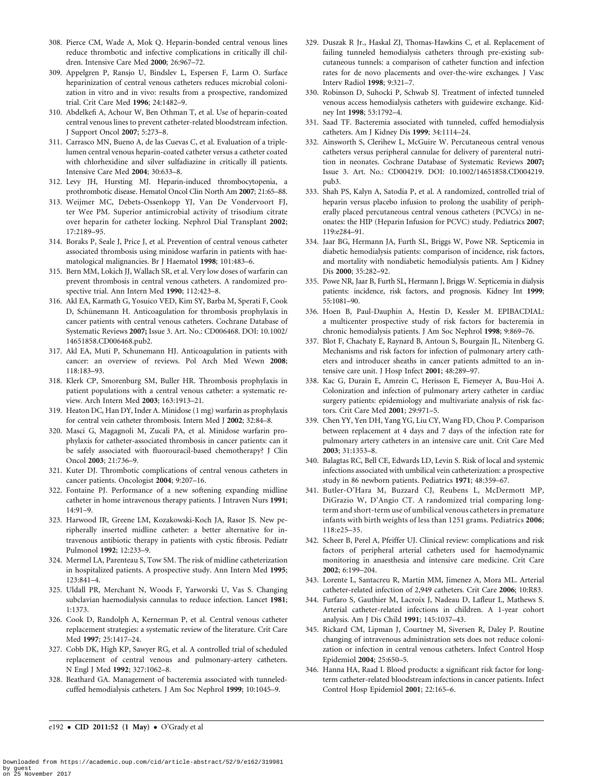- 308. Pierce CM, Wade A, Mok Q. Heparin-bonded central venous lines reduce thrombotic and infective complications in critically ill children. Intensive Care Med 2000; 26:967–72.
- 309. Appelgren P, Ransjo U, Bindslev L, Espersen F, Larm O. Surface heparinization of central venous catheters reduces microbial colonization in vitro and in vivo: results from a prospective, randomized trial. Crit Care Med 1996; 24:1482–9.
- 310. Abdelkefi A, Achour W, Ben Othman T, et al. Use of heparin-coated central venous lines to prevent catheter-related bloodstream infection. J Support Oncol 2007; 5:273–8.
- 311. Carrasco MN, Bueno A, de las Cuevas C, et al. Evaluation of a triplelumen central venous heparin-coated catheter versus a catheter coated with chlorhexidine and silver sulfadiazine in critically ill patients. Intensive Care Med 2004; 30:633–8.
- 312. Levy JH, Hursting MJ. Heparin-induced thrombocytopenia, a prothrombotic disease. Hematol Oncol Clin North Am 2007; 21:65–88.
- 313. Weijmer MC, Debets-Ossenkopp YJ, Van De Vondervoort FJ, ter Wee PM. Superior antimicrobial activity of trisodium citrate over heparin for catheter locking. Nephrol Dial Transplant 2002; 17:2189–95.
- 314. Boraks P, Seale J, Price J, et al. Prevention of central venous catheter associated thrombosis using minidose warfarin in patients with haematological malignancies. Br J Haematol 1998; 101:483–6.
- 315. Bern MM, Lokich JJ, Wallach SR, et al. Very low doses of warfarin can prevent thrombosis in central venous catheters. A randomized prospective trial. Ann Intern Med 1990; 112:423–8.
- 316. Akl EA, Karmath G, Yosuico VED, Kim SY, Barba M, Sperati F, Cook D, Schünemann H. Anticoagulation for thrombosis prophylaxis in cancer patients with central venous catheters. Cochrane Database of Systematic Reviews 2007; Issue 3. Art. No.: CD006468. DOI: 10.1002/ 14651858.CD006468.pub2.
- 317. Akl EA, Muti P, Schunemann HJ. Anticoagulation in patients with cancer: an overview of reviews. Pol Arch Med Wewn 2008; 118:183–93.
- 318. Klerk CP, Smorenburg SM, Buller HR. Thrombosis prophylaxis in patient populations with a central venous catheter: a systematic review. Arch Intern Med 2003; 163:1913–21.
- 319. Heaton DC, Han DY, Inder A. Minidose (1 mg) warfarin as prophylaxis for central vein catheter thrombosis. Intern Med J 2002; 32:84–8.
- 320. Masci G, Magagnoli M, Zucali PA, et al. Minidose warfarin prophylaxis for catheter-associated thrombosis in cancer patients: can it be safely associated with fluorouracil-based chemotherapy? J Clin Oncol 2003; 21:736–9.
- 321. Kuter DJ. Thrombotic complications of central venous catheters in cancer patients. Oncologist 2004; 9:207–16.
- 322. Fontaine PJ. Performance of a new softening expanding midline catheter in home intravenous therapy patients. J Intraven Nurs 1991; 14:91–9.
- 323. Harwood IR, Greene LM, Kozakowski-Koch JA, Rasor JS. New peripherally inserted midline catheter: a better alternative for intravenous antibiotic therapy in patients with cystic fibrosis. Pediatr Pulmonol 1992; 12:233–9.
- 324. Mermel LA, Parenteau S, Tow SM. The risk of midline catheterization in hospitalized patients. A prospective study. Ann Intern Med 1995; 123:841–4.
- 325. Uldall PR, Merchant N, Woods F, Yarworski U, Vas S. Changing subclavian haemodialysis cannulas to reduce infection. Lancet 1981; 1:1373.
- 326. Cook D, Randolph A, Kernerman P, et al. Central venous catheter replacement strategies: a systematic review of the literature. Crit Care Med 1997; 25:1417–24.
- 327. Cobb DK, High KP, Sawyer RG, et al. A controlled trial of scheduled replacement of central venous and pulmonary-artery catheters. N Engl J Med 1992; 327:1062–8.
- 328. Beathard GA. Management of bacteremia associated with tunneledcuffed hemodialysis catheters. J Am Soc Nephrol 1999; 10:1045–9.
- 329. Duszak R Jr., Haskal ZJ, Thomas-Hawkins C, et al. Replacement of failing tunneled hemodialysis catheters through pre-existing subcutaneous tunnels: a comparison of catheter function and infection rates for de novo placements and over-the-wire exchanges. J Vasc Interv Radiol 1998; 9:321–7.
- 330. Robinson D, Suhocki P, Schwab SJ. Treatment of infected tunneled venous access hemodialysis catheters with guidewire exchange. Kidney Int 1998; 53:1792–4.
- 331. Saad TF. Bacteremia associated with tunneled, cuffed hemodialysis catheters. Am J Kidney Dis 1999; 34:1114–24.
- 332. Ainsworth S, Clerihew L, McGuire W. Percutaneous central venous catheters versus peripheral cannulae for delivery of parenteral nutrition in neonates. Cochrane Database of Systematic Reviews 2007; Issue 3. Art. No.: CD004219. DOI: 10.1002/14651858.CD004219. pub3.
- 333. Shah PS, Kalyn A, Satodia P, et al. A randomized, controlled trial of heparin versus placebo infusion to prolong the usability of peripherally placed percutaneous central venous catheters (PCVCs) in neonates: the HIP (Heparin Infusion for PCVC) study. Pediatrics 2007; 119:e284–91.
- 334. Jaar BG, Hermann JA, Furth SL, Briggs W, Powe NR. Septicemia in diabetic hemodialysis patients: comparison of incidence, risk factors, and mortality with nondiabetic hemodialysis patients. Am J Kidney Dis 2000; 35:282–92.
- 335. Powe NR, Jaar B, Furth SL, Hermann J, Briggs W. Septicemia in dialysis patients: incidence, risk factors, and prognosis. Kidney Int 1999; 55:1081–90.
- 336. Hoen B, Paul-Dauphin A, Hestin D, Kessler M. EPIBACDIAL: a multicenter prospective study of risk factors for bacteremia in chronic hemodialysis patients. J Am Soc Nephrol 1998; 9:869–76.
- 337. Blot F, Chachaty E, Raynard B, Antoun S, Bourgain JL, Nitenberg G. Mechanisms and risk factors for infection of pulmonary artery catheters and introducer sheaths in cancer patients admitted to an intensive care unit. J Hosp Infect 2001; 48:289–97.
- 338. Kac G, Durain E, Amrein C, Herisson E, Fiemeyer A, Buu-Hoi A. Colonization and infection of pulmonary artery catheter in cardiac surgery patients: epidemiology and multivariate analysis of risk factors. Crit Care Med 2001; 29:971–5.
- 339. Chen YY, Yen DH, Yang YG, Liu CY, Wang FD, Chou P. Comparison between replacement at 4 days and 7 days of the infection rate for pulmonary artery catheters in an intensive care unit. Crit Care Med 2003; 31:1353–8.
- 340. Balagtas RC, Bell CE, Edwards LD, Levin S. Risk of local and systemic infections associated with umbilical vein catheterization: a prospective study in 86 newborn patients. Pediatrics 1971; 48:359–67.
- 341. Butler-O'Hara M, Buzzard CJ, Reubens L, McDermott MP, DiGrazio W, D'Angio CT. A randomized trial comparing longterm and short-term use of umbilical venous catheters in premature infants with birth weights of less than 1251 grams. Pediatrics 2006; 118:e25–35.
- 342. Scheer B, Perel A, Pfeiffer UJ. Clinical review: complications and risk factors of peripheral arterial catheters used for haemodynamic monitoring in anaesthesia and intensive care medicine. Crit Care 2002; 6:199–204.
- 343. Lorente L, Santacreu R, Martin MM, Jimenez A, Mora ML. Arterial catheter-related infection of 2,949 catheters. Crit Care 2006; 10:R83.
- 344. Furfaro S, Gauthier M, Lacroix J, Nadeau D, Lafleur L, Mathews S. Arterial catheter-related infections in children. A 1-year cohort analysis. Am J Dis Child 1991; 145:1037–43.
- 345. Rickard CM, Lipman J, Courtney M, Siversen R, Daley P. Routine changing of intravenous administration sets does not reduce colonization or infection in central venous catheters. Infect Control Hosp Epidemiol 2004; 25:650–5.
- 346. Hanna HA, Raad I. Blood products: a significant risk factor for longterm catheter-related bloodstream infections in cancer patients. Infect Control Hosp Epidemiol 2001; 22:165–6.

e192 · CID 2011:52 (1 May) · O'Grady et al